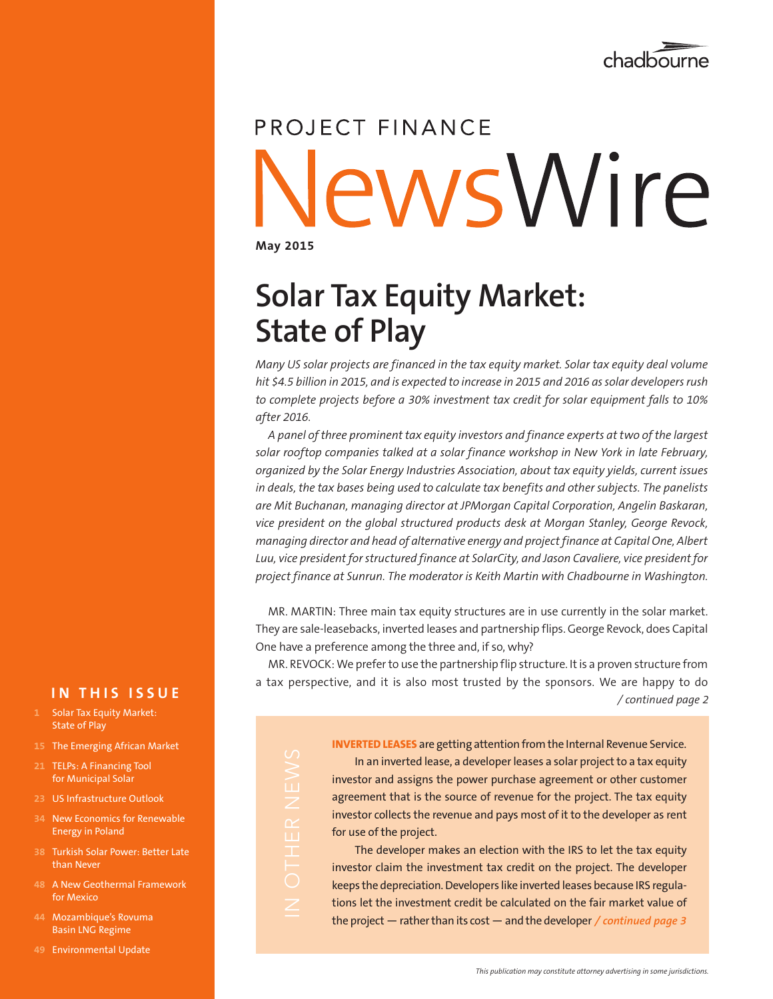

# PROJECT FINANCE lewsWire

**May 2015**

 $\mathbb{R}$ 

## **Solar Tax Equity Market: State of Play**

*Many US solar projects are financed in the tax equity market. Solar tax equity deal volume hit \$4.5 billion in 2015, and is expected to increase in 2015 and 2016 as solar developers rush to complete projects before a 30% investment tax credit for solar equipment falls to 10% after 2016.* 

*A panel of three prominent tax equity investors and finance experts at two of the largest solar rooftop companies talked at a solar finance workshop in New York in late February, organized by the Solar Energy Industries Association, about tax equity yields, current issues in deals, the tax bases being used to calculate tax benefits and other subjects. The panelists are Mit Buchanan, managing director at JPMorgan Capital Corporation, Angelin Baskaran, vice president on the global structured products desk at Morgan Stanley, George Revock, managing director and head of alternative energy and project finance at Capital One, Albert Luu, vice president for structured finance at SolarCity, and Jason Cavaliere, vice president for project finance at Sunrun. The moderator is Keith Martin with Chadbourne in Washington.*

MR. MARTIN: Three main tax equity structures are in use currently in the solar market. They are sale-leasebacks, inverted leases and partnership flips. George Revock, does Capital One have a preference among the three and, if so, why?

MR. REVOCK: We prefer to use the partnership flip structure. It is a proven structure from a tax perspective, and it is also most trusted by the sponsors. We are happy to do */ continued page 2*

> **INVERTED LEASES** are getting attention from the Internal Revenue Service. In an inverted lease, a developer leases a solar project to a tax equity investor and assigns the power purchase agreement or other customer agreement that is the source of revenue for the project. The tax equity investor collects the revenue and pays most of it to the developer as rent for use of the project.

> The developer makes an election with the IRS to let the tax equity investor claim the investment tax credit on the project. The developer keeps the depreciation. Developers like inverted leases because IRS regulations let the investment credit be calculated on the fair market value of the project — rather than its cost — and the developer */ continued page 3*

## **IN THIS ISSUE**

- **1** Solar Tax Equity Market: **State of Play**
- **15** The Emerging African Market
- **21** TELPs: A Financing Tool for Municipal Solar
- **23** US Infrastructure Outlook
- **34** New Economics for Renewable Energy in Poland
- **38** Turkish Solar Power: Better Late than Never
- **48** A New Geothermal Framework for Mexico
- **44** Mozambique's Rovuma Basin LNG Regime
- **49** Environmental Update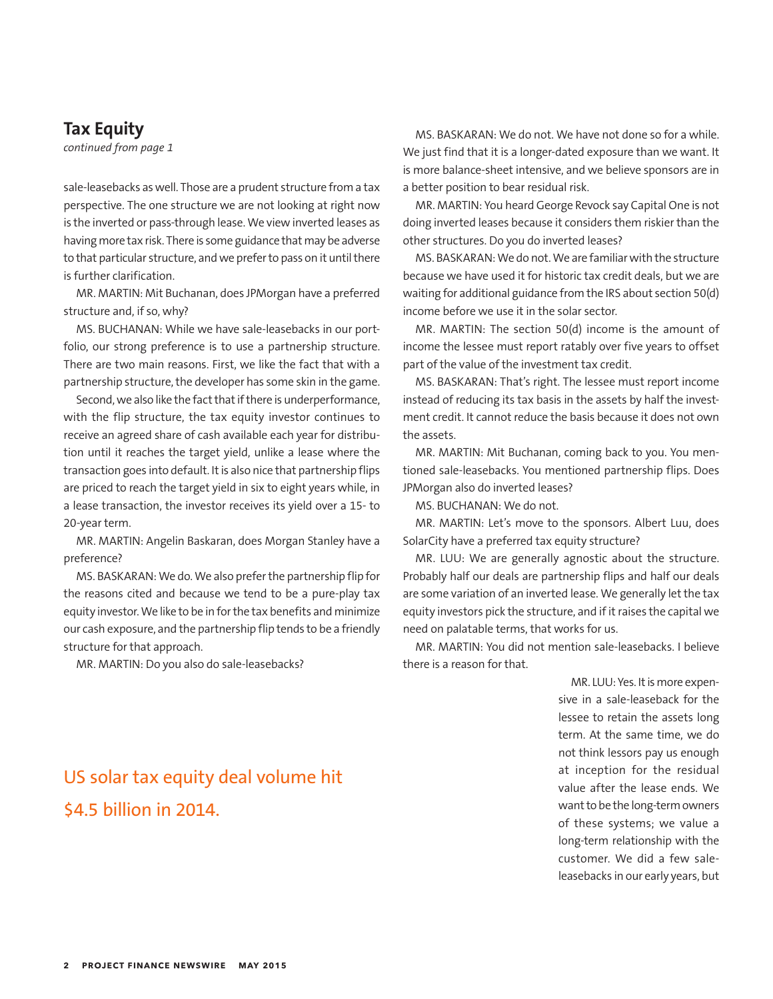## **Tax Equity**

*continued from page 1*

sale-leasebacks as well. Those are a prudent structure from a tax perspective. The one structure we are not looking at right now is the inverted or pass-through lease. We view inverted leases as having more tax risk. There is some guidance that may be adverse to that particular structure, and we prefer to pass on it until there is further clarification.

MR. MARTIN: Mit Buchanan, does JPMorgan have a preferred structure and, if so, why?

MS. BUCHANAN: While we have sale-leasebacks in our portfolio, our strong preference is to use a partnership structure. There are two main reasons. First, we like the fact that with a partnership structure, the developer has some skin in the game.

Second, we also like the fact that if there is underperformance, with the flip structure, the tax equity investor continues to receive an agreed share of cash available each year for distribution until it reaches the target yield, unlike a lease where the transaction goes into default. It is also nice that partnership flips are priced to reach the target yield in six to eight years while, in a lease transaction, the investor receives its yield over a 15- to 20-year term.

MR. MARTIN: Angelin Baskaran, does Morgan Stanley have a preference?

MS. BASKARAN: We do. We also prefer the partnership flip for the reasons cited and because we tend to be a pure-play tax equity investor. We like to be in for the tax benefits and minimize our cash exposure, and the partnership flip tends to be a friendly structure for that approach.

MR. MARTIN: Do you also do sale-leasebacks?

MS. BASKARAN: We do not. We have not done so for a while. We just find that it is a longer-dated exposure than we want. It is more balance-sheet intensive, and we believe sponsors are in a better position to bear residual risk.

MR. MARTIN: You heard George Revock say Capital One is not doing inverted leases because it considers them riskier than the other structures. Do you do inverted leases?

MS. BASKARAN: We do not. We are familiar with the structure because we have used it for historic tax credit deals, but we are waiting for additional guidance from the IRS about section 50(d) income before we use it in the solar sector.

MR. MARTIN: The section 50(d) income is the amount of income the lessee must report ratably over five years to offset part of the value of the investment tax credit.

MS. BASKARAN: That's right. The lessee must report income instead of reducing its tax basis in the assets by half the investment credit. It cannot reduce the basis because it does not own the assets.

MR. MARTIN: Mit Buchanan, coming back to you. You mentioned sale-leasebacks. You mentioned partnership flips. Does JPMorgan also do inverted leases?

MS. BUCHANAN: We do not.

MR. MARTIN: Let's move to the sponsors. Albert Luu, does SolarCity have a preferred tax equity structure?

MR. LUU: We are generally agnostic about the structure. Probably half our deals are partnership flips and half our deals are some variation of an inverted lease. We generally let the tax equity investors pick the structure, and if it raises the capital we need on palatable terms, that works for us.

MR. MARTIN: You did not mention sale-leasebacks. I believe there is a reason for that.

> MR. LUU: Yes. It is more expensive in a sale-leaseback for the lessee to retain the assets long term. At the same time, we do not think lessors pay us enough at inception for the residual value after the lease ends. We want to be the long-term owners of these systems; we value a long-term relationship with the customer. We did a few saleleasebacks in our early years, but

## US solar tax equity deal volume hit \$4.5 billion in 2014.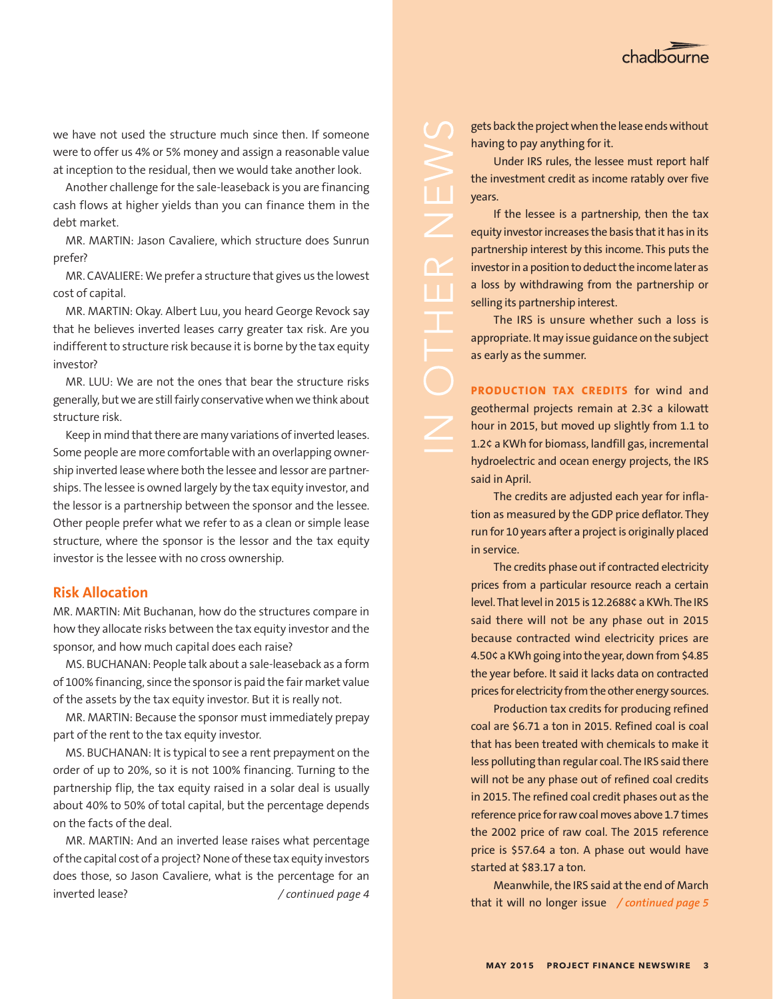

we have not used the structure much since then. If someone were to offer us 4% or 5% money and assign a reasonable value at inception to the residual, then we would take another look.

Another challenge for the sale-leaseback is you are financing cash flows at higher yields than you can finance them in the debt market.

MR. MARTIN: Jason Cavaliere, which structure does Sunrun prefer?

MR. CAVALIERE: We prefer a structure that gives us the lowest cost of capital.

MR. MARTIN: Okay. Albert Luu, you heard George Revock say that he believes inverted leases carry greater tax risk. Are you indifferent to structure risk because it is borne by the tax equity investor?

MR. LUU: We are not the ones that bear the structure risks generally, but we are still fairly conservative when we think about structure risk.

Keep in mind that there are many variations of inverted leases. Some people are more comfortable with an overlapping ownership inverted lease where both the lessee and lessor are partnerships. The lessee is owned largely by the tax equity investor, and the lessor is a partnership between the sponsor and the lessee. Other people prefer what we refer to as a clean or simple lease structure, where the sponsor is the lessor and the tax equity investor is the lessee with no cross ownership.

## **Risk Allocation**

MR. MARTIN: Mit Buchanan, how do the structures compare in how they allocate risks between the tax equity investor and the sponsor, and how much capital does each raise?

MS. BUCHANAN: People talk about a sale-leaseback as a form of 100% financing, since the sponsor is paid the fair market value of the assets by the tax equity investor. But it is really not.

MR. MARTIN: Because the sponsor must immediately prepay part of the rent to the tax equity investor.

MS. BUCHANAN: It is typical to see a rent prepayment on the order of up to 20%, so it is not 100% financing. Turning to the partnership flip, the tax equity raised in a solar deal is usually about 40% to 50% of total capital, but the percentage depends on the facts of the deal.

MR. MARTIN: And an inverted lease raises what percentage of the capital cost of a project? None of these tax equity investors does those, so Jason Cavaliere, what is the percentage for an inverted lease?

gets back the project when the lease ends without having to pay anything for it.

Under IRS rules, the lessee must report half the investment credit as income ratably over five years.

If the lessee is a partnership, then the tax equity investor increases the basis that it has in its partnership interest by this income. This puts the investor in a position to deduct the income later as a loss by withdrawing from the partnership or selling its partnership interest.

 $\overline{\angle}$ 

Œ

The IRS is unsure whether such a loss is appropriate. It may issue guidance on the subject as early as the summer.

**PRODUCTION TAX CREDITS** for wind and geothermal projects remain at 2.3¢ a kilowatt hour in 2015, but moved up slightly from 1.1 to 1.2¢ a KWh for biomass, landfill gas, incremental hydroelectric and ocean energy projects, the IRS said in April.

The credits are adjusted each year for inflation as measured by the GDP price deflator. They run for 10 years after a project is originally placed in service.

The credits phase out if contracted electricity prices from a particular resource reach a certain level. That level in 2015 is 12.2688¢ a KWh. The IRS said there will not be any phase out in 2015 because contracted wind electricity prices are 4.50¢ a KWh going into the year, down from \$4.85 the year before. It said it lacks data on contracted prices for electricity from the other energy sources.

Production tax credits for producing refined coal are \$6.71 a ton in 2015. Refined coal is coal that has been treated with chemicals to make it less polluting than regular coal. The IRS said there will not be any phase out of refined coal credits in 2015. The refined coal credit phases out as the reference price for raw coal moves above 1.7 times the 2002 price of raw coal. The 2015 reference price is \$57.64 a ton. A phase out would have started at \$83.17 a ton.

Meanwhile, the IRS said at the end of March that it will no longer issue */ continued page 4 / continued page 5*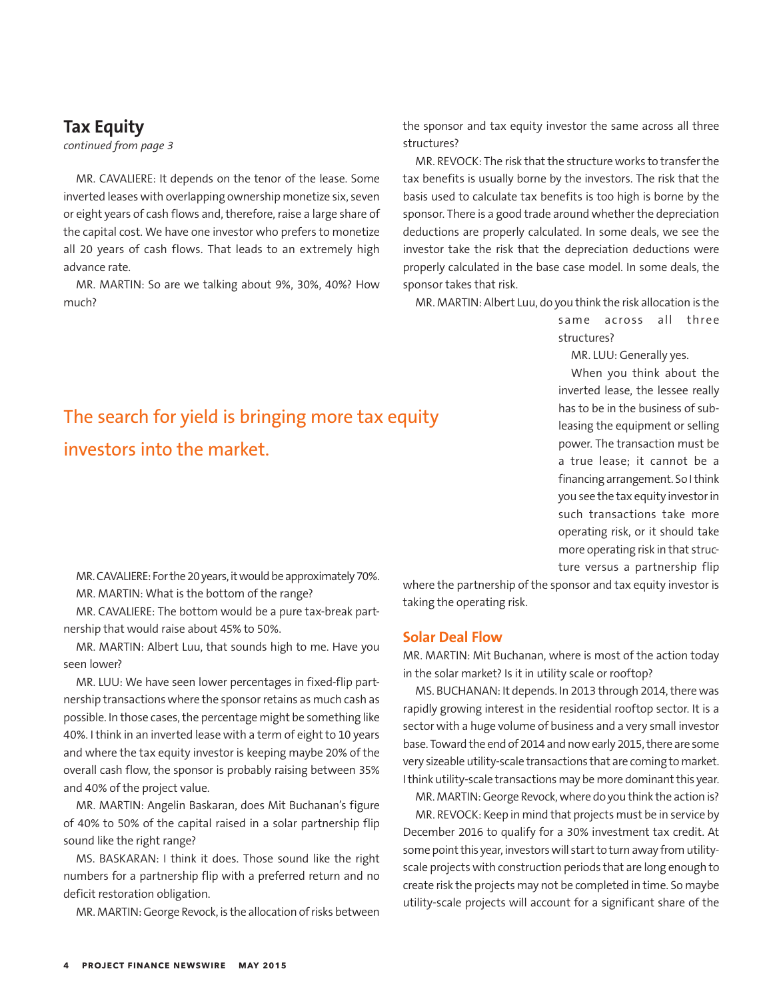## **Tax Equity**

*continued from page 3*

MR. CAVALIERE: It depends on the tenor of the lease. Some inverted leases with overlapping ownership monetize six, seven or eight years of cash flows and, therefore, raise a large share of the capital cost. We have one investor who prefers to monetize all 20 years of cash flows. That leads to an extremely high advance rate.

MR. MARTIN: So are we talking about 9%, 30%, 40%? How much?

The search for yield is bringing more tax equity

investors into the market.

the sponsor and tax equity investor the same across all three structures?

MR. REVOCK: The risk that the structure works to transfer the tax benefits is usually borne by the investors. The risk that the basis used to calculate tax benefits is too high is borne by the sponsor. There is a good trade around whether the depreciation deductions are properly calculated. In some deals, we see the investor take the risk that the depreciation deductions were properly calculated in the base case model. In some deals, the sponsor takes that risk.

MR. MARTIN: Albert Luu, do you think the risk allocation is the

same across all three structures?

MR. LUU: Generally yes.

When you think about the inverted lease, the lessee really has to be in the business of subleasing the equipment or selling power. The transaction must be a true lease; it cannot be a financing arrangement. So I think you see the tax equity investor in such transactions take more operating risk, or it should take more operating risk in that structure versus a partnership flip

MR. CAVALIERE: For the 20 years, it would be approximately 70%. MR. MARTIN: What is the bottom of the range?

MR. CAVALIERE: The bottom would be a pure tax-break partnership that would raise about 45% to 50%.

MR. MARTIN: Albert Luu, that sounds high to me. Have you seen lower?

MR. LUU: We have seen lower percentages in fixed-flip partnership transactions where the sponsor retains as much cash as possible. In those cases, the percentage might be something like 40%. I think in an inverted lease with a term of eight to 10 years and where the tax equity investor is keeping maybe 20% of the overall cash flow, the sponsor is probably raising between 35% and 40% of the project value.

MR. MARTIN: Angelin Baskaran, does Mit Buchanan's figure of 40% to 50% of the capital raised in a solar partnership flip sound like the right range?

MS. BASKARAN: I think it does. Those sound like the right numbers for a partnership flip with a preferred return and no deficit restoration obligation.

MR. MARTIN: George Revock, is the allocation of risks between

where the partnership of the sponsor and tax equity investor is taking the operating risk.

## **Solar Deal Flow**

MR. MARTIN: Mit Buchanan, where is most of the action today in the solar market? Is it in utility scale or rooftop?

MS. BUCHANAN: It depends. In 2013 through 2014, there was rapidly growing interest in the residential rooftop sector. It is a sector with a huge volume of business and a very small investor base. Toward the end of 2014 and now early 2015, there are some very sizeable utility-scale transactions that are coming to market. I think utility-scale transactions may be more dominant this year.

MR. MARTIN: George Revock, where do you think the action is? MR. REVOCK: Keep in mind that projects must be in service by December 2016 to qualify for a 30% investment tax credit. At some point this year, investors will start to turn away from utilityscale projects with construction periods that are long enough to create risk the projects may not be completed in time. So maybe utility-scale projects will account for a significant share of the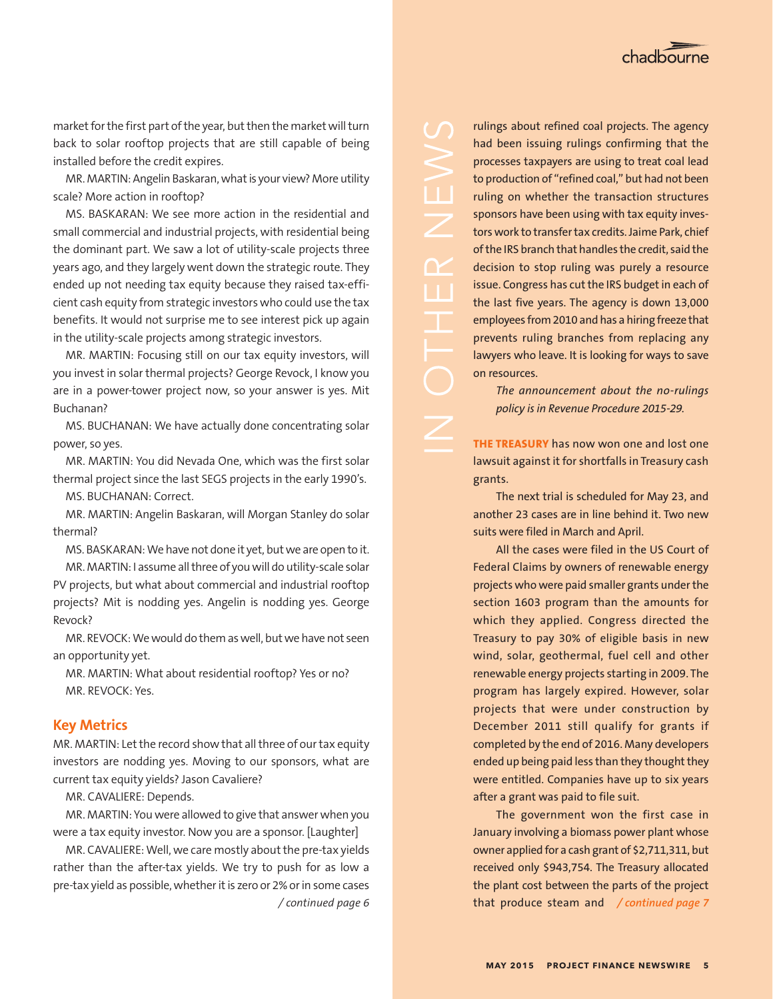

market for the first part of the year, but then the market will turn back to solar rooftop projects that are still capable of being installed before the credit expires.

MR. MARTIN: Angelin Baskaran, what is your view? More utility scale? More action in rooftop?

MS. BASKARAN: We see more action in the residential and small commercial and industrial projects, with residential being the dominant part. We saw a lot of utility-scale projects three years ago, and they largely went down the strategic route. They ended up not needing tax equity because they raised tax-efficient cash equity from strategic investors who could use the tax benefits. It would not surprise me to see interest pick up again in the utility-scale projects among strategic investors.

MR. MARTIN: Focusing still on our tax equity investors, will you invest in solar thermal projects? George Revock, I know you are in a power-tower project now, so your answer is yes. Mit Buchanan?

MS. BUCHANAN: We have actually done concentrating solar power, so yes.

MR. MARTIN: You did Nevada One, which was the first solar thermal project since the last SEGS projects in the early 1990's. MS. BUCHANAN: Correct.

MR. MARTIN: Angelin Baskaran, will Morgan Stanley do solar thermal?

MS. BASKARAN: We have not done it yet, but we are open to it. MR. MARTIN: I assume all three of you will do utility-scale solar PV projects, but what about commercial and industrial rooftop projects? Mit is nodding yes. Angelin is nodding yes. George Revock?

MR. REVOCK: We would do them as well, but we have not seen an opportunity yet.

MR. MARTIN: What about residential rooftop? Yes or no? MR. REVOCK: Yes.

## **Key Metrics**

MR. MARTIN: Let the record show that all three of our tax equity investors are nodding yes. Moving to our sponsors, what are current tax equity yields? Jason Cavaliere?

MR. CAVALIERE: Depends.

MR. MARTIN: You were allowed to give that answer when you were a tax equity investor. Now you are a sponsor. [Laughter]

MR. CAVALIERE: Well, we care mostly about the pre-tax yields rather than the after-tax yields. We try to push for as low a pre-tax yield as possible, whether it is zero or 2% or in some cases */ continued page 6*

rulings about refined coal projects. The agency had been issuing rulings confirming that the processes taxpayers are using to treat coal lead to production of "refined coal," but had not been ruling on whether the transaction structures sponsors have been using with tax equity investors work to transfer tax credits. Jaime Park, chief of the IRS branch that handles the credit, said the decision to stop ruling was purely a resource issue. Congress has cut the IRS budget in each of the last five years. The agency is down 13,000 employees from 2010 and has a hiring freeze that prevents ruling branches from replacing any lawyers who leave. It is looking for ways to save on resources.

 $\angle$ 

**IT** 

*The announcement about the no-rulings policy is in Revenue Procedure 2015-29.*

**THE TREASURY** has now won one and lost one lawsuit against it for shortfalls in Treasury cash grants.

The next trial is scheduled for May 23, and another 23 cases are in line behind it. Two new suits were filed in March and April.

All the cases were filed in the US Court of Federal Claims by owners of renewable energy projects who were paid smaller grants under the section 1603 program than the amounts for which they applied. Congress directed the Treasury to pay 30% of eligible basis in new wind, solar, geothermal, fuel cell and other renewable energy projects starting in 2009. The program has largely expired. However, solar projects that were under construction by December 2011 still qualify for grants if completed by the end of 2016. Many developers ended up being paid less than they thought they were entitled. Companies have up to six years after a grant was paid to file suit.

The government won the first case in January involving a biomass power plant whose owner applied for a cash grant of \$2,711,311, but received only \$943,754. The Treasury allocated the plant cost between the parts of the project that produce steam and */ continued page 7*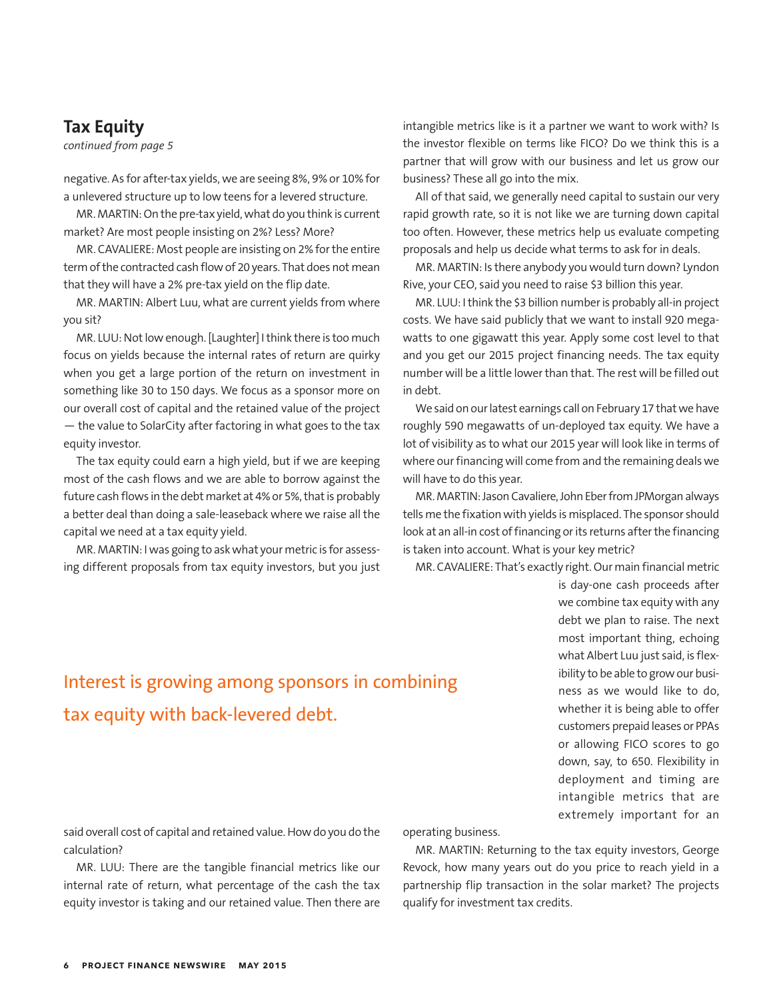## **Tax Equity**

*continued from page 5*

negative. As for after-tax yields, we are seeing 8%, 9% or 10% for a unlevered structure up to low teens for a levered structure.

MR. MARTIN: On the pre-tax yield, what do you think is current market? Are most people insisting on 2%? Less? More?

MR. CAVALIERE: Most people are insisting on 2% for the entire term of the contracted cash flow of 20 years. That does not mean that they will have a 2% pre-tax yield on the flip date.

MR. MARTIN: Albert Luu, what are current yields from where you sit?

MR. LUU: Not low enough. [Laughter] I think there is too much focus on yields because the internal rates of return are quirky when you get a large portion of the return on investment in something like 30 to 150 days. We focus as a sponsor more on our overall cost of capital and the retained value of the project — the value to SolarCity after factoring in what goes to the tax equity investor.

The tax equity could earn a high yield, but if we are keeping most of the cash flows and we are able to borrow against the future cash flows in the debt market at 4% or 5%, that is probably a better deal than doing a sale-leaseback where we raise all the capital we need at a tax equity yield.

MR. MARTIN: I was going to ask what your metric is for assessing different proposals from tax equity investors, but you just intangible metrics like is it a partner we want to work with? Is the investor flexible on terms like FICO? Do we think this is a partner that will grow with our business and let us grow our business? These all go into the mix.

All of that said, we generally need capital to sustain our very rapid growth rate, so it is not like we are turning down capital too often. However, these metrics help us evaluate competing proposals and help us decide what terms to ask for in deals.

MR. MARTIN: Is there anybody you would turn down? Lyndon Rive, your CEO, said you need to raise \$3 billion this year.

MR. LUU: I think the \$3 billion number is probably all-in project costs. We have said publicly that we want to install 920 megawatts to one gigawatt this year. Apply some cost level to that and you get our 2015 project financing needs. The tax equity number will be a little lower than that. The rest will be filled out in debt.

We said on our latest earnings call on February 17 that we have roughly 590 megawatts of un-deployed tax equity. We have a lot of visibility as to what our 2015 year will look like in terms of where our financing will come from and the remaining deals we will have to do this year.

MR. MARTIN: Jason Cavaliere, John Eber from JPMorgan always tells me the fixation with yields is misplaced. The sponsor should look at an all-in cost of financing or its returns after the financing is taken into account. What is your key metric?

MR. CAVALIERE: That's exactly right. Our main financial metric

is day-one cash proceeds after we combine tax equity with any debt we plan to raise. The next most important thing, echoing what Albert Luu just said, is flexibility to be able to grow our business as we would like to do, whether it is being able to offer customers prepaid leases or PPAs or allowing FICO scores to go down, say, to 650. Flexibility in deployment and timing are intangible metrics that are extremely important for an

## Interest is growing among sponsors in combining tax equity with back-levered debt.

said overall cost of capital and retained value. How do you do the calculation?

MR. LUU: There are the tangible financial metrics like our internal rate of return, what percentage of the cash the tax equity investor is taking and our retained value. Then there are operating business.

MR. MARTIN: Returning to the tax equity investors, George Revock, how many years out do you price to reach yield in a partnership flip transaction in the solar market? The projects qualify for investment tax credits.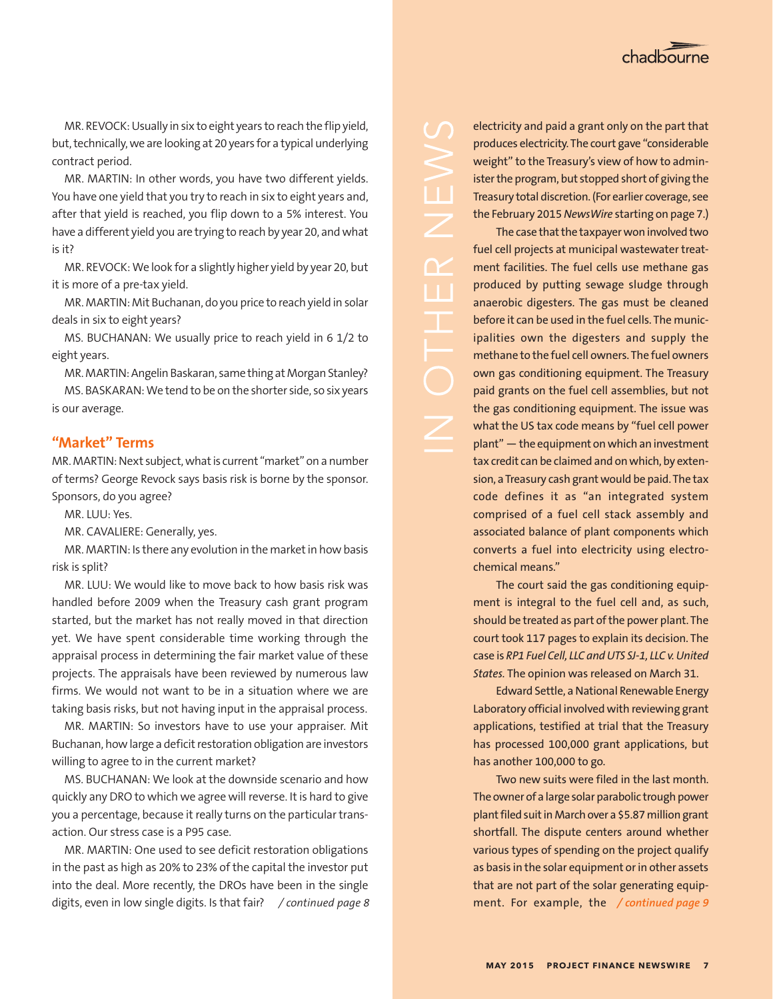

MR. REVOCK: Usually in six to eight years to reach the flip yield, but, technically, we are looking at 20 years for a typical underlying contract period.

MR. MARTIN: In other words, you have two different yields. You have one yield that you try to reach in six to eight years and, after that yield is reached, you flip down to a 5% interest. You have a different yield you are trying to reach by year 20, and what is it?

MR. REVOCK: We look for a slightly higher yield by year 20, but it is more of a pre-tax yield.

MR. MARTIN: Mit Buchanan, do you price to reach yield in solar deals in six to eight years?

MS. BUCHANAN: We usually price to reach yield in 6 1/2 to eight years.

MR. MARTIN: Angelin Baskaran, same thing at Morgan Stanley? MS. BASKARAN: We tend to be on the shorter side, so six years is our average.

## **"Market" Terms**

MR. MARTIN: Next subject, what is current "market" on a number of terms? George Revock says basis risk is borne by the sponsor. Sponsors, do you agree?

MR. LUU: Yes.

MR. CAVALIERE: Generally, yes.

MR. MARTIN: Is there any evolution in the market in how basis risk is split?

MR. LUU: We would like to move back to how basis risk was handled before 2009 when the Treasury cash grant program started, but the market has not really moved in that direction yet. We have spent considerable time working through the appraisal process in determining the fair market value of these projects. The appraisals have been reviewed by numerous law firms. We would not want to be in a situation where we are taking basis risks, but not having input in the appraisal process.

MR. MARTIN: So investors have to use your appraiser. Mit Buchanan, how large a deficit restoration obligation are investors willing to agree to in the current market?

MS. BUCHANAN: We look at the downside scenario and how quickly any DRO to which we agree will reverse. It is hard to give you a percentage, because it really turns on the particular transaction. Our stress case is a P95 case.

MR. MARTIN: One used to see deficit restoration obligations in the past as high as 20% to 23% of the capital the investor put into the deal. More recently, the DROs have been in the single digits, even in low single digits. Is that fair? */ continued page 8*

electricity and paid a grant only on the part that produces electricity. The court gave "considerable weight" to the Treasury's view of how to administer the program, but stopped short of giving the Treasury total discretion. (For earlier coverage, see the February 2015 *NewsWire* starting on page 7.)

The case that the taxpayer won involved two fuel cell projects at municipal wastewater treatment facilities. The fuel cells use methane gas produced by putting sewage sludge through anaerobic digesters. The gas must be cleaned before it can be used in the fuel cells. The municipalities own the digesters and supply the methane to the fuel cell owners. The fuel owners own gas conditioning equipment. The Treasury paid grants on the fuel cell assemblies, but not the gas conditioning equipment. The issue was what the US tax code means by "fuel cell power plant" — the equipment on which an investment tax credit can be claimed and on which, by extension, a Treasury cash grant would be paid. The tax code defines it as "an integrated system comprised of a fuel cell stack assembly and associated balance of plant components which converts a fuel into electricity using electrochemical means."

The court said the gas conditioning equipment is integral to the fuel cell and, as such, should be treated as part of the power plant. The court took 117 pages to explain its decision. The case is *RP1 Fuel Cell, LLC and UTS SJ-1, LLC v. United States.* The opinion was released on March 31.

Edward Settle, a National Renewable Energy Laboratory official involved with reviewing grant applications, testified at trial that the Treasury has processed 100,000 grant applications, but has another 100,000 to go.

Two new suits were filed in the last month. The owner of a large solar parabolic trough power plant filed suit in March over a \$5.87 million grant shortfall. The dispute centers around whether various types of spending on the project qualify as basis in the solar equipment or in other assets that are not part of the solar generating equipment. For example, the */ continued page 9*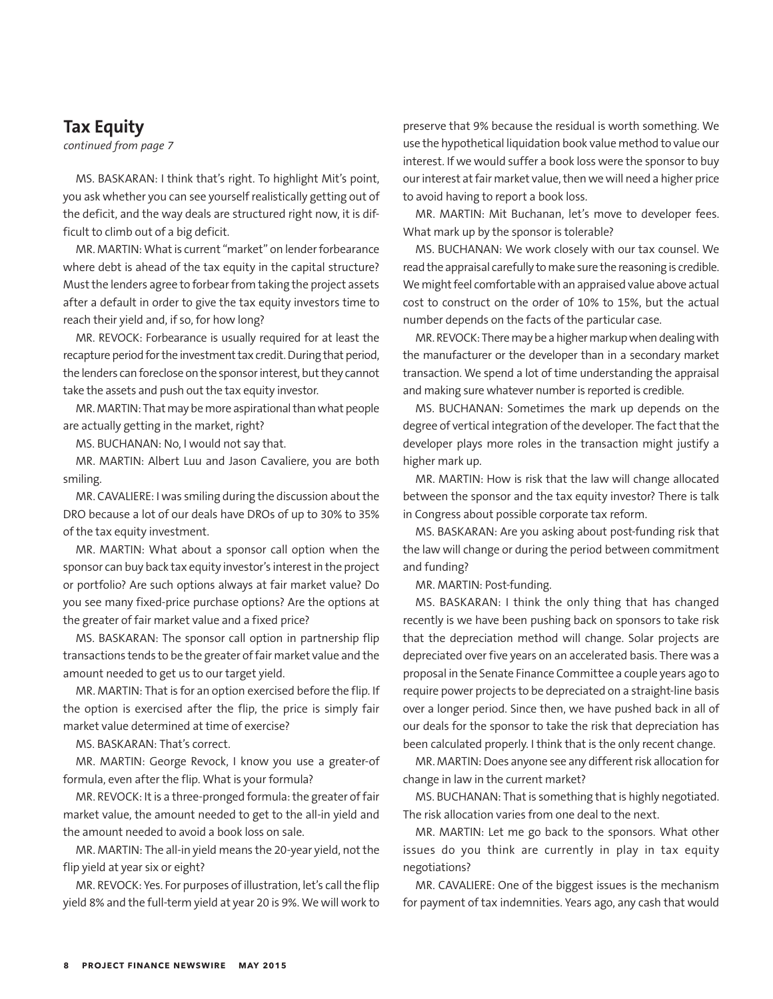## **Tax Equity**

*continued from page 7*

MS. BASKARAN: I think that's right. To highlight Mit's point, you ask whether you can see yourself realistically getting out of the deficit, and the way deals are structured right now, it is difficult to climb out of a big deficit.

MR. MARTIN: What is current "market" on lender forbearance where debt is ahead of the tax equity in the capital structure? Must the lenders agree to forbear from taking the project assets after a default in order to give the tax equity investors time to reach their yield and, if so, for how long?

MR. REVOCK: Forbearance is usually required for at least the recapture period for the investment tax credit. During that period, the lenders can foreclose on the sponsor interest, but they cannot take the assets and push out the tax equity investor.

MR. MARTIN: That may be more aspirational than what people are actually getting in the market, right?

MS. BUCHANAN: No, I would not say that.

MR. MARTIN: Albert Luu and Jason Cavaliere, you are both smiling.

MR. CAVALIERE: I was smiling during the discussion about the DRO because a lot of our deals have DROs of up to 30% to 35% of the tax equity investment.

MR. MARTIN: What about a sponsor call option when the sponsor can buy back tax equity investor's interest in the project or portfolio? Are such options always at fair market value? Do you see many fixed-price purchase options? Are the options at the greater of fair market value and a fixed price?

MS. BASKARAN: The sponsor call option in partnership flip transactions tends to be the greater of fair market value and the amount needed to get us to our target yield.

MR. MARTIN: That is for an option exercised before the flip. If the option is exercised after the flip, the price is simply fair market value determined at time of exercise?

MS. BASKARAN: That's correct.

MR. MARTIN: George Revock, I know you use a greater-of formula, even after the flip. What is your formula?

MR. REVOCK: It is a three-pronged formula: the greater of fair market value, the amount needed to get to the all-in yield and the amount needed to avoid a book loss on sale.

MR. MARTIN: The all-in yield means the 20-year yield, not the flip yield at year six or eight?

MR. REVOCK: Yes. For purposes of illustration, let's call the flip yield 8% and the full-term yield at year 20 is 9%. We will work to preserve that 9% because the residual is worth something. We use the hypothetical liquidation book value method to value our interest. If we would suffer a book loss were the sponsor to buy our interest at fair market value, then we will need a higher price to avoid having to report a book loss.

MR. MARTIN: Mit Buchanan, let's move to developer fees. What mark up by the sponsor is tolerable?

MS. BUCHANAN: We work closely with our tax counsel. We read the appraisal carefully to make sure the reasoning is credible. We might feel comfortable with an appraised value above actual cost to construct on the order of 10% to 15%, but the actual number depends on the facts of the particular case.

MR. REVOCK: There may be a higher markup when dealing with the manufacturer or the developer than in a secondary market transaction. We spend a lot of time understanding the appraisal and making sure whatever number is reported is credible.

MS. BUCHANAN: Sometimes the mark up depends on the degree of vertical integration of the developer. The fact that the developer plays more roles in the transaction might justify a higher mark up.

MR. MARTIN: How is risk that the law will change allocated between the sponsor and the tax equity investor? There is talk in Congress about possible corporate tax reform.

MS. BASKARAN: Are you asking about post-funding risk that the law will change or during the period between commitment and funding?

MR. MARTIN: Post-funding.

MS. BASKARAN: I think the only thing that has changed recently is we have been pushing back on sponsors to take risk that the depreciation method will change. Solar projects are depreciated over five years on an accelerated basis. There was a proposal in the Senate Finance Committee a couple years ago to require power projects to be depreciated on a straight-line basis over a longer period. Since then, we have pushed back in all of our deals for the sponsor to take the risk that depreciation has been calculated properly. I think that is the only recent change.

MR. MARTIN: Does anyone see any different risk allocation for change in law in the current market?

MS. BUCHANAN: That is something that is highly negotiated. The risk allocation varies from one deal to the next.

MR. MARTIN: Let me go back to the sponsors. What other issues do you think are currently in play in tax equity negotiations?

MR. CAVALIERE: One of the biggest issues is the mechanism for payment of tax indemnities. Years ago, any cash that would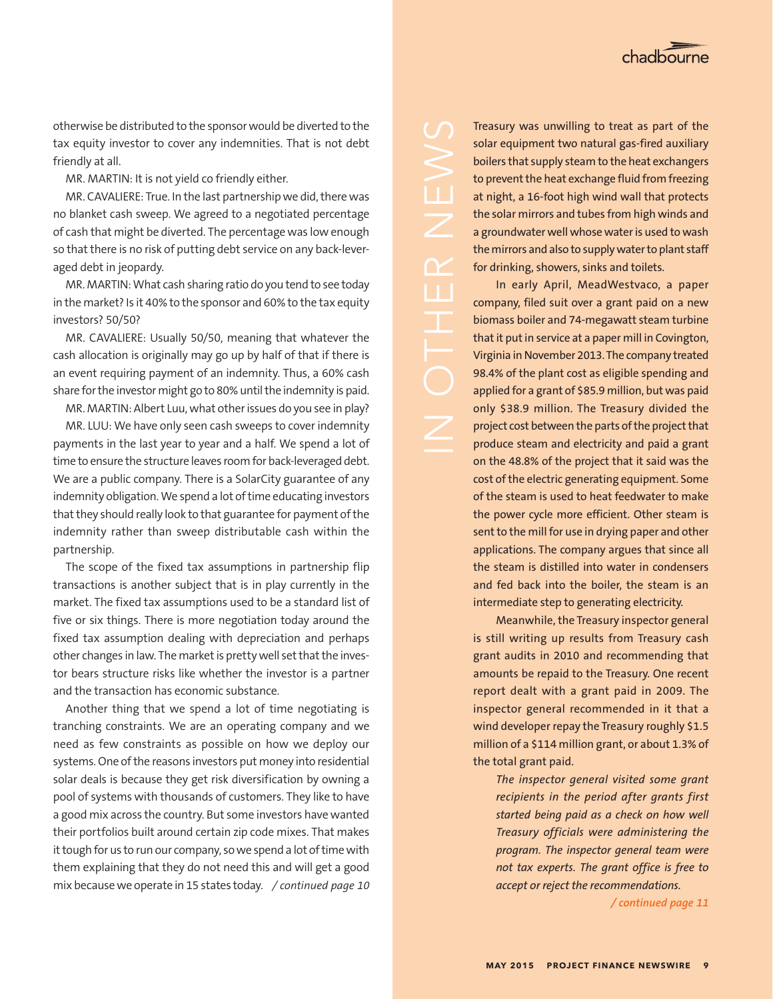

otherwise be distributed to the sponsor would be diverted to the tax equity investor to cover any indemnities. That is not debt friendly at all.

MR. MARTIN: It is not yield co friendly either.

MR. CAVALIERE: True. In the last partnership we did, there was no blanket cash sweep. We agreed to a negotiated percentage of cash that might be diverted. The percentage was low enough so that there is no risk of putting debt service on any back-leveraged debt in jeopardy.

MR. MARTIN: What cash sharing ratio do you tend to see today in the market? Is it 40% to the sponsor and 60% to the tax equity investors? 50/50?

MR. CAVALIERE: Usually 50/50, meaning that whatever the cash allocation is originally may go up by half of that if there is an event requiring payment of an indemnity. Thus, a 60% cash share for the investor might go to 80% until the indemnity is paid.

MR. MARTIN: Albert Luu, what other issues do you see in play?

MR. LUU: We have only seen cash sweeps to cover indemnity payments in the last year to year and a half. We spend a lot of time to ensure the structure leaves room for back-leveraged debt. We are a public company. There is a SolarCity guarantee of any indemnity obligation. We spend a lot of time educating investors that they should really look to that guarantee for payment of the indemnity rather than sweep distributable cash within the partnership.

The scope of the fixed tax assumptions in partnership flip transactions is another subject that is in play currently in the market. The fixed tax assumptions used to be a standard list of five or six things. There is more negotiation today around the fixed tax assumption dealing with depreciation and perhaps other changes in law. The market is pretty well set that the investor bears structure risks like whether the investor is a partner and the transaction has economic substance.

Another thing that we spend a lot of time negotiating is tranching constraints. We are an operating company and we need as few constraints as possible on how we deploy our systems. One of the reasons investors put money into residential solar deals is because they get risk diversification by owning a pool of systems with thousands of customers. They like to have a good mix across the country. But some investors have wanted their portfolios built around certain zip code mixes. That makes it tough for us to run our company, so we spend a lot of time with them explaining that they do not need this and will get a good mix because we operate in 15 states today. */ continued page 10*

Treasury was unwilling to treat as part of the solar equipment two natural gas-fired auxiliary boilers that supply steam to the heat exchangers to prevent the heat exchange fluid from freezing at night, a 16-foot high wind wall that protects the solar mirrors and tubes from high winds and a groundwater well whose water is used to wash the mirrors and also to supply water to plant staff for drinking, showers, sinks and toilets.

 $\angle$ 

Ш

In early April, MeadWestvaco, a paper company, filed suit over a grant paid on a new biomass boiler and 74-megawatt steam turbine that it put in service at a paper mill in Covington, Virginia in November 2013. The company treated 98.4% of the plant cost as eligible spending and applied for a grant of \$85.9 million, but was paid only \$38.9 million. The Treasury divided the project cost between the parts of the project that produce steam and electricity and paid a grant on the 48.8% of the project that it said was the cost of the electric generating equipment. Some of the steam is used to heat feedwater to make the power cycle more efficient. Other steam is sent to the mill for use in drying paper and other applications. The company argues that since all the steam is distilled into water in condensers and fed back into the boiler, the steam is an intermediate step to generating electricity.

Meanwhile, the Treasury inspector general is still writing up results from Treasury cash grant audits in 2010 and recommending that amounts be repaid to the Treasury. One recent report dealt with a grant paid in 2009. The inspector general recommended in it that a wind developer repay the Treasury roughly \$1.5 million of a \$114 million grant, or about 1.3% of the total grant paid.

*The inspector general visited some grant recipients in the period after grants first started being paid as a check on how well Treasury officials were administering the program. The inspector general team were not tax experts. The grant office is free to accept or reject the recommendations.*

*/ continued page 11*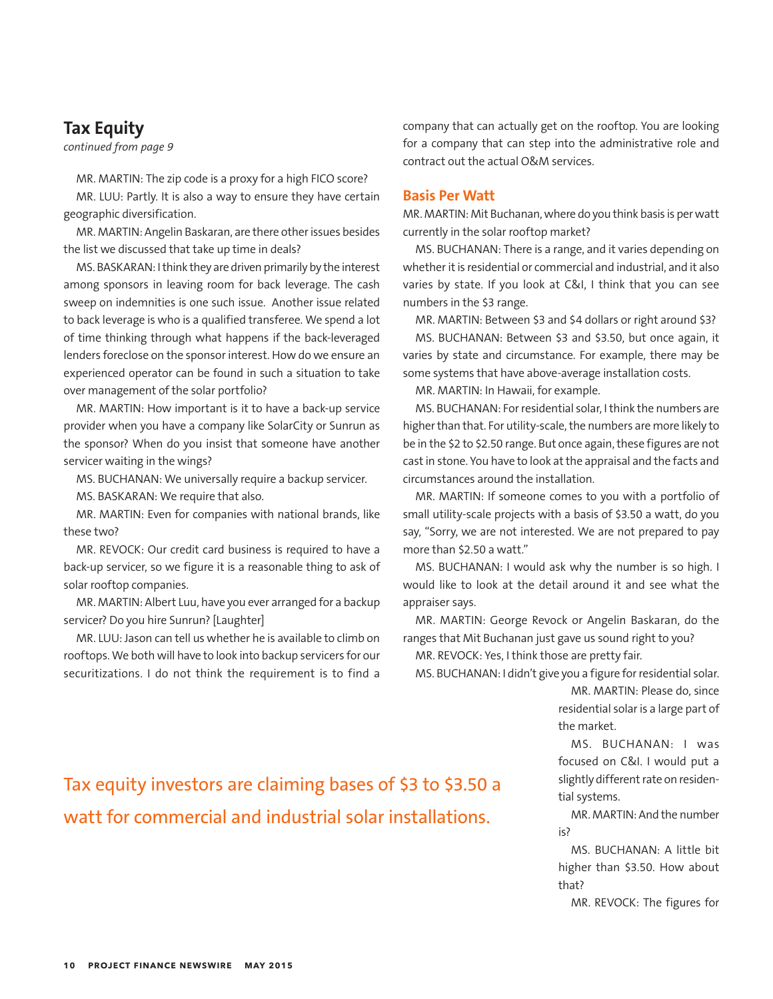## **Tax Equity**

*continued from page 9*

MR. MARTIN: The zip code is a proxy for a high FICO score?

MR. LUU: Partly. It is also a way to ensure they have certain geographic diversification.

MR. MARTIN: Angelin Baskaran, are there other issues besides the list we discussed that take up time in deals?

MS. BASKARAN: I think they are driven primarily by the interest among sponsors in leaving room for back leverage. The cash sweep on indemnities is one such issue. Another issue related to back leverage is who is a qualified transferee. We spend a lot of time thinking through what happens if the back-leveraged lenders foreclose on the sponsor interest. How do we ensure an experienced operator can be found in such a situation to take over management of the solar portfolio?

MR. MARTIN: How important is it to have a back-up service provider when you have a company like SolarCity or Sunrun as the sponsor? When do you insist that someone have another servicer waiting in the wings?

MS. BUCHANAN: We universally require a backup servicer.

MS. BASKARAN: We require that also.

MR. MARTIN: Even for companies with national brands, like these two?

MR. REVOCK: Our credit card business is required to have a back-up servicer, so we figure it is a reasonable thing to ask of solar rooftop companies.

MR. MARTIN: Albert Luu, have you ever arranged for a backup servicer? Do you hire Sunrun? [Laughter]

MR. LUU: Jason can tell us whether he is available to climb on rooftops. We both will have to look into backup servicers for our securitizations. I do not think the requirement is to find a company that can actually get on the rooftop. You are looking for a company that can step into the administrative role and contract out the actual O&M services.

## **Basis Per Watt**

MR. MARTIN: Mit Buchanan, where do you think basis is per watt currently in the solar rooftop market?

MS. BUCHANAN: There is a range, and it varies depending on whether it is residential or commercial and industrial, and it also varies by state. If you look at C&I, I think that you can see numbers in the \$3 range.

MR. MARTIN: Between \$3 and \$4 dollars or right around \$3?

MS. BUCHANAN: Between \$3 and \$3.50, but once again, it varies by state and circumstance. For example, there may be some systems that have above-average installation costs.

MR. MARTIN: In Hawaii, for example.

MS. BUCHANAN: For residential solar, I think the numbers are higher than that. For utility-scale, the numbers are more likely to be in the \$2 to \$2.50 range. But once again, these figures are not cast in stone. You have to look at the appraisal and the facts and circumstances around the installation.

MR. MARTIN: If someone comes to you with a portfolio of small utility-scale projects with a basis of \$3.50 a watt, do you say, "Sorry, we are not interested. We are not prepared to pay more than \$2.50 a watt."

MS. BUCHANAN: I would ask why the number is so high. I would like to look at the detail around it and see what the appraiser says.

MR. MARTIN: George Revock or Angelin Baskaran, do the ranges that Mit Buchanan just gave us sound right to you?

MR. REVOCK: Yes, I think those are pretty fair.

MS. BUCHANAN: I didn't give you a figure for residential solar.

MR. MARTIN: Please do, since residential solar is a large part of the market.

MS. BUCHANAN: I was focused on C&I. I would put a slightly different rate on residential systems.

MR. MARTIN: And the number is?

MS. BUCHANAN: A little bit higher than \$3.50. How about that?

MR. REVOCK: The figures for

## Tax equity investors are claiming bases of \$3 to \$3.50 a watt for commercial and industrial solar installations.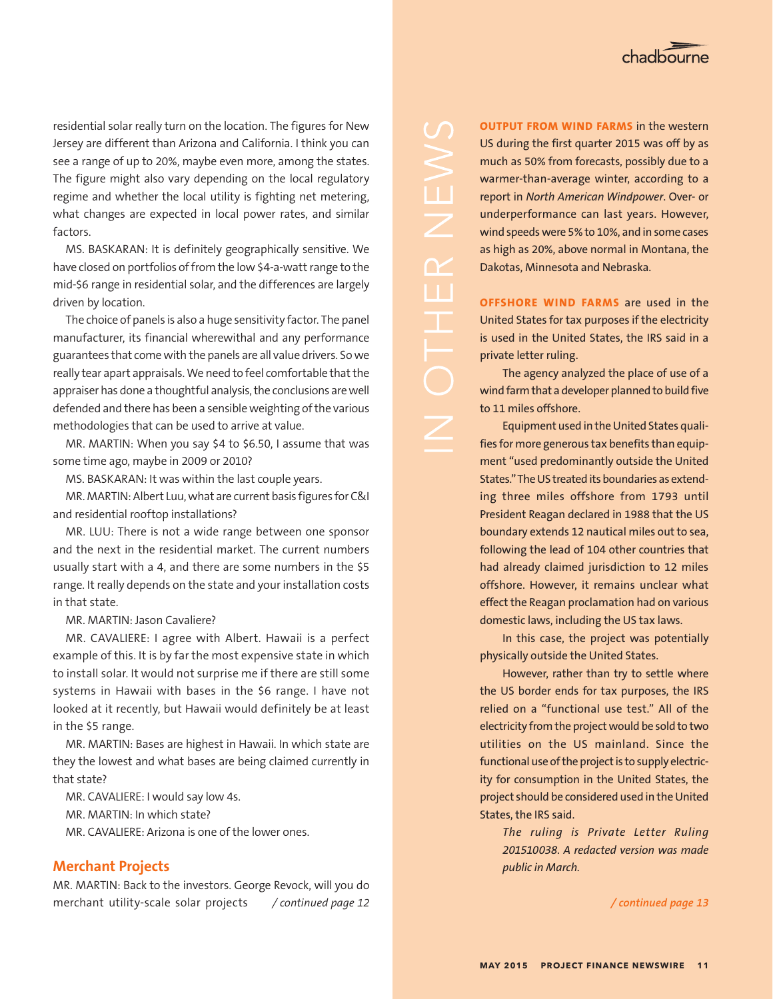residential solar really turn on the location. The figures for New Jersey are different than Arizona and California. I think you can see a range of up to 20%, maybe even more, among the states. The figure might also vary depending on the local regulatory regime and whether the local utility is fighting net metering, what changes are expected in local power rates, and similar factors.

MS. BASKARAN: It is definitely geographically sensitive. We have closed on portfolios of from the low \$4-a-watt range to the mid-\$6 range in residential solar, and the differences are largely driven by location.

The choice of panels is also a huge sensitivity factor. The panel manufacturer, its financial wherewithal and any performance guarantees that come with the panels are all value drivers. So we really tear apart appraisals. We need to feel comfortable that the appraiser has done a thoughtful analysis, the conclusions are well defended and there has been a sensible weighting of the various methodologies that can be used to arrive at value.

MR. MARTIN: When you say \$4 to \$6.50, I assume that was some time ago, maybe in 2009 or 2010?

MS. BASKARAN: It was within the last couple years.

MR. MARTIN: Albert Luu, what are current basis figures for C&I and residential rooftop installations?

MR. LUU: There is not a wide range between one sponsor and the next in the residential market. The current numbers usually start with a 4, and there are some numbers in the \$5 range. It really depends on the state and your installation costs in that state.

MR. MARTIN: Jason Cavaliere?

MR. CAVALIERE: I agree with Albert. Hawaii is a perfect example of this. It is by far the most expensive state in which to install solar. It would not surprise me if there are still some systems in Hawaii with bases in the \$6 range. I have not looked at it recently, but Hawaii would definitely be at least in the \$5 range.

MR. MARTIN: Bases are highest in Hawaii. In which state are they the lowest and what bases are being claimed currently in that state?

MR. CAVALIERE: I would say low 4s.

MR. MARTIN: In which state?

MR. CAVALIERE: Arizona is one of the lower ones.

## **Merchant Projects**

MR. MARTIN: Back to the investors. George Revock, will you do merchant utility-scale solar projects */ continued page 12 / continued page 13*

**OUTPUT FROM WIND FARMS** in the western US during the first quarter 2015 was off by as much as 50% from forecasts, possibly due to a warmer-than-average winter, according to a report in *North American Windpower*. Over- or underperformance can last years. However, wind speeds were 5% to 10%, and in some cases as high as 20%, above normal in Montana, the Dakotas, Minnesota and Nebraska.

**OFFSHORE WIND FARMS** are used in the United States for tax purposes if the electricity is used in the United States, the IRS said in a private letter ruling.

The agency analyzed the place of use of a wind farm that a developer planned to build five to 11 miles offshore.

Equipment used in the United States qualifies for more generous tax benefits than equipment "used predominantly outside the United States." The US treated its boundaries as extending three miles offshore from 1793 until President Reagan declared in 1988 that the US boundary extends 12 nautical miles out to sea, following the lead of 104 other countries that had already claimed jurisdiction to 12 miles offshore. However, it remains unclear what effect the Reagan proclamation had on various domestic laws, including the US tax laws.

In this case, the project was potentially physically outside the United States.

However, rather than try to settle where the US border ends for tax purposes, the IRS relied on a "functional use test." All of the electricity from the project would be sold to two utilities on the US mainland. Since the functional use of the project is to supply electricity for consumption in the United States, the project should be considered used in the United States, the IRS said.

*The ruling is Private Letter Ruling 201510038. A redacted version was made public in March.*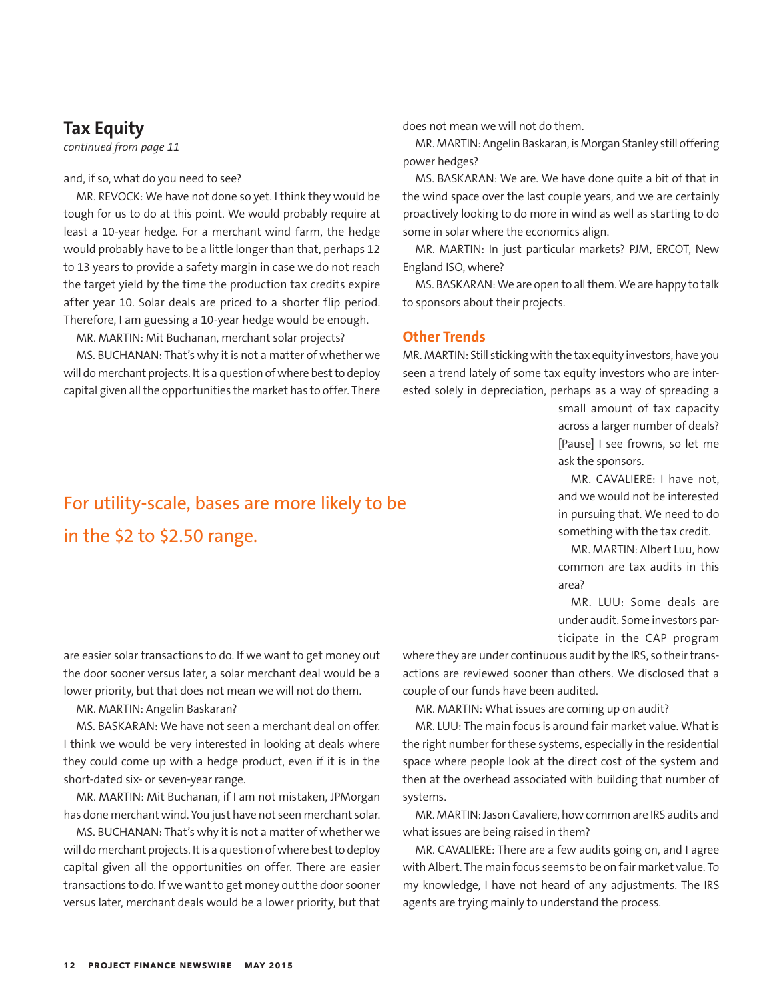## **Tax Equity**

*continued from page 11*

and, if so, what do you need to see?

MR. REVOCK: We have not done so yet. I think they would be tough for us to do at this point. We would probably require at least a 10-year hedge. For a merchant wind farm, the hedge would probably have to be a little longer than that, perhaps 12 to 13 years to provide a safety margin in case we do not reach the target yield by the time the production tax credits expire after year 10. Solar deals are priced to a shorter flip period. Therefore, I am guessing a 10-year hedge would be enough.

MR. MARTIN: Mit Buchanan, merchant solar projects?

MS. BUCHANAN: That's why it is not a matter of whether we will do merchant projects. It is a question of where best to deploy capital given all the opportunities the market has to offer. There

For utility-scale, bases are more likely to be in the \$2 to \$2.50 range.

does not mean we will not do them.

MR. MARTIN: Angelin Baskaran, is Morgan Stanley still offering power hedges?

MS. BASKARAN: We are. We have done quite a bit of that in the wind space over the last couple years, and we are certainly proactively looking to do more in wind as well as starting to do some in solar where the economics align.

MR. MARTIN: In just particular markets? PJM, ERCOT, New England ISO, where?

MS. BASKARAN: We are open to all them. We are happy to talk to sponsors about their projects.

## **Other Trends**

MR. MARTIN: Still sticking with the tax equity investors, have you seen a trend lately of some tax equity investors who are interested solely in depreciation, perhaps as a way of spreading a

> small amount of tax capacity across a larger number of deals? [Pause] I see frowns, so let me ask the sponsors.

> MR. CAVALIERE: I have not, and we would not be interested in pursuing that. We need to do something with the tax credit.

> MR. MARTIN: Albert Luu, how common are tax audits in this area?

> MR. LUU: Some deals are under audit. Some investors participate in the CAP program

are easier solar transactions to do. If we want to get money out the door sooner versus later, a solar merchant deal would be a lower priority, but that does not mean we will not do them.

MR. MARTIN: Angelin Baskaran?

MS. BASKARAN: We have not seen a merchant deal on offer. I think we would be very interested in looking at deals where they could come up with a hedge product, even if it is in the short-dated six- or seven-year range.

MR. MARTIN: Mit Buchanan, if I am not mistaken, JPMorgan has done merchant wind. You just have not seen merchant solar.

MS. BUCHANAN: That's why it is not a matter of whether we will do merchant projects. It is a question of where best to deploy capital given all the opportunities on offer. There are easier transactions to do. If we want to get money out the door sooner versus later, merchant deals would be a lower priority, but that where they are under continuous audit by the IRS, so their transactions are reviewed sooner than others. We disclosed that a couple of our funds have been audited.

MR. MARTIN: What issues are coming up on audit?

MR. LUU: The main focus is around fair market value. What is the right number for these systems, especially in the residential space where people look at the direct cost of the system and then at the overhead associated with building that number of systems.

MR. MARTIN: Jason Cavaliere, how common are IRS audits and what issues are being raised in them?

MR. CAVALIERE: There are a few audits going on, and I agree with Albert. The main focus seems to be on fair market value. To my knowledge, I have not heard of any adjustments. The IRS agents are trying mainly to understand the process.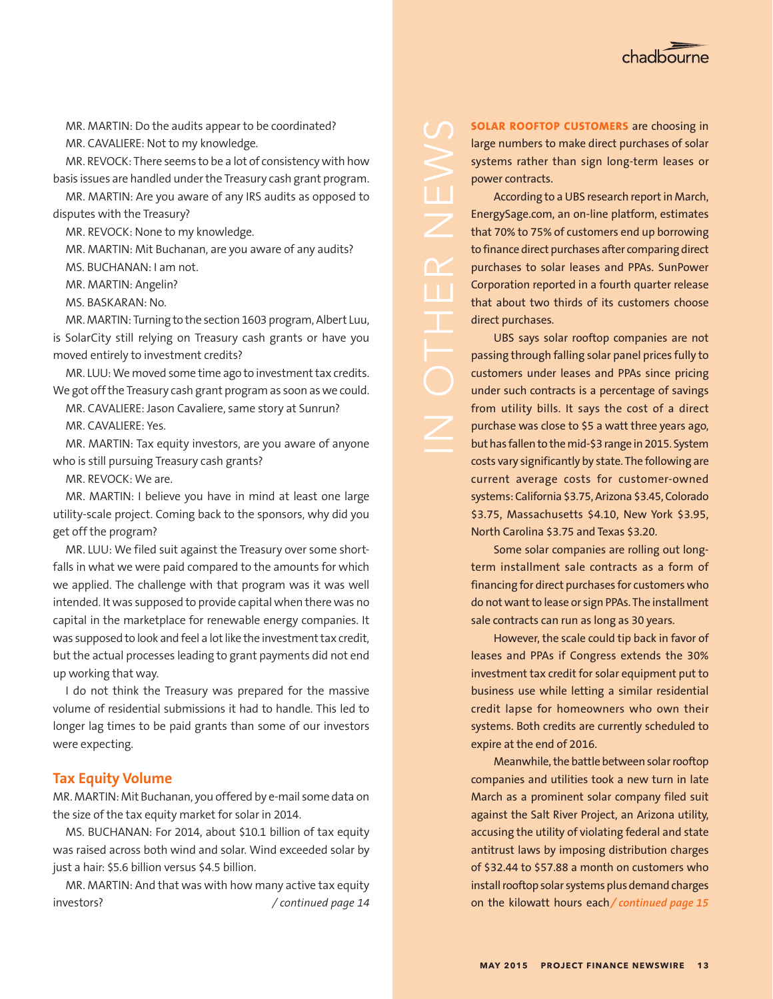

MR. MARTIN: Do the audits appear to be coordinated?

MR. CAVALIERE: Not to my knowledge.

MR. REVOCK: There seems to be a lot of consistency with how basis issues are handled under the Treasury cash grant program.

MR. MARTIN: Are you aware of any IRS audits as opposed to disputes with the Treasury?

MR. REVOCK: None to my knowledge.

MR. MARTIN: Mit Buchanan, are you aware of any audits?

MS. BUCHANAN: I am not.

MR. MARTIN: Angelin?

MS. BASKARAN: No.

MR. MARTIN: Turning to the section 1603 program, Albert Luu, is SolarCity still relying on Treasury cash grants or have you moved entirely to investment credits?

MR. LUU: We moved some time ago to investment tax credits. We got off the Treasury cash grant program as soon as we could.

MR. CAVALIERE: Jason Cavaliere, same story at Sunrun? MR. CAVALIERE: Yes.

MR. MARTIN: Tax equity investors, are you aware of anyone who is still pursuing Treasury cash grants?

MR. REVOCK: We are.

MR. MARTIN: I believe you have in mind at least one large utility-scale project. Coming back to the sponsors, why did you get off the program?

MR. LUU: We filed suit against the Treasury over some shortfalls in what we were paid compared to the amounts for which we applied. The challenge with that program was it was well intended. It was supposed to provide capital when there was no capital in the marketplace for renewable energy companies. It was supposed to look and feel a lot like the investment tax credit, but the actual processes leading to grant payments did not end up working that way.

I do not think the Treasury was prepared for the massive volume of residential submissions it had to handle. This led to longer lag times to be paid grants than some of our investors were expecting.

## **Tax Equity Volume**

MR. MARTIN: Mit Buchanan, you offered by e-mail some data on the size of the tax equity market for solar in 2014.

MS. BUCHANAN: For 2014, about \$10.1 billion of tax equity was raised across both wind and solar. Wind exceeded solar by just a hair: \$5.6 billion versus \$4.5 billion.

on the kilowatt hours each investors? */ continued page 14 / continued page 15*MR. MARTIN: And that was with how many active tax equity

**SOLAR ROOFTOP CUSTOMERS** are choosing in large numbers to make direct purchases of solar systems rather than sign long-term leases or power contracts.

According to a UBS research report in March, EnergySage.com, an on-line platform, estimates that 70% to 75% of customers end up borrowing to finance direct purchases after comparing direct purchases to solar leases and PPAs. SunPower Corporation reported in a fourth quarter release that about two thirds of its customers choose direct purchases.

 $\Box$ 

UBS says solar rooftop companies are not passing through falling solar panel prices fully to customers under leases and PPAs since pricing under such contracts is a percentage of savings from utility bills. It says the cost of a direct purchase was close to \$5 a watt three years ago, but has fallen to the mid-\$3 range in 2015. System costs vary significantly by state. The following are current average costs for customer-owned systems: California \$3.75, Arizona \$3.45, Colorado \$3.75, Massachusetts \$4.10, New York \$3.95, North Carolina \$3.75 and Texas \$3.20.

Some solar companies are rolling out longterm installment sale contracts as a form of financing for direct purchases for customers who do not want to lease or sign PPAs. The installment sale contracts can run as long as 30 years.

However, the scale could tip back in favor of leases and PPAs if Congress extends the 30% investment tax credit for solar equipment put to business use while letting a similar residential credit lapse for homeowners who own their systems. Both credits are currently scheduled to expire at the end of 2016.

Meanwhile, the battle between solar rooftop companies and utilities took a new turn in late March as a prominent solar company filed suit against the Salt River Project, an Arizona utility, accusing the utility of violating federal and state antitrust laws by imposing distribution charges of \$32.44 to \$57.88 a month on customers who install rooftop solar systems plus demand charges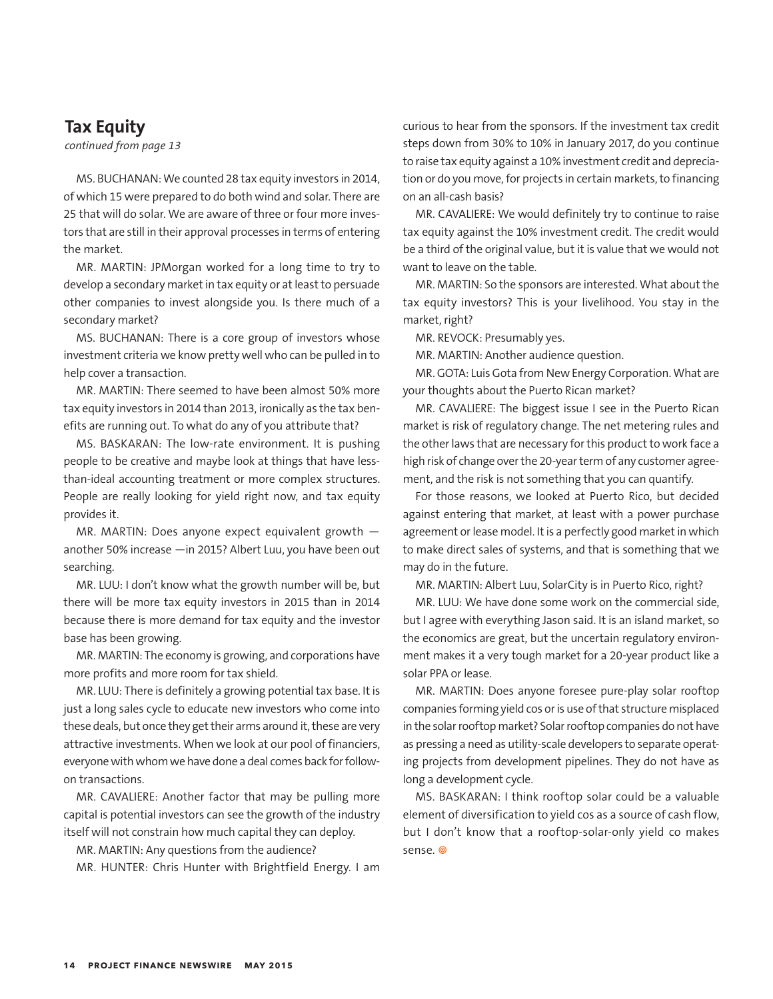## **Tax Equity**

*continued from page 13*

MS. BUCHANAN: We counted 28 tax equity investors in 2014, of which 15 were prepared to do both wind and solar. There are 25 that will do solar. We are aware of three or four more investors that are still in their approval processes in terms of entering the market.

MR. MARTIN: JPMorgan worked for a long time to try to develop a secondary market in tax equity or at least to persuade other companies to invest alongside you. Is there much of a secondary market?

MS. BUCHANAN: There is a core group of investors whose investment criteria we know pretty well who can be pulled in to help cover a transaction.

MR. MARTIN: There seemed to have been almost 50% more tax equity investors in 2014 than 2013, ironically as the tax benefits are running out. To what do any of you attribute that?

MS. BASKARAN: The low-rate environment. It is pushing people to be creative and maybe look at things that have lessthan-ideal accounting treatment or more complex structures. People are really looking for yield right now, and tax equity provides it.

MR. MARTIN: Does anyone expect equivalent growth another 50% increase —in 2015? Albert Luu, you have been out searching.

MR. LUU: I don't know what the growth number will be, but there will be more tax equity investors in 2015 than in 2014 because there is more demand for tax equity and the investor base has been growing.

MR. MARTIN: The economy is growing, and corporations have more profits and more room for tax shield.

MR. LUU: There is definitely a growing potential tax base. It is just a long sales cycle to educate new investors who come into these deals, but once they get their arms around it, these are very attractive investments. When we look at our pool of financiers, everyone with whom we have done a deal comes back for followon transactions.

MR. CAVALIERE: Another factor that may be pulling more capital is potential investors can see the growth of the industry itself will not constrain how much capital they can deploy.

MR. MARTIN: Any questions from the audience?

MR. HUNTER: Chris Hunter with Brightfield Energy. I am

curious to hear from the sponsors. If the investment tax credit steps down from 30% to 10% in January 2017, do you continue to raise tax equity against a 10% investment credit and depreciation or do you move, for projects in certain markets, to financing on an all-cash basis?

MR. CAVALIERE: We would definitely try to continue to raise tax equity against the 10% investment credit. The credit would be a third of the original value, but it is value that we would not want to leave on the table.

MR. MARTIN: So the sponsors are interested. What about the tax equity investors? This is your livelihood. You stay in the market, right?

MR. REVOCK: Presumably yes.

MR. MARTIN: Another audience question.

MR. GOTA: Luis Gota from New Energy Corporation. What are your thoughts about the Puerto Rican market?

MR. CAVALIERE: The biggest issue I see in the Puerto Rican market is risk of regulatory change. The net metering rules and the other laws that are necessary for this product to work face a high risk of change over the 20-year term of any customer agreement, and the risk is not something that you can quantify.

For those reasons, we looked at Puerto Rico, but decided against entering that market, at least with a power purchase agreement or lease model. It is a perfectly good market in which to make direct sales of systems, and that is something that we may do in the future.

MR. MARTIN: Albert Luu, SolarCity is in Puerto Rico, right?

MR. LUU: We have done some work on the commercial side, but I agree with everything Jason said. It is an island market, so the economics are great, but the uncertain regulatory environment makes it a very tough market for a 20-year product like a solar PPA or lease.

MR. MARTIN: Does anyone foresee pure-play solar rooftop companies forming yield cos or is use of that structure misplaced in the solar rooftop market? Solar rooftop companies do not have as pressing a need as utility-scale developers to separate operating projects from development pipelines. They do not have as long a development cycle.

MS. BASKARAN: I think rooftop solar could be a valuable element of diversification to yield cos as a source of cash flow, but I don't know that a rooftop-solar-only yield co makes sense.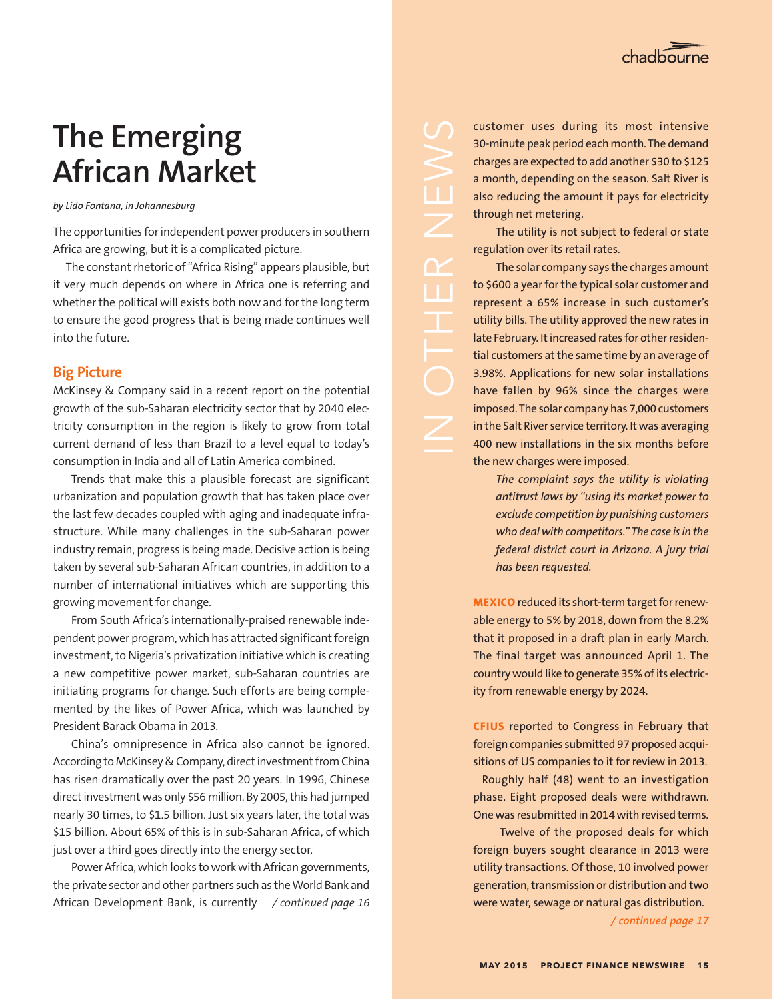

## **The Emerging African Market**

*by Lido Fontana, in Johannesburg*

The opportunities for independent power producers in southern Africa are growing, but it is a complicated picture.

The constant rhetoric of "Africa Rising" appears plausible, but it very much depends on where in Africa one is referring and whether the political will exists both now and for the long term to ensure the good progress that is being made continues well into the future.

## **Big Picture**

McKinsey & Company said in a recent report on the potential growth of the sub-Saharan electricity sector that by 2040 electricity consumption in the region is likely to grow from total current demand of less than Brazil to a level equal to today's consumption in India and all of Latin America combined.

Trends that make this a plausible forecast are significant urbanization and population growth that has taken place over the last few decades coupled with aging and inadequate infrastructure. While many challenges in the sub-Saharan power industry remain, progress is being made. Decisive action is being taken by several sub-Saharan African countries, in addition to a number of international initiatives which are supporting this growing movement for change.

From South Africa's internationally-praised renewable independent power program, which has attracted significant foreign investment, to Nigeria's privatization initiative which is creating a new competitive power market, sub-Saharan countries are initiating programs for change. Such efforts are being complemented by the likes of Power Africa, which was launched by President Barack Obama in 2013.

China's omnipresence in Africa also cannot be ignored. According to McKinsey & Company, direct investment from China has risen dramatically over the past 20 years. In 1996, Chinese direct investment was only \$56 million. By 2005, this had jumped nearly 30 times, to \$1.5 billion. Just six years later, the total was \$15 billion. About 65% of this is in sub-Saharan Africa, of which just over a third goes directly into the energy sector.

Power Africa, which looks to work with African governments, the private sector and other partners such as the World Bank and African Development Bank, is currently */ continued page 16*

customer uses during its most intensive 30-minute peak period each month. The demand charges are expected to add another \$30 to \$125 a month, depending on the season. Salt River is also reducing the amount it pays for electricity through net metering.

The utility is not subject to federal or state regulation over its retail rates.

The solar company says the charges amount to \$600 a year for the typical solar customer and represent a 65% increase in such customer's utility bills. The utility approved the new rates in late February. It increased rates for other residential customers at the same time by an average of 3.98%. Applications for new solar installations have fallen by 96% since the charges were imposed. The solar company has 7,000 customers in the Salt River service territory. It was averaging 400 new installations in the six months before the new charges were imposed.

*The complaint says the utility is violating antitrust laws by "using its market power to exclude competition by punishing customers who deal with competitors." The case is in the federal district court in Arizona. A jury trial has been requested.*

**MEXICO** reduced its short-term target for renewable energy to 5% by 2018, down from the 8.2% that it proposed in a draft plan in early March. The final target was announced April 1. The country would like to generate 35% of its electricity from renewable energy by 2024.

**CFIUS** reported to Congress in February that foreign companies submitted 97 proposed acquisitions of US companies to it for review in 2013.

 Roughly half (48) went to an investigation phase. Eight proposed deals were withdrawn. One was resubmitted in 2014 with revised terms.

 Twelve of the proposed deals for which foreign buyers sought clearance in 2013 were utility transactions. Of those, 10 involved power generation, transmission or distribution and two were water, sewage or natural gas distribution.

*/ continued page 17*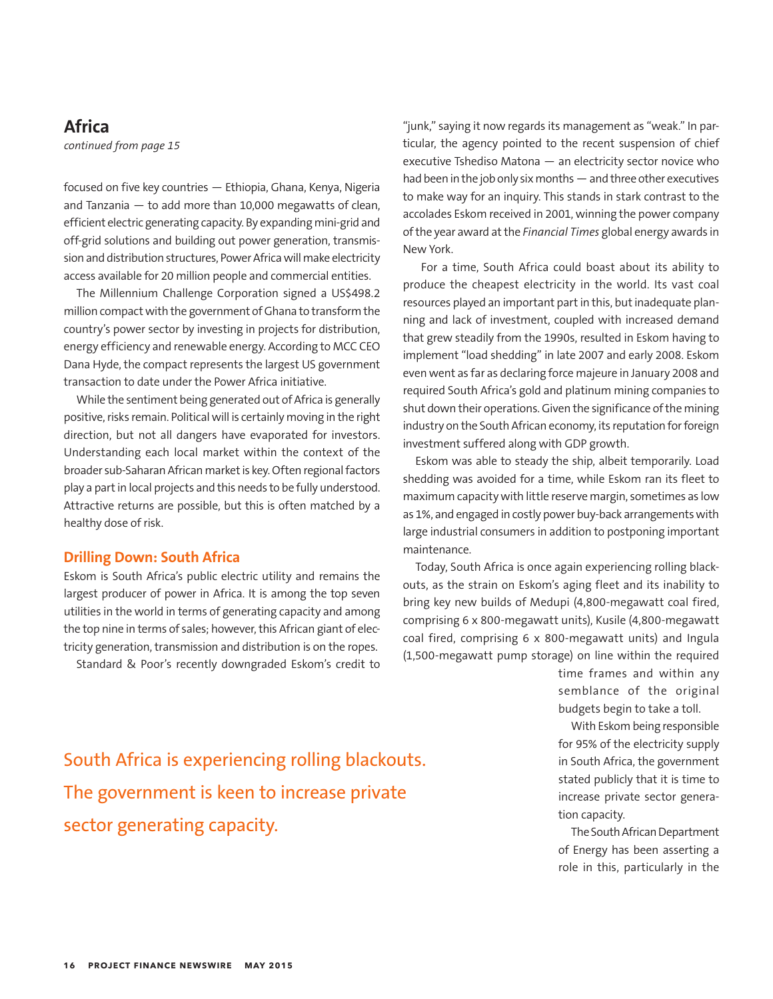## **Africa**

*continued from page 15*

focused on five key countries — Ethiopia, Ghana, Kenya, Nigeria and Tanzania — to add more than 10,000 megawatts of clean, efficient electric generating capacity. By expanding mini-grid and off-grid solutions and building out power generation, transmission and distribution structures, Power Africa will make electricity access available for 20 million people and commercial entities.

The Millennium Challenge Corporation signed a US\$498.2 million compact with the government of Ghana to transform the country's power sector by investing in projects for distribution, energy efficiency and renewable energy. According to MCC CEO Dana Hyde, the compact represents the largest US government transaction to date under the Power Africa initiative.

While the sentiment being generated out of Africa is generally positive, risks remain. Political will is certainly moving in the right direction, but not all dangers have evaporated for investors. Understanding each local market within the context of the broader sub-Saharan African market is key. Often regional factors play a part in local projects and this needs to be fully understood. Attractive returns are possible, but this is often matched by a healthy dose of risk.

### **Drilling Down: South Africa**

Eskom is South Africa's public electric utility and remains the largest producer of power in Africa. It is among the top seven utilities in the world in terms of generating capacity and among the top nine in terms of sales; however, this African giant of electricity generation, transmission and distribution is on the ropes.

Standard & Poor's recently downgraded Eskom's credit to

"junk," saying it now regards its management as "weak." In particular, the agency pointed to the recent suspension of chief executive Tshediso Matona — an electricity sector novice who had been in the job only six months — and three other executives to make way for an inquiry. This stands in stark contrast to the accolades Eskom received in 2001, winning the power company of the year award at the *Financial Times* global energy awards in New York.

For a time, South Africa could boast about its ability to produce the cheapest electricity in the world. Its vast coal resources played an important part in this, but inadequate planning and lack of investment, coupled with increased demand that grew steadily from the 1990s, resulted in Eskom having to implement "load shedding" in late 2007 and early 2008. Eskom even went as far as declaring force majeure in January 2008 and required South Africa's gold and platinum mining companies to shut down their operations. Given the significance of the mining industry on the South African economy, its reputation for foreign investment suffered along with GDP growth.

Eskom was able to steady the ship, albeit temporarily. Load shedding was avoided for a time, while Eskom ran its fleet to maximum capacity with little reserve margin, sometimes as low as 1%, and engaged in costly power buy-back arrangements with large industrial consumers in addition to postponing important maintenance.

Today, South Africa is once again experiencing rolling blackouts, as the strain on Eskom's aging fleet and its inability to bring key new builds of Medupi (4,800-megawatt coal fired, comprising 6 x 800-megawatt units), Kusile (4,800-megawatt coal fired, comprising 6 x 800-megawatt units) and Ingula (1,500-megawatt pump storage) on line within the required

> time frames and within any semblance of the original budgets begin to take a toll.

South Africa is experiencing rolling blackouts. The government is keen to increase private sector generating capacity.

With Eskom being responsible for 95% of the electricity supply in South Africa, the government stated publicly that it is time to increase private sector generation capacity.

The South African Department of Energy has been asserting a role in this, particularly in the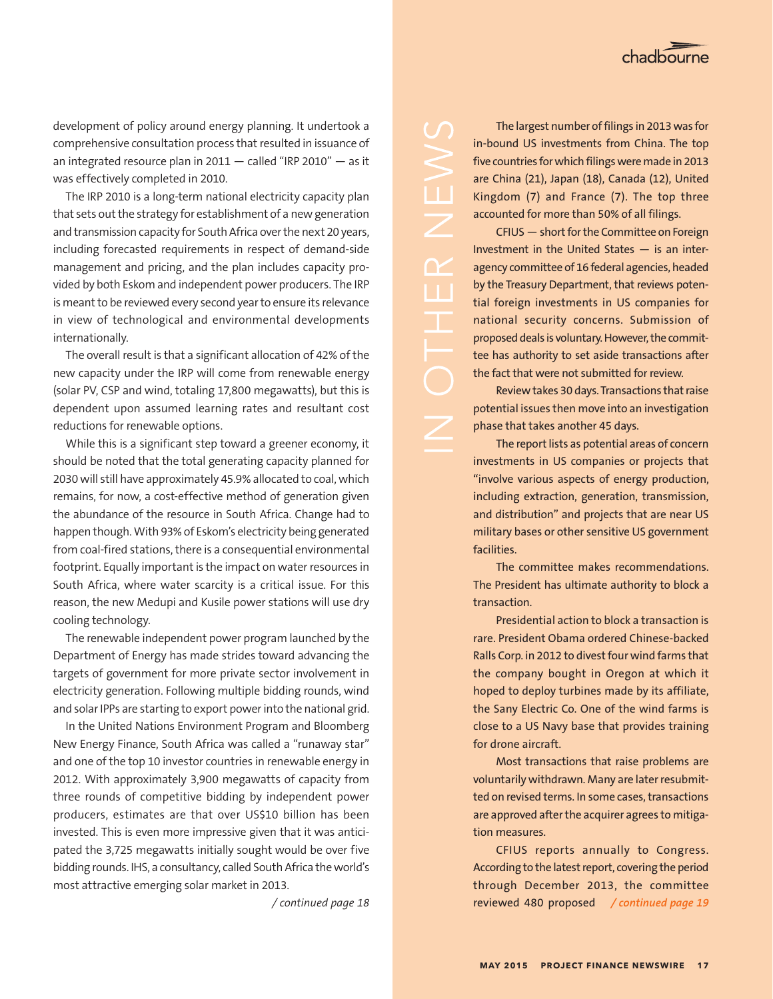development of policy around energy planning. It undertook a comprehensive consultation process that resulted in issuance of an integrated resource plan in  $2011 -$  called "IRP 2010"  $-$  as it was effectively completed in 2010.

The IRP 2010 is a long-term national electricity capacity plan that sets out the strategy for establishment of a new generation and transmission capacity for South Africa over the next 20 years, including forecasted requirements in respect of demand-side management and pricing, and the plan includes capacity provided by both Eskom and independent power producers. The IRP is meant to be reviewed every second year to ensure its relevance in view of technological and environmental developments internationally.

The overall result is that a significant allocation of 42% of the new capacity under the IRP will come from renewable energy (solar PV, CSP and wind, totaling 17,800 megawatts), but this is dependent upon assumed learning rates and resultant cost reductions for renewable options.

While this is a significant step toward a greener economy, it should be noted that the total generating capacity planned for 2030 will still have approximately 45.9% allocated to coal, which remains, for now, a cost-effective method of generation given the abundance of the resource in South Africa. Change had to happen though. With 93% of Eskom's electricity being generated from coal-fired stations, there is a consequential environmental footprint. Equally important is the impact on water resources in South Africa, where water scarcity is a critical issue. For this reason, the new Medupi and Kusile power stations will use dry cooling technology.

The renewable independent power program launched by the Department of Energy has made strides toward advancing the targets of government for more private sector involvement in electricity generation. Following multiple bidding rounds, wind and solar IPPs are starting to export power into the national grid.

In the United Nations Environment Program and Bloomberg New Energy Finance, South Africa was called a "runaway star" and one of the top 10 investor countries in renewable energy in 2012. With approximately 3,900 megawatts of capacity from three rounds of competitive bidding by independent power producers, estimates are that over US\$10 billion has been invested. This is even more impressive given that it was anticipated the 3,725 megawatts initially sought would be over five bidding rounds. IHS, a consultancy, called South Africa the world's most attractive emerging solar market in 2013.

 $\Box$ 

The largest number of filings in 2013 was for in-bound US investments from China. The top five countries for which filings were made in 2013 are China (21), Japan (18), Canada (12), United Kingdom (7) and France (7). The top three accounted for more than 50% of all filings.

CFIUS — short for the Committee on Foreign Investment in the United States — is an interagency committee of 16 federal agencies, headed by the Treasury Department, that reviews potential foreign investments in US companies for national security concerns. Submission of proposed deals is voluntary. However, the committee has authority to set aside transactions after the fact that were not submitted for review.

Review takes 30 days. Transactions that raise potential issues then move into an investigation phase that takes another 45 days.

The report lists as potential areas of concern investments in US companies or projects that "involve various aspects of energy production, including extraction, generation, transmission, and distribution" and projects that are near US military bases or other sensitive US government facilities.

The committee makes recommendations. The President has ultimate authority to block a transaction.

Presidential action to block a transaction is rare. President Obama ordered Chinese-backed Ralls Corp. in 2012 to divest four wind farms that the company bought in Oregon at which it hoped to deploy turbines made by its affiliate, the Sany Electric Co. One of the wind farms is close to a US Navy base that provides training for drone aircraft.

Most transactions that raise problems are voluntarily withdrawn. Many are later resubmitted on revised terms. In some cases, transactions are approved after the acquirer agrees to mitigation measures.

CFIUS reports annually to Congress. According to the latest report, covering the period through December 2013, the committee */ continued page 18* reviewed 480 proposed */ continued page 19*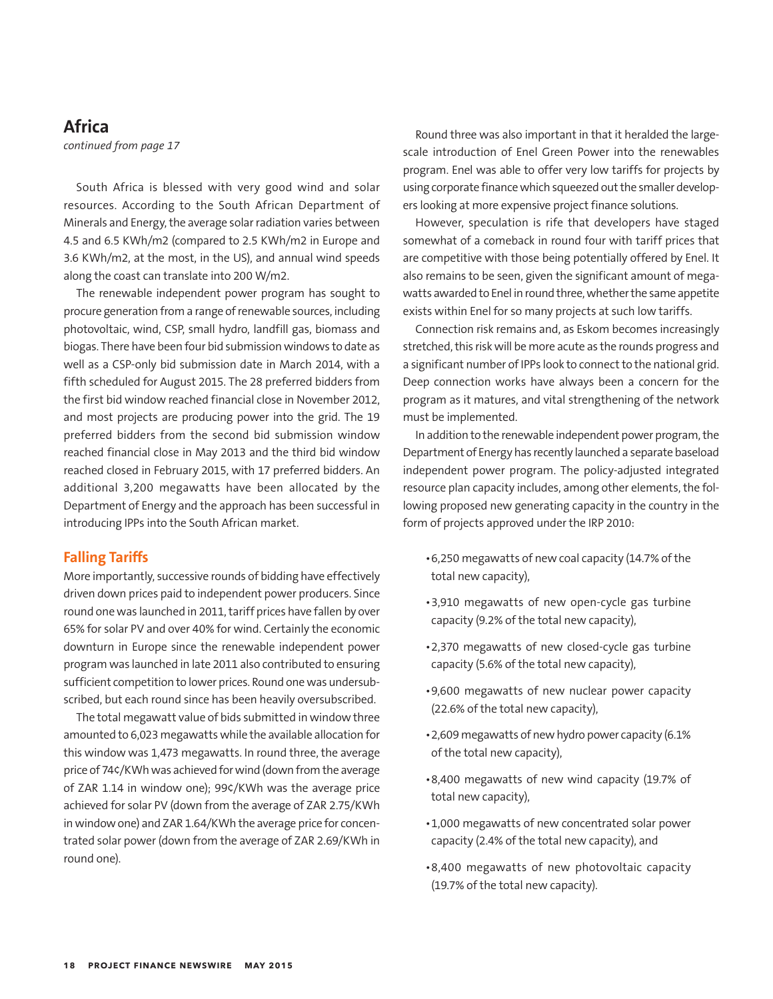## **Africa**

*continued from page 17*

South Africa is blessed with very good wind and solar resources. According to the South African Department of Minerals and Energy, the average solar radiation varies between 4.5 and 6.5 KWh/m2 (compared to 2.5 KWh/m2 in Europe and 3.6 KWh/m2, at the most, in the US), and annual wind speeds along the coast can translate into 200 W/m2.

The renewable independent power program has sought to procure generation from a range of renewable sources, including photovoltaic, wind, CSP, small hydro, landfill gas, biomass and biogas. There have been four bid submission windows to date as well as a CSP-only bid submission date in March 2014, with a fifth scheduled for August 2015. The 28 preferred bidders from the first bid window reached financial close in November 2012, and most projects are producing power into the grid. The 19 preferred bidders from the second bid submission window reached financial close in May 2013 and the third bid window reached closed in February 2015, with 17 preferred bidders. An additional 3,200 megawatts have been allocated by the Department of Energy and the approach has been successful in introducing IPPs into the South African market.

## **Falling Tariffs**

More importantly, successive rounds of bidding have effectively driven down prices paid to independent power producers. Since round one was launched in 2011, tariff prices have fallen by over 65% for solar PV and over 40% for wind. Certainly the economic downturn in Europe since the renewable independent power program was launched in late 2011 also contributed to ensuring sufficient competition to lower prices. Round one was undersubscribed, but each round since has been heavily oversubscribed.

The total megawatt value of bids submitted in window three amounted to 6,023 megawatts while the available allocation for this window was 1,473 megawatts. In round three, the average price of 74¢/KWh was achieved for wind (down from the average of ZAR 1.14 in window one); 99¢/KWh was the average price achieved for solar PV (down from the average of ZAR 2.75/KWh in window one) and ZAR 1.64/KWh the average price for concentrated solar power (down from the average of ZAR 2.69/KWh in round one).

Round three was also important in that it heralded the largescale introduction of Enel Green Power into the renewables program. Enel was able to offer very low tariffs for projects by using corporate finance which squeezed out the smaller developers looking at more expensive project finance solutions.

However, speculation is rife that developers have staged somewhat of a comeback in round four with tariff prices that are competitive with those being potentially offered by Enel. It also remains to be seen, given the significant amount of megawatts awarded to Enel in round three, whether the same appetite exists within Enel for so many projects at such low tariffs.

Connection risk remains and, as Eskom becomes increasingly stretched, this risk will be more acute as the rounds progress and a significant number of IPPs look to connect to the national grid. Deep connection works have always been a concern for the program as it matures, and vital strengthening of the network must be implemented.

In addition to the renewable independent power program, the Department of Energy has recently launched a separate baseload independent power program. The policy-adjusted integrated resource plan capacity includes, among other elements, the following proposed new generating capacity in the country in the form of projects approved under the IRP 2010:

- • 6,250 megawatts of new coal capacity (14.7% of the total new capacity),
- • 3,910 megawatts of new open-cycle gas turbine capacity (9.2% of the total new capacity),
- • 2,370 megawatts of new closed-cycle gas turbine capacity (5.6% of the total new capacity),
- • 9,600 megawatts of new nuclear power capacity (22.6% of the total new capacity),
- • 2,609 megawatts of new hydro power capacity (6.1% of the total new capacity),
- • 8,400 megawatts of new wind capacity (19.7% of total new capacity),
- • 1,000 megawatts of new concentrated solar power capacity (2.4% of the total new capacity), and
- • 8,400 megawatts of new photovoltaic capacity (19.7% of the total new capacity).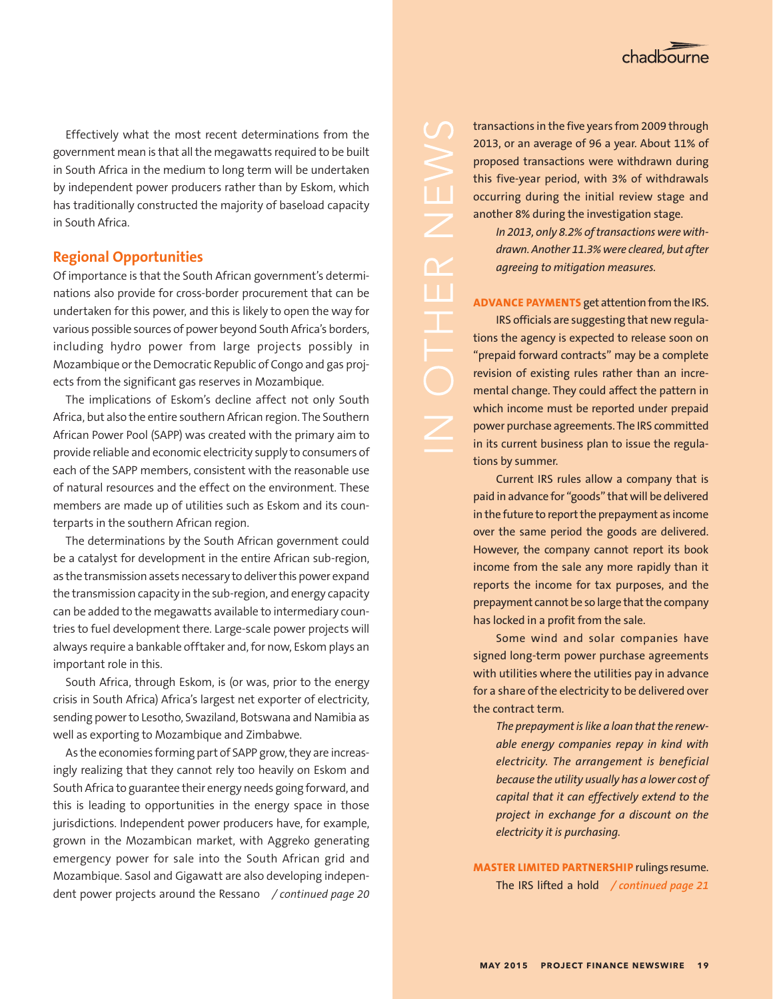Effectively what the most recent determinations from the government mean is that all the megawatts required to be built in South Africa in the medium to long term will be undertaken by independent power producers rather than by Eskom, which has traditionally constructed the majority of baseload capacity in South Africa.

## **Regional Opportunities**

Of importance is that the South African government's determinations also provide for cross-border procurement that can be undertaken for this power, and this is likely to open the way for various possible sources of power beyond South Africa's borders, including hydro power from large projects possibly in Mozambique or the Democratic Republic of Congo and gas projects from the significant gas reserves in Mozambique.

The implications of Eskom's decline affect not only South Africa, but also the entire southern African region. The Southern African Power Pool (SAPP) was created with the primary aim to provide reliable and economic electricity supply to consumers of each of the SAPP members, consistent with the reasonable use of natural resources and the effect on the environment. These members are made up of utilities such as Eskom and its counterparts in the southern African region.

The determinations by the South African government could be a catalyst for development in the entire African sub-region, as the transmission assets necessary to deliver this power expand the transmission capacity in the sub-region, and energy capacity can be added to the megawatts available to intermediary countries to fuel development there. Large-scale power projects will always require a bankable offtaker and, for now, Eskom plays an important role in this.

South Africa, through Eskom, is (or was, prior to the energy crisis in South Africa) Africa's largest net exporter of electricity, sending power to Lesotho, Swaziland, Botswana and Namibia as well as exporting to Mozambique and Zimbabwe.

As the economies forming part of SAPP grow, they are increasingly realizing that they cannot rely too heavily on Eskom and South Africa to guarantee their energy needs going forward, and this is leading to opportunities in the energy space in those jurisdictions. Independent power producers have, for example, grown in the Mozambican market, with Aggreko generating emergency power for sale into the South African grid and Mozambique. Sasol and Gigawatt are also developing independent power projects around the Ressano / continued page 20

transactions in the five years from 2009 through 2013, or an average of 96 a year. About 11% of proposed transactions were withdrawn during this five-year period, with 3% of withdrawals occurring during the initial review stage and another 8% during the investigation stage.

*In 2013, only 8.2% of transactions were withdrawn. Another 11.3% were cleared, but after agreeing to mitigation measures.*

### **ADVANCE PAYMENTS** get attention from the IRS.

IRS officials are suggesting that new regulations the agency is expected to release soon on "prepaid forward contracts" may be a complete revision of existing rules rather than an incremental change. They could affect the pattern in which income must be reported under prepaid power purchase agreements. The IRS committed in its current business plan to issue the regulations by summer.

Current IRS rules allow a company that is paid in advance for "goods" that will be delivered in the future to report the prepayment as income over the same period the goods are delivered. However, the company cannot report its book income from the sale any more rapidly than it reports the income for tax purposes, and the prepayment cannot be so large that the company has locked in a profit from the sale.

Some wind and solar companies have signed long-term power purchase agreements with utilities where the utilities pay in advance for a share of the electricity to be delivered over the contract term.

*The prepayment is like a loan that the renewable energy companies repay in kind with electricity. The arrangement is beneficial because the utility usually has a lower cost of capital that it can effectively extend to the project in exchange for a discount on the electricity it is purchasing.* 

**MASTER LIMITED PARTNERSHIP** rulings resume. The IRS lifted a hold */ continued page 21 / continued page 20*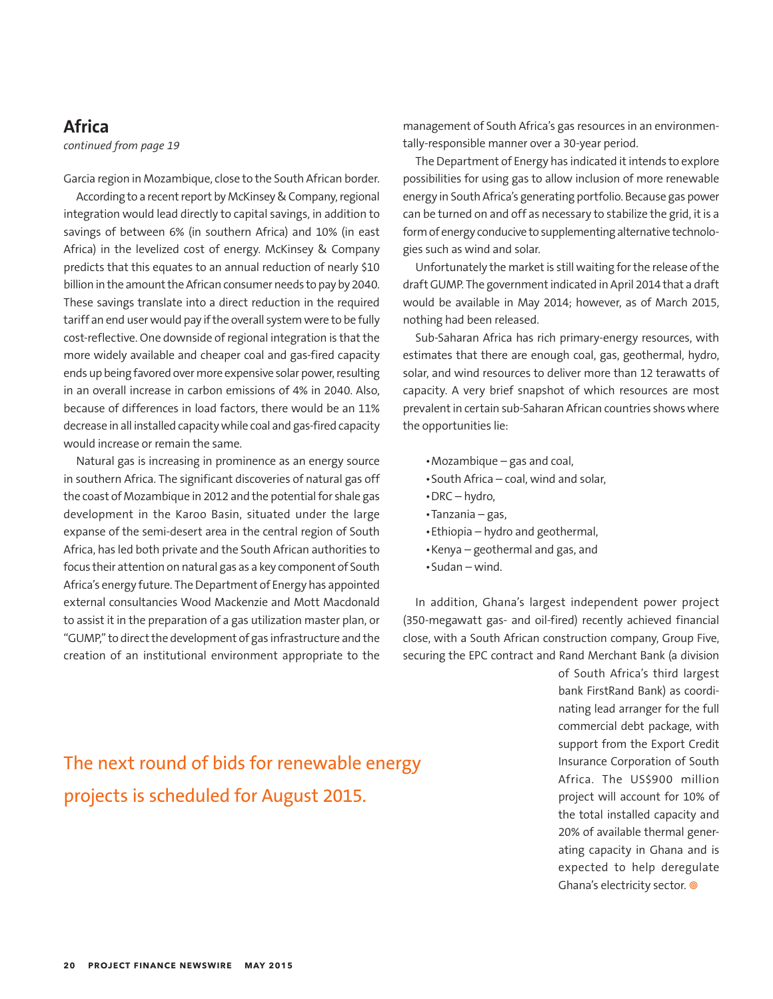## **Africa**

*continued from page 19*

Garcia region in Mozambique, close to the South African border.

According to a recent report by McKinsey & Company, regional integration would lead directly to capital savings, in addition to savings of between 6% (in southern Africa) and 10% (in east Africa) in the levelized cost of energy. McKinsey & Company predicts that this equates to an annual reduction of nearly \$10 billion in the amount the African consumer needs to pay by 2040. These savings translate into a direct reduction in the required tariff an end user would pay if the overall system were to be fully cost-reflective. One downside of regional integration is that the more widely available and cheaper coal and gas-fired capacity ends up being favored over more expensive solar power, resulting in an overall increase in carbon emissions of 4% in 2040. Also, because of differences in load factors, there would be an 11% decrease in all installed capacity while coal and gas-fired capacity would increase or remain the same.

Natural gas is increasing in prominence as an energy source in southern Africa. The significant discoveries of natural gas off the coast of Mozambique in 2012 and the potential for shale gas development in the Karoo Basin, situated under the large expanse of the semi-desert area in the central region of South Africa, has led both private and the South African authorities to focus their attention on natural gas as a key component of South Africa's energy future. The Department of Energy has appointed external consultancies Wood Mackenzie and Mott Macdonald to assist it in the preparation of a gas utilization master plan, or "GUMP," to direct the development of gas infrastructure and the creation of an institutional environment appropriate to the

The next round of bids for renewable energy projects is scheduled for August 2015.

management of South Africa's gas resources in an environmentally-responsible manner over a 30-year period.

The Department of Energy has indicated it intends to explore possibilities for using gas to allow inclusion of more renewable energy in South Africa's generating portfolio. Because gas power can be turned on and off as necessary to stabilize the grid, it is a form of energy conducive to supplementing alternative technologies such as wind and solar.

Unfortunately the market is still waiting for the release of the draft GUMP. The government indicated in April 2014 that a draft would be available in May 2014; however, as of March 2015, nothing had been released.

Sub-Saharan Africa has rich primary-energy resources, with estimates that there are enough coal, gas, geothermal, hydro, solar, and wind resources to deliver more than 12 terawatts of capacity. A very brief snapshot of which resources are most prevalent in certain sub-Saharan African countries shows where the opportunities lie:

- • Mozambique gas and coal,
- • South Africa coal, wind and solar,
- $\cdot$  DRC hydro,
- • Tanzania gas,
- Ethiopia hydro and geothermal,
- • Kenya geothermal and gas, and
- • Sudan wind.

In addition, Ghana's largest independent power project (350-megawatt gas- and oil-fired) recently achieved financial close, with a South African construction company, Group Five, securing the EPC contract and Rand Merchant Bank (a division

> of South Africa's third largest bank FirstRand Bank) as coordinating lead arranger for the full commercial debt package, with support from the Export Credit Insurance Corporation of South Africa. The US\$900 million project will account for 10% of the total installed capacity and 20% of available thermal generating capacity in Ghana and is expected to help deregulate Ghana's electricity sector. <sup>@</sup>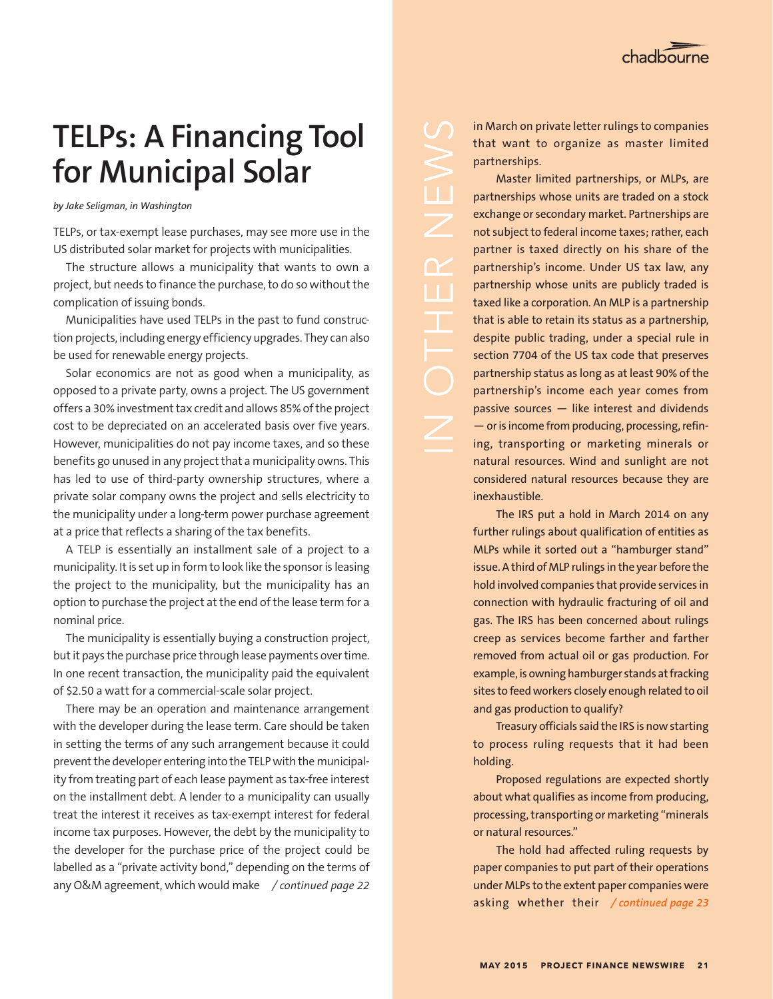## **TELPs: A Financing Tool for Municipal Solar**

*by Jake Seligman, in Washington*

TELPs, or tax-exempt lease purchases, may see more use in the US distributed solar market for projects with municipalities.

The structure allows a municipality that wants to own a project, but needs to finance the purchase, to do so without the complication of issuing bonds.

Municipalities have used TELPs in the past to fund construction projects, including energy efficiency upgrades. They can also be used for renewable energy projects.

Solar economics are not as good when a municipality, as opposed to a private party, owns a project. The US government offers a 30% investment tax credit and allows 85% of the project cost to be depreciated on an accelerated basis over five years. However, municipalities do not pay income taxes, and so these benefits go unused in any project that a municipality owns. This has led to use of third-party ownership structures, where a private solar company owns the project and sells electricity to the municipality under a long-term power purchase agreement at a price that reflects a sharing of the tax benefits.

A TELP is essentially an installment sale of a project to a municipality. It is set up in form to look like the sponsor is leasing the project to the municipality, but the municipality has an option to purchase the project at the end of the lease term for a nominal price.

The municipality is essentially buying a construction project, but it pays the purchase price through lease payments over time. In one recent transaction, the municipality paid the equivalent of \$2.50 a watt for a commercial-scale solar project.

There may be an operation and maintenance arrangement with the developer during the lease term. Care should be taken in setting the terms of any such arrangement because it could prevent the developer entering into the TELP with the municipality from treating part of each lease payment as tax-free interest on the installment debt. A lender to a municipality can usually treat the interest it receives as tax-exempt interest for federal income tax purposes. However, the debt by the municipality to the developer for the purchase price of the project could be labelled as a "private activity bond," depending on the terms of any O&M agreement, which would make */ continued page 22*

in March on private letter rulings to companies that want to organize as master limited partnerships.

Master limited partnerships, or MLPs, are partnerships whose units are traded on a stock exchange or secondary market. Partnerships are not subject to federal income taxes; rather, each partner is taxed directly on his share of the partnership's income. Under US tax law, any partnership whose units are publicly traded is taxed like a corporation. An MLP is a partnership that is able to retain its status as a partnership, despite public trading, under a special rule in section 7704 of the US tax code that preserves partnership status as long as at least 90% of the partnership's income each year comes from passive sources — like interest and dividends — or is income from producing, processing, refining, transporting or marketing minerals or natural resources. Wind and sunlight are not considered natural resources because they are inexhaustible.

 $\mathbf{L}$ 

The IRS put a hold in March 2014 on any further rulings about qualification of entities as MLPs while it sorted out a "hamburger stand" issue. A third of MLP rulings in the year before the hold involved companies that provide services in connection with hydraulic fracturing of oil and gas. The IRS has been concerned about rulings creep as services become farther and farther removed from actual oil or gas production. For example, is owning hamburger stands at fracking sites to feed workers closely enough related to oil and gas production to qualify?

Treasury officials said the IRS is now starting to process ruling requests that it had been holding.

Proposed regulations are expected shortly about what qualifies as income from producing, processing, transporting or marketing "minerals or natural resources."

The hold had affected ruling requests by paper companies to put part of their operations under MLPs to the extent paper companies were asking whether their */ continued page 23*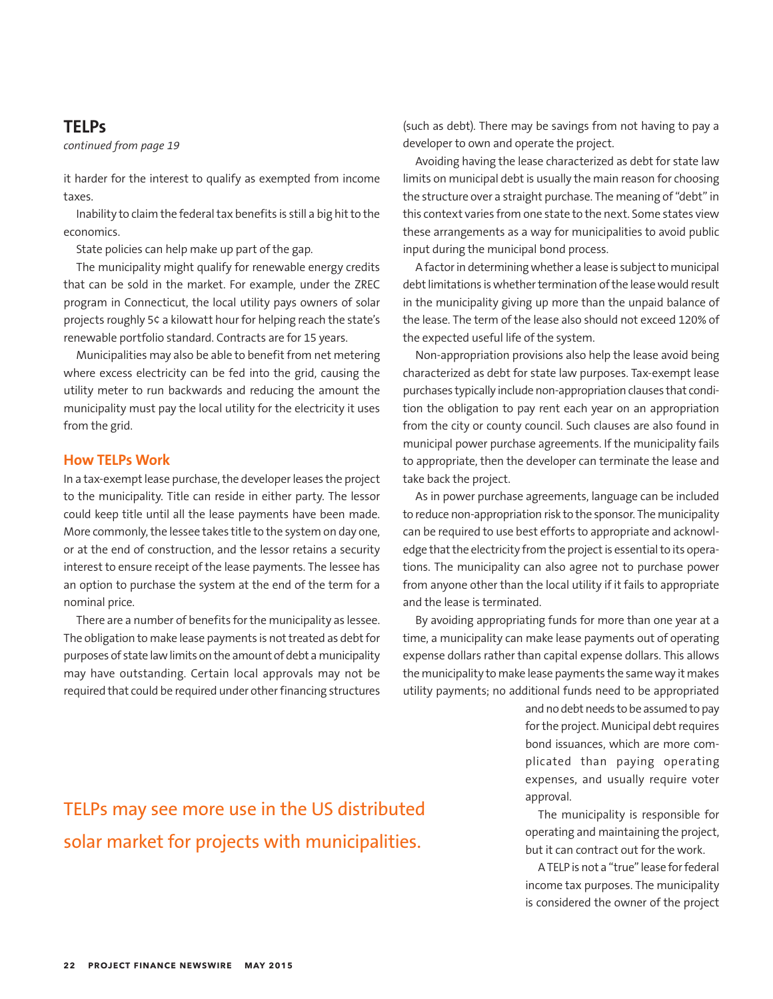## **TELPs**

*continued from page 19*

it harder for the interest to qualify as exempted from income taxes.

Inability to claim the federal tax benefits is still a big hit to the economics.

State policies can help make up part of the gap.

The municipality might qualify for renewable energy credits that can be sold in the market. For example, under the ZREC program in Connecticut, the local utility pays owners of solar projects roughly 5¢ a kilowatt hour for helping reach the state's renewable portfolio standard. Contracts are for 15 years.

Municipalities may also be able to benefit from net metering where excess electricity can be fed into the grid, causing the utility meter to run backwards and reducing the amount the municipality must pay the local utility for the electricity it uses from the grid.

## **How TELPs Work**

In a tax-exempt lease purchase, the developer leases the project to the municipality. Title can reside in either party. The lessor could keep title until all the lease payments have been made. More commonly, the lessee takes title to the system on day one, or at the end of construction, and the lessor retains a security interest to ensure receipt of the lease payments. The lessee has an option to purchase the system at the end of the term for a nominal price.

There are a number of benefits for the municipality as lessee. The obligation to make lease payments is not treated as debt for purposes of state law limits on the amount of debt a municipality may have outstanding. Certain local approvals may not be required that could be required under other financing structures (such as debt). There may be savings from not having to pay a developer to own and operate the project.

Avoiding having the lease characterized as debt for state law limits on municipal debt is usually the main reason for choosing the structure over a straight purchase. The meaning of "debt" in this context varies from one state to the next. Some states view these arrangements as a way for municipalities to avoid public input during the municipal bond process.

A factor in determining whether a lease is subject to municipal debt limitations is whether termination of the lease would result in the municipality giving up more than the unpaid balance of the lease. The term of the lease also should not exceed 120% of the expected useful life of the system.

Non-appropriation provisions also help the lease avoid being characterized as debt for state law purposes. Tax-exempt lease purchases typically include non-appropriation clauses that condition the obligation to pay rent each year on an appropriation from the city or county council. Such clauses are also found in municipal power purchase agreements. If the municipality fails to appropriate, then the developer can terminate the lease and take back the project.

As in power purchase agreements, language can be included to reduce non-appropriation risk to the sponsor. The municipality can be required to use best efforts to appropriate and acknowledge that the electricity from the project is essential to its operations. The municipality can also agree not to purchase power from anyone other than the local utility if it fails to appropriate and the lease is terminated.

By avoiding appropriating funds for more than one year at a time, a municipality can make lease payments out of operating expense dollars rather than capital expense dollars. This allows the municipality to make lease payments the same way it makes utility payments; no additional funds need to be appropriated

> and no debt needs to be assumed to pay for the project. Municipal debt requires bond issuances, which are more complicated than paying operating expenses, and usually require voter approval.

> The municipality is responsible for operating and maintaining the project, but it can contract out for the work.

> A TELP is not a "true" lease for federal income tax purposes. The municipality is considered the owner of the project

## TELPs may see more use in the US distributed solar market for projects with municipalities.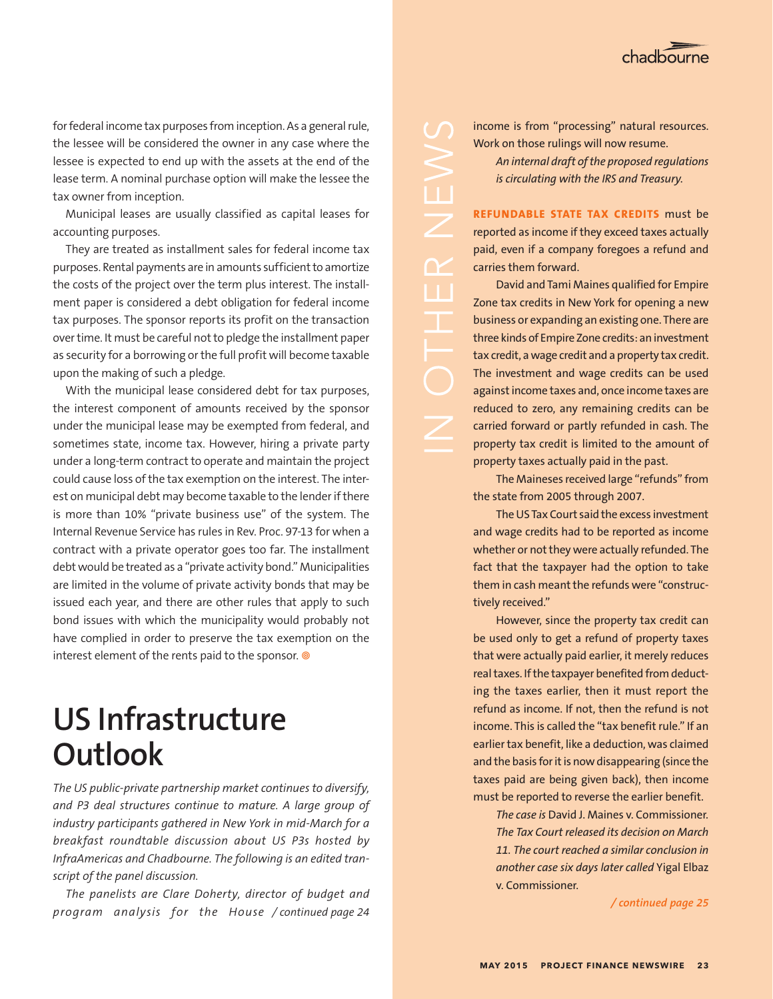

for federal income tax purposes from inception. As a general rule, the lessee will be considered the owner in any case where the lessee is expected to end up with the assets at the end of the lease term. A nominal purchase option will make the lessee the tax owner from inception.

Municipal leases are usually classified as capital leases for accounting purposes.

They are treated as installment sales for federal income tax purposes. Rental payments are in amounts sufficient to amortize the costs of the project over the term plus interest. The installment paper is considered a debt obligation for federal income tax purposes. The sponsor reports its profit on the transaction over time. It must be careful not to pledge the installment paper as security for a borrowing or the full profit will become taxable upon the making of such a pledge.

With the municipal lease considered debt for tax purposes, the interest component of amounts received by the sponsor under the municipal lease may be exempted from federal, and sometimes state, income tax. However, hiring a private party under a long-term contract to operate and maintain the project could cause loss of the tax exemption on the interest. The interest on municipal debt may become taxable to the lender if there is more than 10% "private business use" of the system. The Internal Revenue Service has rules in Rev. Proc. 97-13 for when a contract with a private operator goes too far. The installment debt would be treated as a "private activity bond." Municipalities are limited in the volume of private activity bonds that may be issued each year, and there are other rules that apply to such bond issues with which the municipality would probably not have complied in order to preserve the tax exemption on the interest element of the rents paid to the sponsor. <sup>@</sup>

## **US Infrastructure Outlook**

*The US public-private partnership market continues to diversify, and P3 deal structures continue to mature. A large group of industry participants gathered in New York in mid-March for a breakfast roundtable discussion about US P3s hosted by InfraAmericas and Chadbourne. The following is an edited transcript of the panel discussion.* 

*The panelists are Clare Doherty, director of budget and program analysis for the House / continued page 25 / continued page 24*

income is from "processing" natural resources. Work on those rulings will now resume.

> *An internal draft of the proposed regulations is circulating with the IRS and Treasury.*

**REFUNDABLE STATE TAX CREDITS** must be reported as income if they exceed taxes actually paid, even if a company foregoes a refund and carries them forward.

 $\overline{\mathbb{C}}$ 

U I

David and Tami Maines qualified for Empire Zone tax credits in New York for opening a new business or expanding an existing one. There are three kinds of Empire Zone credits: an investment tax credit, a wage credit and a property tax credit. The investment and wage credits can be used against income taxes and, once income taxes are reduced to zero, any remaining credits can be carried forward or partly refunded in cash. The property tax credit is limited to the amount of property taxes actually paid in the past.

The Maineses received large "refunds" from the state from 2005 through 2007.

The US Tax Court said the excess investment and wage credits had to be reported as income whether or not they were actually refunded. The fact that the taxpayer had the option to take them in cash meant the refunds were "constructively received."

However, since the property tax credit can be used only to get a refund of property taxes that were actually paid earlier, it merely reduces real taxes. If the taxpayer benefited from deducting the taxes earlier, then it must report the refund as income. If not, then the refund is not income. This is called the "tax benefit rule." If an earlier tax benefit, like a deduction, was claimed and the basis for it is now disappearing (since the taxes paid are being given back), then income must be reported to reverse the earlier benefit.

*The case is* David J. Maines v. Commissioner*. The Tax Court released its decision on March 11. The court reached a similar conclusion in another case six days later called* Yigal Elbaz v. Commissioner*.*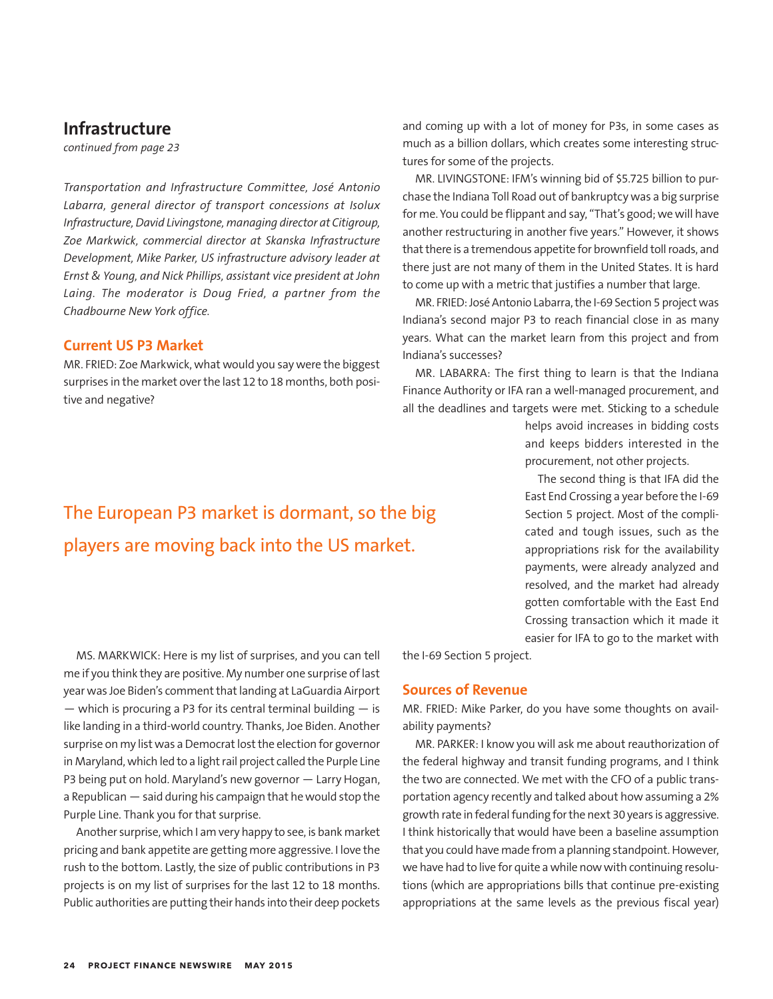## **Infrastructure**

*continued from page 23*

*Transportation and Infrastructure Committee, José Antonio Labarra, general director of transport concessions at Isolux Infrastructure, David Livingstone, managing director at Citigroup, Zoe Markwick, commercial director at Skanska Infrastructure Development, Mike Parker, US infrastructure advisory leader at Ernst & Young, and Nick Phillips, assistant vice president at John Laing. The moderator is Doug Fried, a partner from the Chadbourne New York office.*

## **Current US P3 Market**

MR. FRIED: Zoe Markwick, what would you say were the biggest surprises in the market over the last 12 to 18 months, both positive and negative?

## and coming up with a lot of money for P3s, in some cases as much as a billion dollars, which creates some interesting structures for some of the projects.

MR. LIVINGSTONE: IFM's winning bid of \$5.725 billion to purchase the Indiana Toll Road out of bankruptcy was a big surprise for me. You could be flippant and say, "That's good; we will have another restructuring in another five years." However, it shows that there is a tremendous appetite for brownfield toll roads, and there just are not many of them in the United States. It is hard to come up with a metric that justifies a number that large.

MR. FRIED: José Antonio Labarra, the I-69 Section 5 project was Indiana's second major P3 to reach financial close in as many years. What can the market learn from this project and from Indiana's successes?

MR. LABARRA: The first thing to learn is that the Indiana Finance Authority or IFA ran a well-managed procurement, and all the deadlines and targets were met. Sticking to a schedule

> helps avoid increases in bidding costs and keeps bidders interested in the procurement, not other projects.

> The second thing is that IFA did the East End Crossing a year before the I-69 Section 5 project. Most of the complicated and tough issues, such as the appropriations risk for the availability payments, were already analyzed and resolved, and the market had already gotten comfortable with the East End Crossing transaction which it made it easier for IFA to go to the market with

the I-69 Section 5 project.

### **Sources of Revenue**

MR. FRIED: Mike Parker, do you have some thoughts on availability payments?

MR. PARKER: I know you will ask me about reauthorization of the federal highway and transit funding programs, and I think the two are connected. We met with the CFO of a public transportation agency recently and talked about how assuming a 2% growth rate in federal funding for the next 30 years is aggressive. I think historically that would have been a baseline assumption that you could have made from a planning standpoint. However, we have had to live for quite a while now with continuing resolutions (which are appropriations bills that continue pre-existing appropriations at the same levels as the previous fiscal year)

## The European P3 market is dormant, so the big players are moving back into the US market.

MS. MARKWICK: Here is my list of surprises, and you can tell me if you think they are positive. My number one surprise of last year was Joe Biden's comment that landing at LaGuardia Airport  $-$  which is procuring a P3 for its central terminal building  $-$  is like landing in a third-world country. Thanks, Joe Biden. Another surprise on my list was a Democrat lost the election for governor in Maryland, which led to a light rail project called the Purple Line P3 being put on hold. Maryland's new governor — Larry Hogan, a Republican — said during his campaign that he would stop the Purple Line. Thank you for that surprise.

Another surprise, which I am very happy to see, is bank market pricing and bank appetite are getting more aggressive. I love the rush to the bottom. Lastly, the size of public contributions in P3 projects is on my list of surprises for the last 12 to 18 months. Public authorities are putting their hands into their deep pockets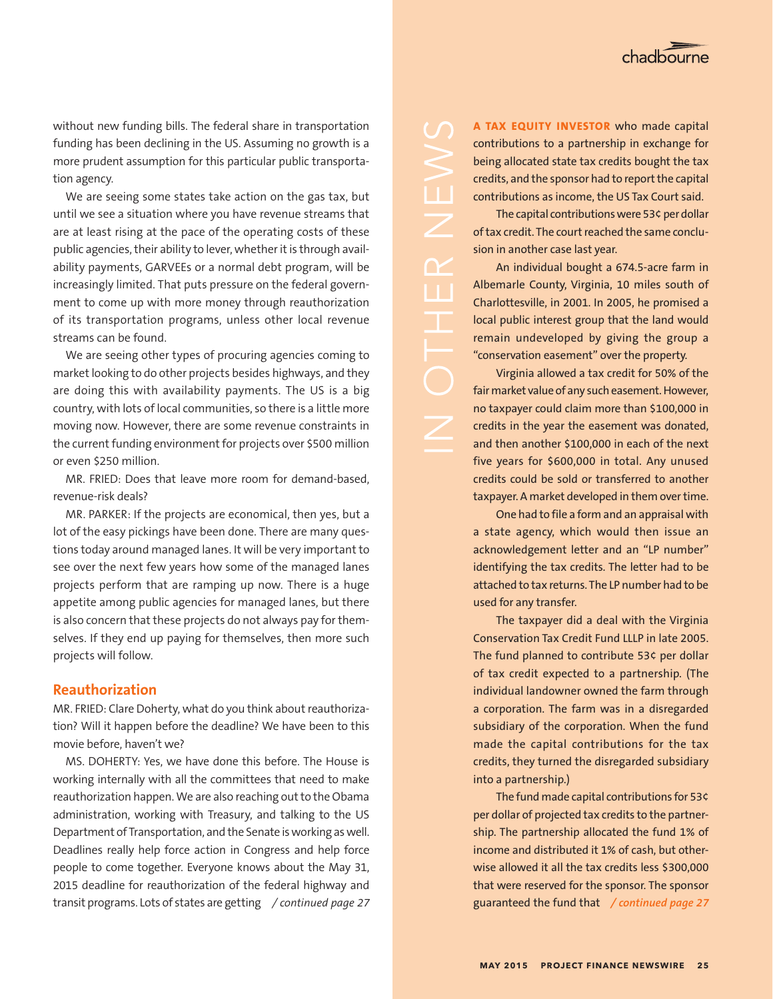without new funding bills. The federal share in transportation funding has been declining in the US. Assuming no growth is a more prudent assumption for this particular public transportation agency.

We are seeing some states take action on the gas tax, but until we see a situation where you have revenue streams that are at least rising at the pace of the operating costs of these public agencies, their ability to lever, whether it is through availability payments, GARVEEs or a normal debt program, will be increasingly limited. That puts pressure on the federal government to come up with more money through reauthorization of its transportation programs, unless other local revenue streams can be found.

We are seeing other types of procuring agencies coming to market looking to do other projects besides highways, and they are doing this with availability payments. The US is a big country, with lots of local communities, so there is a little more moving now. However, there are some revenue constraints in the current funding environment for projects over \$500 million or even \$250 million.

MR. FRIED: Does that leave more room for demand-based, revenue-risk deals?

MR. PARKER: If the projects are economical, then yes, but a lot of the easy pickings have been done. There are many questions today around managed lanes. It will be very important to see over the next few years how some of the managed lanes projects perform that are ramping up now. There is a huge appetite among public agencies for managed lanes, but there is also concern that these projects do not always pay for themselves. If they end up paying for themselves, then more such projects will follow.

## **Reauthorization**

MR. FRIED: Clare Doherty, what do you think about reauthorization? Will it happen before the deadline? We have been to this movie before, haven't we?

MS. DOHERTY: Yes, we have done this before. The House is working internally with all the committees that need to make reauthorization happen. We are also reaching out to the Obama administration, working with Treasury, and talking to the US Department of Transportation, and the Senate is working as well. Deadlines really help force action in Congress and help force people to come together. Everyone knows about the May 31, 2015 deadline for reauthorization of the federal highway and transit programs. Lots of states are getting */ continued page 27* **A TAX EQUITY INVESTOR** who made capital contributions to a partnership in exchange for being allocated state tax credits bought the tax credits, and the sponsor had to report the capital contributions as income, the US Tax Court said.

The capital contributions were 53¢ per dollar of tax credit. The court reached the same conclusion in another case last year.

 $\overline{\angle}$ 

ūΤ

An individual bought a 674.5-acre farm in Albemarle County, Virginia, 10 miles south of Charlottesville, in 2001. In 2005, he promised a local public interest group that the land would remain undeveloped by giving the group a "conservation easement" over the property.

Virginia allowed a tax credit for 50% of the fair market value of any such easement. However, no taxpayer could claim more than \$100,000 in credits in the year the easement was donated, and then another \$100,000 in each of the next five years for \$600,000 in total. Any unused credits could be sold or transferred to another taxpayer. A market developed in them over time.

One had to file a form and an appraisal with a state agency, which would then issue an acknowledgement letter and an "LP number" identifying the tax credits. The letter had to be attached to tax returns. The LP number had to be used for any transfer.

The taxpayer did a deal with the Virginia Conservation Tax Credit Fund LLLP in late 2005. The fund planned to contribute 53¢ per dollar of tax credit expected to a partnership. (The individual landowner owned the farm through a corporation. The farm was in a disregarded subsidiary of the corporation. When the fund made the capital contributions for the tax credits, they turned the disregarded subsidiary into a partnership.)

The fund made capital contributions for 53¢ per dollar of projected tax credits to the partnership. The partnership allocated the fund 1% of income and distributed it 1% of cash, but otherwise allowed it all the tax credits less \$300,000 that were reserved for the sponsor. The sponsor guaranteed the fund that */ continued page 27*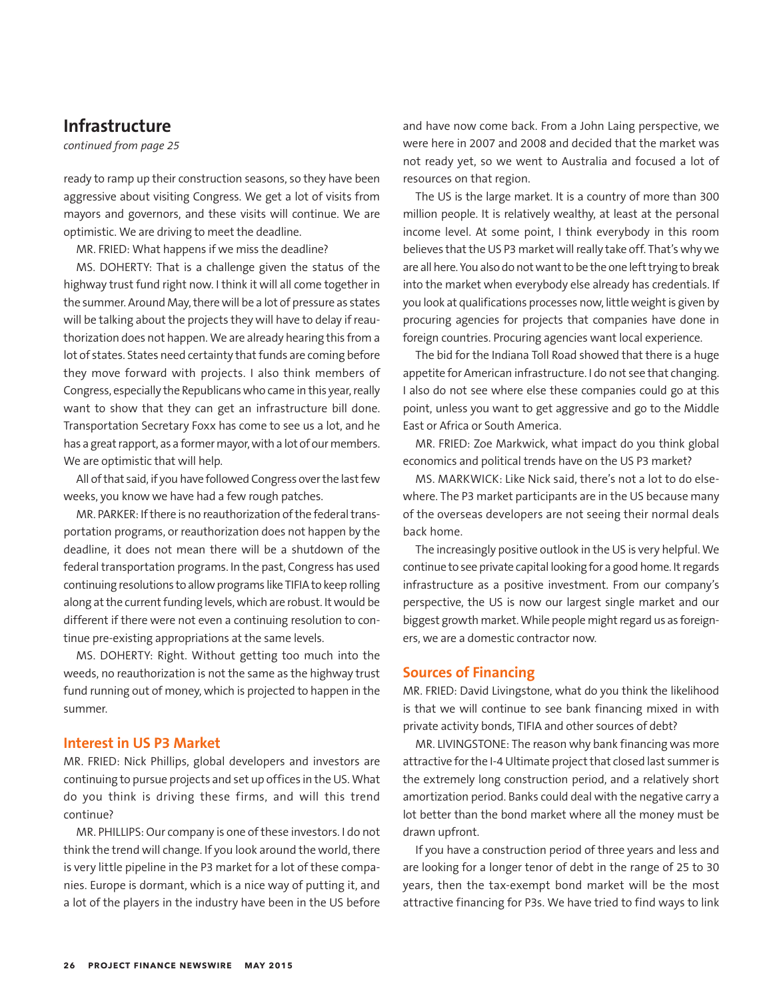## **Infrastructure**

*continued from page 25*

ready to ramp up their construction seasons, so they have been aggressive about visiting Congress. We get a lot of visits from mayors and governors, and these visits will continue. We are optimistic. We are driving to meet the deadline.

MR. FRIED: What happens if we miss the deadline?

MS. DOHERTY: That is a challenge given the status of the highway trust fund right now. I think it will all come together in the summer. Around May, there will be a lot of pressure as states will be talking about the projects they will have to delay if reauthorization does not happen. We are already hearing this from a lot of states. States need certainty that funds are coming before they move forward with projects. I also think members of Congress, especially the Republicans who came in this year, really want to show that they can get an infrastructure bill done. Transportation Secretary Foxx has come to see us a lot, and he has a great rapport, as a former mayor, with a lot of our members. We are optimistic that will help.

All of that said, if you have followed Congress over the last few weeks, you know we have had a few rough patches.

MR. PARKER: If there is no reauthorization of the federal transportation programs, or reauthorization does not happen by the deadline, it does not mean there will be a shutdown of the federal transportation programs. In the past, Congress has used continuing resolutions to allow programs like TIFIA to keep rolling along at the current funding levels, which are robust. It would be different if there were not even a continuing resolution to continue pre-existing appropriations at the same levels.

MS. DOHERTY: Right. Without getting too much into the weeds, no reauthorization is not the same as the highway trust fund running out of money, which is projected to happen in the summer.

## **Interest in US P3 Market**

MR. FRIED: Nick Phillips, global developers and investors are continuing to pursue projects and set up offices in the US. What do you think is driving these firms, and will this trend continue?

MR. PHILLIPS: Our company is one of these investors. I do not think the trend will change. If you look around the world, there is very little pipeline in the P3 market for a lot of these companies. Europe is dormant, which is a nice way of putting it, and a lot of the players in the industry have been in the US before and have now come back. From a John Laing perspective, we were here in 2007 and 2008 and decided that the market was not ready yet, so we went to Australia and focused a lot of resources on that region.

The US is the large market. It is a country of more than 300 million people. It is relatively wealthy, at least at the personal income level. At some point, I think everybody in this room believes that the US P3 market will really take off. That's why we are all here. You also do not want to be the one left trying to break into the market when everybody else already has credentials. If you look at qualifications processes now, little weight is given by procuring agencies for projects that companies have done in foreign countries. Procuring agencies want local experience.

The bid for the Indiana Toll Road showed that there is a huge appetite for American infrastructure. I do not see that changing. I also do not see where else these companies could go at this point, unless you want to get aggressive and go to the Middle East or Africa or South America.

MR. FRIED: Zoe Markwick, what impact do you think global economics and political trends have on the US P3 market?

MS. MARKWICK: Like Nick said, there's not a lot to do elsewhere. The P3 market participants are in the US because many of the overseas developers are not seeing their normal deals back home.

The increasingly positive outlook in the US is very helpful. We continue to see private capital looking for a good home. It regards infrastructure as a positive investment. From our company's perspective, the US is now our largest single market and our biggest growth market. While people might regard us as foreigners, we are a domestic contractor now.

## **Sources of Financing**

MR. FRIED: David Livingstone, what do you think the likelihood is that we will continue to see bank financing mixed in with private activity bonds, TIFIA and other sources of debt?

MR. LIVINGSTONE: The reason why bank financing was more attractive for the I-4 Ultimate project that closed last summer is the extremely long construction period, and a relatively short amortization period. Banks could deal with the negative carry a lot better than the bond market where all the money must be drawn upfront.

If you have a construction period of three years and less and are looking for a longer tenor of debt in the range of 25 to 30 years, then the tax-exempt bond market will be the most attractive financing for P3s. We have tried to find ways to link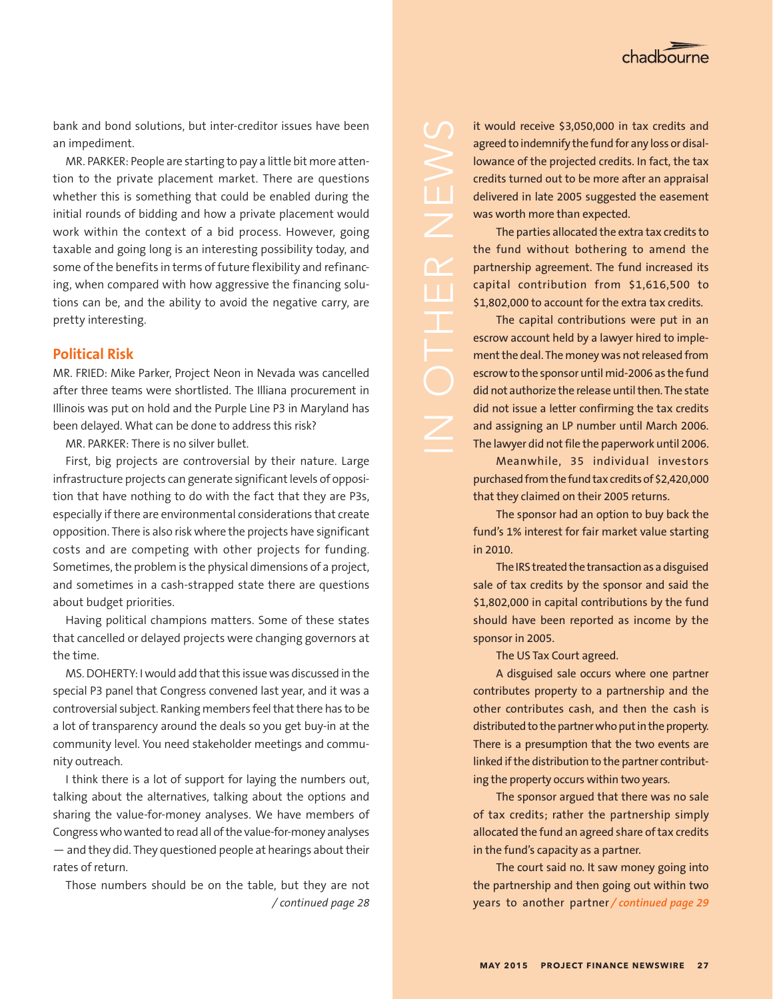

bank and bond solutions, but inter-creditor issues have been an impediment.

MR. PARKER: People are starting to pay a little bit more attention to the private placement market. There are questions whether this is something that could be enabled during the initial rounds of bidding and how a private placement would work within the context of a bid process. However, going taxable and going long is an interesting possibility today, and some of the benefits in terms of future flexibility and refinancing, when compared with how aggressive the financing solutions can be, and the ability to avoid the negative carry, are pretty interesting.

## **Political Risk**

MR. FRIED: Mike Parker, Project Neon in Nevada was cancelled after three teams were shortlisted. The Illiana procurement in Illinois was put on hold and the Purple Line P3 in Maryland has been delayed. What can be done to address this risk?

MR. PARKER: There is no silver bullet.

First, big projects are controversial by their nature. Large infrastructure projects can generate significant levels of opposition that have nothing to do with the fact that they are P3s, especially if there are environmental considerations that create opposition. There is also risk where the projects have significant costs and are competing with other projects for funding. Sometimes, the problem is the physical dimensions of a project, and sometimes in a cash-strapped state there are questions about budget priorities.

Having political champions matters. Some of these states that cancelled or delayed projects were changing governors at the time.

MS. DOHERTY: I would add that this issue was discussed in the special P3 panel that Congress convened last year, and it was a controversial subject. Ranking members feel that there has to be a lot of transparency around the deals so you get buy-in at the community level. You need stakeholder meetings and community outreach.

I think there is a lot of support for laying the numbers out, talking about the alternatives, talking about the options and sharing the value-for-money analyses. We have members of Congress who wanted to read all of the value-for-money analyses — and they did. They questioned people at hearings about their rates of return.

Those numbers should be on the table, but they are not */ continued page 28*

it would receive \$3,050,000 in tax credits and agreed to indemnify the fund for any loss or disallowance of the projected credits. In fact, the tax credits turned out to be more after an appraisal delivered in late 2005 suggested the easement was worth more than expected.

The parties allocated the extra tax credits to the fund without bothering to amend the partnership agreement. The fund increased its capital contribution from \$1,616,500 to \$1,802,000 to account for the extra tax credits.

 $\Box$ 

The capital contributions were put in an escrow account held by a lawyer hired to implement the deal. The money was not released from escrow to the sponsor until mid-2006 as the fund did not authorize the release until then. The state did not issue a letter confirming the tax credits and assigning an LP number until March 2006. The lawyer did not file the paperwork until 2006.

Meanwhile, 35 individual investors purchased from the fund tax credits of \$2,420,000 that they claimed on their 2005 returns.

The sponsor had an option to buy back the fund's 1% interest for fair market value starting in 2010.

The IRS treated the transaction as a disguised sale of tax credits by the sponsor and said the \$1,802,000 in capital contributions by the fund should have been reported as income by the sponsor in 2005.

The US Tax Court agreed.

A disguised sale occurs where one partner contributes property to a partnership and the other contributes cash, and then the cash is distributed to the partner who put in the property. There is a presumption that the two events are linked if the distribution to the partner contributing the property occurs within two years.

The sponsor argued that there was no sale of tax credits; rather the partnership simply allocated the fund an agreed share of tax credits in the fund's capacity as a partner.

The court said no. It saw money going into the partnership and then going out within two years to another partner */ continued page 29*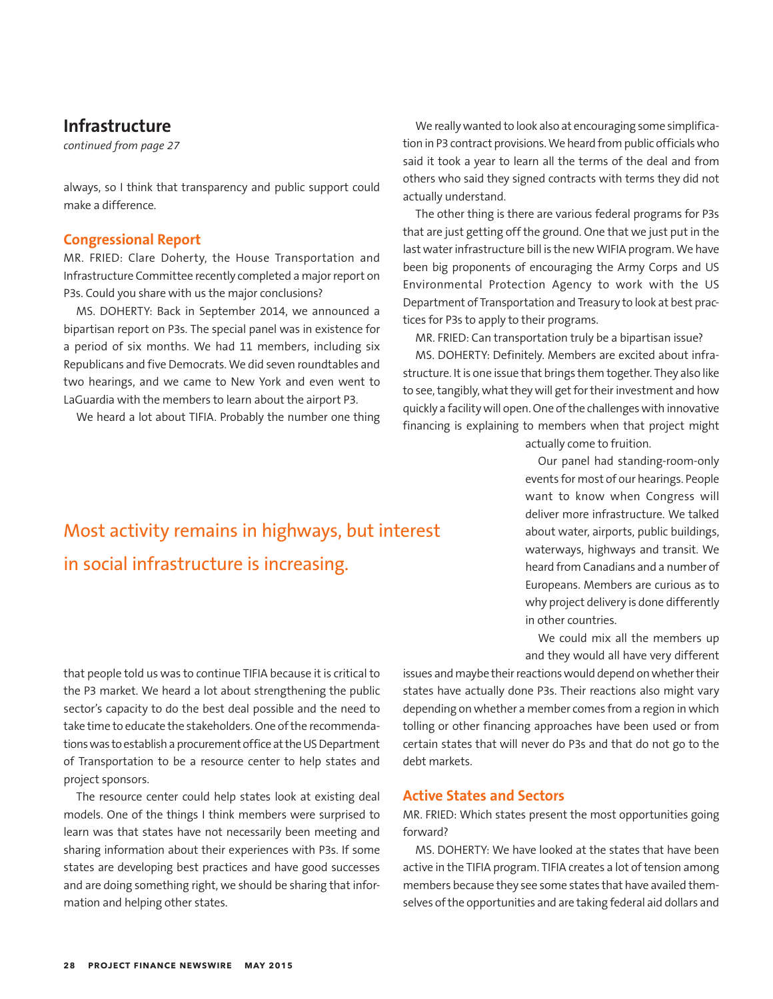## **Infrastructure**

*continued from page 27*

always, so I think that transparency and public support could make a difference.

### **Congressional Report**

MR. FRIED: Clare Doherty, the House Transportation and Infrastructure Committee recently completed a major report on P3s. Could you share with us the major conclusions?

MS. DOHERTY: Back in September 2014, we announced a bipartisan report on P3s. The special panel was in existence for a period of six months. We had 11 members, including six Republicans and five Democrats. We did seven roundtables and two hearings, and we came to New York and even went to LaGuardia with the members to learn about the airport P3.

We heard a lot about TIFIA. Probably the number one thing

We really wanted to look also at encouraging some simplification in P3 contract provisions. We heard from public officials who said it took a year to learn all the terms of the deal and from others who said they signed contracts with terms they did not actually understand.

The other thing is there are various federal programs for P3s that are just getting off the ground. One that we just put in the last water infrastructure bill is the new WIFIA program. We have been big proponents of encouraging the Army Corps and US Environmental Protection Agency to work with the US Department of Transportation and Treasury to look at best practices for P3s to apply to their programs.

MR. FRIED: Can transportation truly be a bipartisan issue?

MS. DOHERTY: Definitely. Members are excited about infrastructure. It is one issue that brings them together. They also like to see, tangibly, what they will get for their investment and how quickly a facility will open. One of the challenges with innovative financing is explaining to members when that project might

actually come to fruition.

Our panel had standing-room-only events for most of our hearings. People want to know when Congress will deliver more infrastructure. We talked about water, airports, public buildings, waterways, highways and transit. We heard from Canadians and a number of Europeans. Members are curious as to why project delivery is done differently in other countries.

We could mix all the members up and they would all have very different

that people told us was to continue TIFIA because it is critical to the P3 market. We heard a lot about strengthening the public sector's capacity to do the best deal possible and the need to take time to educate the stakeholders. One of the recommendations was to establish a procurement office at the US Department of Transportation to be a resource center to help states and project sponsors.

The resource center could help states look at existing deal models. One of the things I think members were surprised to learn was that states have not necessarily been meeting and sharing information about their experiences with P3s. If some states are developing best practices and have good successes and are doing something right, we should be sharing that information and helping other states.

issues and maybe their reactions would depend on whether their states have actually done P3s. Their reactions also might vary depending on whether a member comes from a region in which tolling or other financing approaches have been used or from certain states that will never do P3s and that do not go to the debt markets.

### **Active States and Sectors**

MR. FRIED: Which states present the most opportunities going forward?

MS. DOHERTY: We have looked at the states that have been active in the TIFIA program. TIFIA creates a lot of tension among members because they see some states that have availed themselves of the opportunities and are taking federal aid dollars and

## Most activity remains in highways, but interest in social infrastructure is increasing.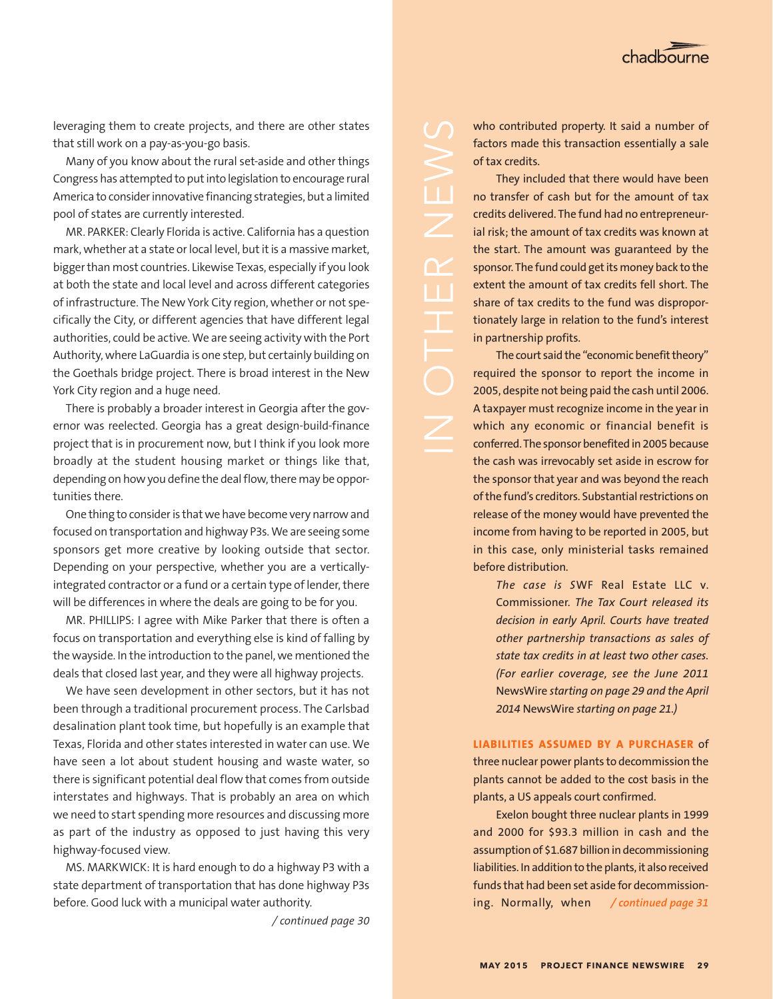

leveraging them to create projects, and there are other states that still work on a pay-as-you-go basis.

Many of you know about the rural set-aside and other things Congress has attempted to put into legislation to encourage rural America to consider innovative financing strategies, but a limited pool of states are currently interested.

MR. PARKER: Clearly Florida is active. California has a question mark, whether at a state or local level, but it is a massive market, bigger than most countries. Likewise Texas, especially if you look at both the state and local level and across different categories of infrastructure. The New York City region, whether or not specifically the City, or different agencies that have different legal authorities, could be active. We are seeing activity with the Port Authority, where LaGuardia is one step, but certainly building on the Goethals bridge project. There is broad interest in the New York City region and a huge need.

There is probably a broader interest in Georgia after the governor was reelected. Georgia has a great design-build-finance project that is in procurement now, but I think if you look more broadly at the student housing market or things like that, depending on how you define the deal flow, there may be opportunities there.

One thing to consider is that we have become very narrow and focused on transportation and highway P3s. We are seeing some sponsors get more creative by looking outside that sector. Depending on your perspective, whether you are a verticallyintegrated contractor or a fund or a certain type of lender, there will be differences in where the deals are going to be for you.

MR. PHILLIPS: I agree with Mike Parker that there is often a focus on transportation and everything else is kind of falling by the wayside. In the introduction to the panel, we mentioned the deals that closed last year, and they were all highway projects.

We have seen development in other sectors, but it has not been through a traditional procurement process. The Carlsbad desalination plant took time, but hopefully is an example that Texas, Florida and other states interested in water can use. We have seen a lot about student housing and waste water, so there is significant potential deal flow that comes from outside interstates and highways. That is probably an area on which we need to start spending more resources and discussing more as part of the industry as opposed to just having this very highway-focused view.

MS. MARKWICK: It is hard enough to do a highway P3 with a state department of transportation that has done highway P3s before. Good luck with a municipal water authority.

*/ continued page 30*

who contributed property. It said a number of factors made this transaction essentially a sale of tax credits.

They included that there would have been no transfer of cash but for the amount of tax credits delivered. The fund had no entrepreneurial risk; the amount of tax credits was known at the start. The amount was guaranteed by the sponsor. The fund could get its money back to the extent the amount of tax credits fell short. The share of tax credits to the fund was disproportionately large in relation to the fund's interest in partnership profits.

 $\Box$ 

The court said the "economic benefit theory" required the sponsor to report the income in 2005, despite not being paid the cash until 2006. A taxpayer must recognize income in the year in which any economic or financial benefit is conferred. The sponsor benefited in 2005 because the cash was irrevocably set aside in escrow for the sponsor that year and was beyond the reach of the fund's creditors. Substantial restrictions on release of the money would have prevented the income from having to be reported in 2005, but in this case, only ministerial tasks remained before distribution.

*The case is S*WF Real Estate LLC v. Commissioner*. The Tax Court released its decision in early April. Courts have treated other partnership transactions as sales of state tax credits in at least two other cases. (For earlier coverage, see the June 2011*  NewsWire *starting on page 29 and the April 2014* NewsWire *starting on page 21.)*

### **LIABILITIES ASSUMED BY A PURCHASER** of

three nuclear power plants to decommission the plants cannot be added to the cost basis in the plants, a US appeals court confirmed.

Exelon bought three nuclear plants in 1999 and 2000 for \$93.3 million in cash and the assumption of \$1.687 billion in decommissioning liabilities. In addition to the plants, it also received funds that had been set aside for decommissioning. Normally, when */ continued page 31*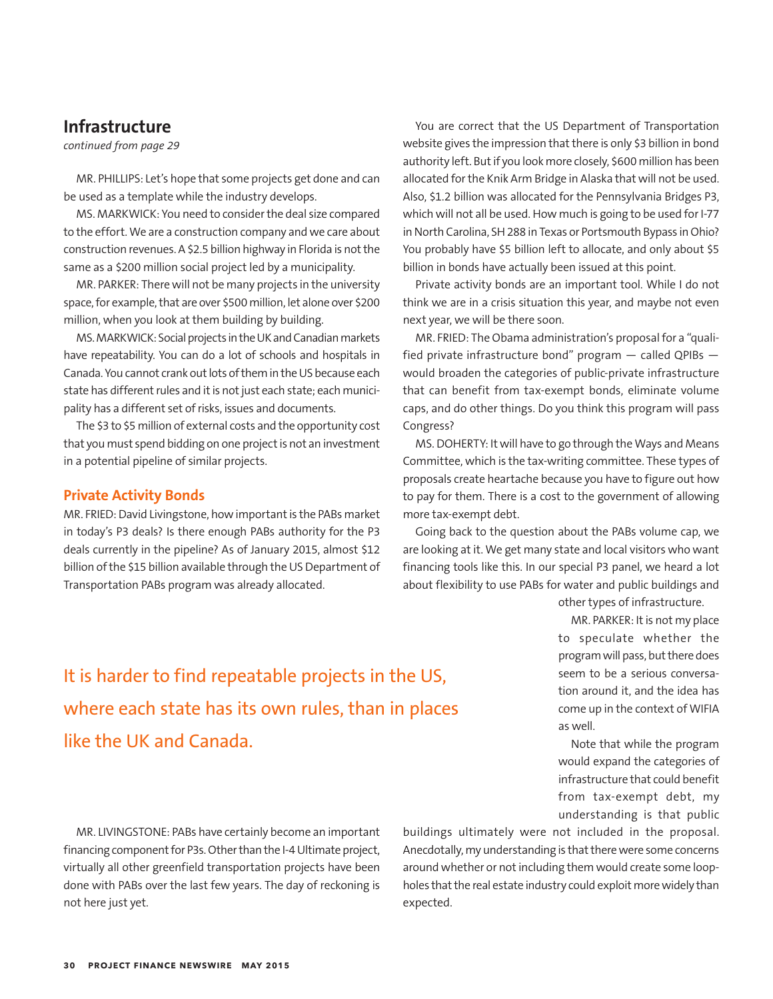## **Infrastructure**

*continued from page 29*

MR. PHILLIPS: Let's hope that some projects get done and can be used as a template while the industry develops.

MS. MARKWICK: You need to consider the deal size compared to the effort. We are a construction company and we care about construction revenues. A \$2.5 billion highway in Florida is not the same as a \$200 million social project led by a municipality.

MR. PARKER: There will not be many projects in the university space, for example, that are over \$500 million, let alone over \$200 million, when you look at them building by building.

MS. MARKWICK: Social projects in the UK and Canadian markets have repeatability. You can do a lot of schools and hospitals in Canada. You cannot crank out lots of them in the US because each state has different rules and it is not just each state; each municipality has a different set of risks, issues and documents.

The \$3 to \$5 million of external costs and the opportunity cost that you must spend bidding on one project is not an investment in a potential pipeline of similar projects.

### **Private Activity Bonds**

MR. FRIED: David Livingstone, how important is the PABs market in today's P3 deals? Is there enough PABs authority for the P3 deals currently in the pipeline? As of January 2015, almost \$12 billion of the \$15 billion available through the US Department of Transportation PABs program was already allocated.

You are correct that the US Department of Transportation website gives the impression that there is only \$3 billion in bond authority left. But if you look more closely, \$600 million has been allocated for the Knik Arm Bridge in Alaska that will not be used. Also, \$1.2 billion was allocated for the Pennsylvania Bridges P3, which will not all be used. How much is going to be used for I-77 in North Carolina, SH 288 in Texas or Portsmouth Bypass in Ohio? You probably have \$5 billion left to allocate, and only about \$5 billion in bonds have actually been issued at this point.

Private activity bonds are an important tool. While I do not think we are in a crisis situation this year, and maybe not even next year, we will be there soon.

MR. FRIED: The Obama administration's proposal for a "qualified private infrastructure bond" program — called QPIBs would broaden the categories of public-private infrastructure that can benefit from tax-exempt bonds, eliminate volume caps, and do other things. Do you think this program will pass Congress?

MS. DOHERTY: It will have to go through the Ways and Means Committee, which is the tax-writing committee. These types of proposals create heartache because you have to figure out how to pay for them. There is a cost to the government of allowing more tax-exempt debt.

Going back to the question about the PABs volume cap, we are looking at it. We get many state and local visitors who want financing tools like this. In our special P3 panel, we heard a lot about flexibility to use PABs for water and public buildings and

It is harder to find repeatable projects in the US, where each state has its own rules, than in places like the UK and Canada.

other types of infrastructure. MR. PARKER: It is not my place to speculate whether the program will pass, but there does seem to be a serious conversation around it, and the idea has come up in the context of WIFIA as well.

Note that while the program would expand the categories of infrastructure that could benefit from tax-exempt debt, my understanding is that public

MR. LIVINGSTONE: PABs have certainly become an important financing component for P3s. Other than the I-4 Ultimate project, virtually all other greenfield transportation projects have been done with PABs over the last few years. The day of reckoning is not here just yet.

buildings ultimately were not included in the proposal. Anecdotally, my understanding is that there were some concerns around whether or not including them would create some loopholes that the real estate industry could exploit more widely than expected.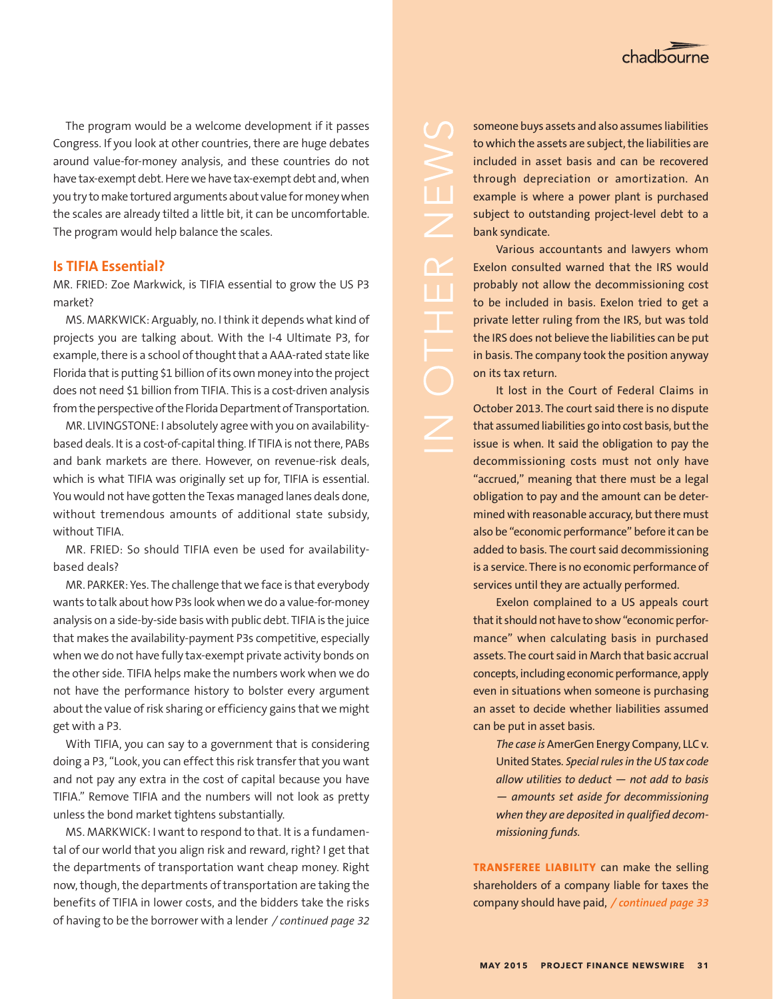

The program would be a welcome development if it passes Congress. If you look at other countries, there are huge debates around value-for-money analysis, and these countries do not have tax-exempt debt. Here we have tax-exempt debt and, when you try to make tortured arguments about value for money when the scales are already tilted a little bit, it can be uncomfortable. The program would help balance the scales.

### **Is TIFIA Essential?**

MR. FRIED: Zoe Markwick, is TIFIA essential to grow the US P3 market?

MS. MARKWICK: Arguably, no. I think it depends what kind of projects you are talking about. With the I-4 Ultimate P3, for example, there is a school of thought that a AAA-rated state like Florida that is putting \$1 billion of its own money into the project does not need \$1 billion from TIFIA. This is a cost-driven analysis from the perspective of the Florida Department of Transportation.

MR. LIVINGSTONE: I absolutely agree with you on availabilitybased deals. It is a cost-of-capital thing. If TIFIA is not there, PABs and bank markets are there. However, on revenue-risk deals, which is what TIFIA was originally set up for, TIFIA is essential. You would not have gotten the Texas managed lanes deals done, without tremendous amounts of additional state subsidy, without TIFIA.

MR. FRIED: So should TIFIA even be used for availabilitybased deals?

MR. PARKER: Yes. The challenge that we face is that everybody wants to talk about how P3s look when we do a value-for-money analysis on a side-by-side basis with public debt. TIFIA is the juice that makes the availability-payment P3s competitive, especially when we do not have fully tax-exempt private activity bonds on the other side. TIFIA helps make the numbers work when we do not have the performance history to bolster every argument about the value of risk sharing or efficiency gains that we might get with a P3.

With TIFIA, you can say to a government that is considering doing a P3, "Look, you can effect this risk transfer that you want and not pay any extra in the cost of capital because you have TIFIA." Remove TIFIA and the numbers will not look as pretty unless the bond market tightens substantially.

MS. MARKWICK: I want to respond to that. It is a fundamental of our world that you align risk and reward, right? I get that the departments of transportation want cheap money. Right now, though, the departments of transportation are taking the benefits of TIFIA in lower costs, and the bidders take the risks of having to be the borrower with a lender */ continued page 32*

someone buys assets and also assumes liabilities to which the assets are subject, the liabilities are included in asset basis and can be recovered through depreciation or amortization. An example is where a power plant is purchased subject to outstanding project-level debt to a bank syndicate.

Various accountants and lawyers whom Exelon consulted warned that the IRS would probably not allow the decommissioning cost to be included in basis. Exelon tried to get a private letter ruling from the IRS, but was told the IRS does not believe the liabilities can be put in basis. The company took the position anyway on its tax return.

It lost in the Court of Federal Claims in October 2013. The court said there is no dispute that assumed liabilities go into cost basis, but the issue is when. It said the obligation to pay the decommissioning costs must not only have "accrued," meaning that there must be a legal obligation to pay and the amount can be determined with reasonable accuracy, but there must also be "economic performance" before it can be added to basis. The court said decommissioning is a service. There is no economic performance of services until they are actually performed.

Exelon complained to a US appeals court that it should not have to show "economic performance" when calculating basis in purchased assets. The court said in March that basic accrual concepts, including economic performance, apply even in situations when someone is purchasing an asset to decide whether liabilities assumed can be put in asset basis.

*The case is* AmerGen Energy Company, LLC v. United States*. Special rules in the US tax code allow utilities to deduct — not add to basis — amounts set aside for decommissioning when they are deposited in qualified decommissioning funds.*

**TRANSFEREE LIABILITY** can make the selling shareholders of a company liable for taxes the company should have paid, */ continued page 33*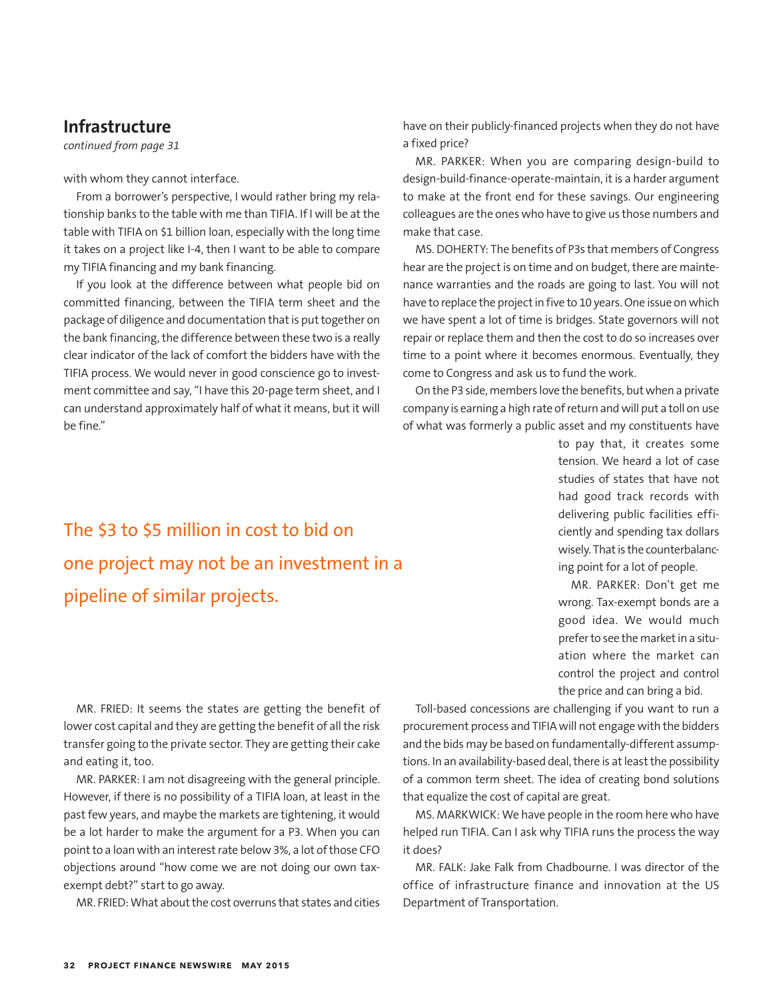## **Infrastructure**

*continued from page 31*

with whom they cannot interface.

From a borrower's perspective, I would rather bring my relationship banks to the table with me than TIFIA. If I will be at the table with TIFIA on \$1 billion loan, especially with the long time it takes on a project like I-4, then I want to be able to compare my TIFIA financing and my bank financing.

If you look at the difference between what people bid on committed financing, between the TIFIA term sheet and the package of diligence and documentation that is put together on the bank financing, the difference between these two is a really clear indicator of the lack of comfort the bidders have with the TIFIA process. We would never in good conscience go to investment committee and say, "I have this 20-page term sheet, and I can understand approximately half of what it means, but it will be fine."

have on their publicly-financed projects when they do not have a fixed price?

MR. PARKER: When you are comparing design-build to design-build-finance-operate-maintain, it is a harder argument to make at the front end for these savings. Our engineering colleagues are the ones who have to give us those numbers and make that case.

MS. DOHERTY: The benefits of P3s that members of Congress hear are the project is on time and on budget, there are maintenance warranties and the roads are going to last. You will not have to replace the project in five to 10 years. One issue on which we have spent a lot of time is bridges. State governors will not repair or replace them and then the cost to do so increases over time to a point where it becomes enormous. Eventually, they come to Congress and ask us to fund the work.

On the P3 side, members love the benefits, but when a private company is earning a high rate of return and will put a toll on use of what was formerly a public asset and my constituents have

> to pay that, it creates some tension. We heard a lot of case studies of states that have not had good track records with delivering public facilities efficiently and spending tax dollars wisely. That is the counterbalancing point for a lot of people.

> MR. PARKER: Don't get me wrong. Tax-exempt bonds are a good idea. We would much prefer to see the market in a situation where the market can control the project and control the price and can bring a bid.

The \$3 to \$5 million in cost to bid on one project may not be an investment in a pipeline of similar projects.

MR. FRIED: It seems the states are getting the benefit of lower cost capital and they are getting the benefit of all the risk transfer going to the private sector. They are getting their cake and eating it, too.

MR. PARKER: I am not disagreeing with the general principle. However, if there is no possibility of a TIFIA loan, at least in the past few years, and maybe the markets are tightening, it would be a lot harder to make the argument for a P3. When you can point to a loan with an interest rate below 3%, a lot of those CFO objections around "how come we are not doing our own taxexempt debt?" start to go away.

MR. FRIED: What about the cost overruns that states and cities

Toll-based concessions are challenging if you want to run a procurement process and TIFIA will not engage with the bidders and the bids may be based on fundamentally-different assumptions. In an availability-based deal, there is at least the possibility of a common term sheet. The idea of creating bond solutions that equalize the cost of capital are great.

MS. MARKWICK: We have people in the room here who have helped run TIFIA. Can I ask why TIFIA runs the process the way it does?

MR. FALK: Jake Falk from Chadbourne. I was director of the office of infrastructure finance and innovation at the US Department of Transportation.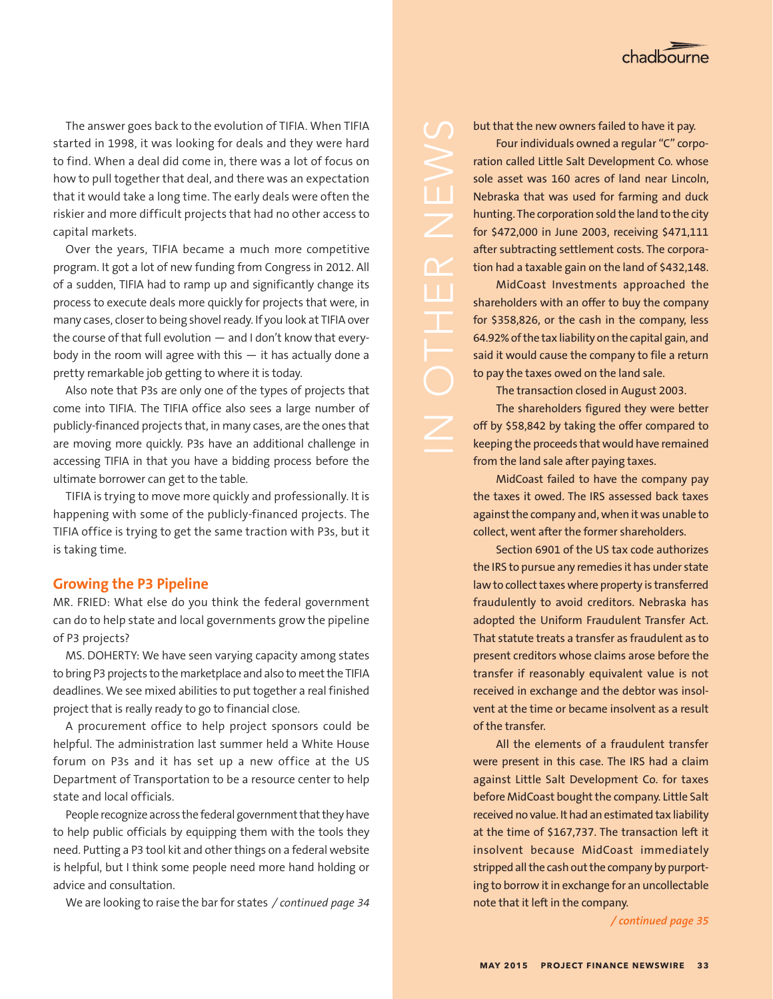The answer goes back to the evolution of TIFIA. When TIFIA started in 1998, it was looking for deals and they were hard to find. When a deal did come in, there was a lot of focus on how to pull together that deal, and there was an expectation that it would take a long time. The early deals were often the riskier and more difficult projects that had no other access to capital markets.

Over the years, TIFIA became a much more competitive program. It got a lot of new funding from Congress in 2012. All of a sudden, TIFIA had to ramp up and significantly change its process to execute deals more quickly for projects that were, in many cases, closer to being shovel ready. If you look at TIFIA over the course of that full evolution — and I don't know that everybody in the room will agree with this  $-$  it has actually done a pretty remarkable job getting to where it is today.

Also note that P3s are only one of the types of projects that come into TIFIA. The TIFIA office also sees a large number of publicly-financed projects that, in many cases, are the ones that are moving more quickly. P3s have an additional challenge in accessing TIFIA in that you have a bidding process before the ultimate borrower can get to the table.

TIFIA is trying to move more quickly and professionally. It is happening with some of the publicly-financed projects. The TIFIA office is trying to get the same traction with P3s, but it is taking time.

## **Growing the P3 Pipeline**

MR. FRIED: What else do you think the federal government can do to help state and local governments grow the pipeline of P3 projects?

MS. DOHERTY: We have seen varying capacity among states to bring P3 projects to the marketplace and also to meet the TIFIA deadlines. We see mixed abilities to put together a real finished project that is really ready to go to financial close.

A procurement office to help project sponsors could be helpful. The administration last summer held a White House forum on P3s and it has set up a new office at the US Department of Transportation to be a resource center to help state and local officials.

People recognize across the federal government that they have to help public officials by equipping them with the tools they need. Putting a P3 tool kit and other things on a federal website is helpful, but I think some people need more hand holding or advice and consultation.

We are looking to raise the bar for states */ continued page 34*

but that the new owners failed to have it pay.

Four individuals owned a regular "C" corporation called Little Salt Development Co. whose sole asset was 160 acres of land near Lincoln, Nebraska that was used for farming and duck hunting. The corporation sold the land to the city for \$472,000 in June 2003, receiving \$471,111 after subtracting settlement costs. The corporation had a taxable gain on the land of \$432,148.

 $\angle$ 

U I

MidCoast Investments approached the shareholders with an offer to buy the company for \$358,826, or the cash in the company, less 64.92% of the tax liability on the capital gain, and said it would cause the company to file a return to pay the taxes owed on the land sale.

The transaction closed in August 2003.

The shareholders figured they were better off by \$58,842 by taking the offer compared to keeping the proceeds that would have remained from the land sale after paying taxes.

MidCoast failed to have the company pay the taxes it owed. The IRS assessed back taxes against the company and, when it was unable to collect, went after the former shareholders.

Section 6901 of the US tax code authorizes the IRS to pursue any remedies it has under state law to collect taxes where property is transferred fraudulently to avoid creditors. Nebraska has adopted the Uniform Fraudulent Transfer Act. That statute treats a transfer as fraudulent as to present creditors whose claims arose before the transfer if reasonably equivalent value is not received in exchange and the debtor was insolvent at the time or became insolvent as a result of the transfer.

All the elements of a fraudulent transfer were present in this case. The IRS had a claim against Little Salt Development Co. for taxes before MidCoast bought the company. Little Salt received no value. It had an estimated tax liability at the time of \$167,737. The transaction left it insolvent because MidCoast immediately stripped all the cash out the company by purporting to borrow it in exchange for an uncollectable note that it left in the company.

*/ continued page 35*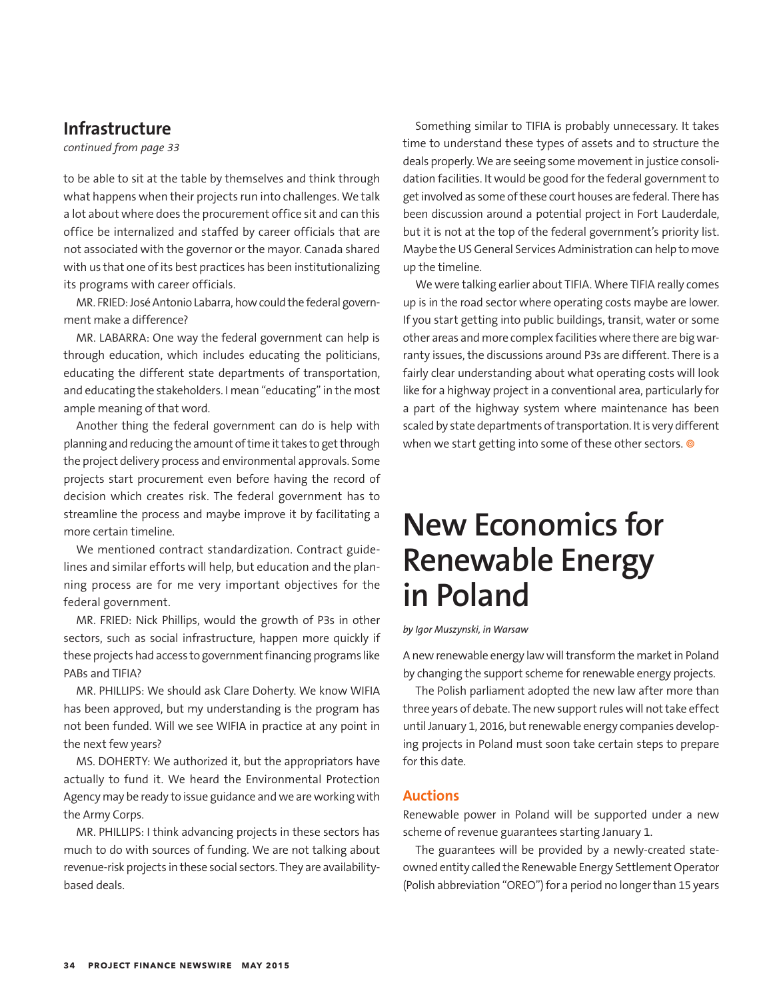## **Infrastructure**

*continued from page 33*

to be able to sit at the table by themselves and think through what happens when their projects run into challenges. We talk a lot about where does the procurement office sit and can this office be internalized and staffed by career officials that are not associated with the governor or the mayor. Canada shared with us that one of its best practices has been institutionalizing its programs with career officials.

MR. FRIED: José Antonio Labarra, how could the federal government make a difference?

MR. LABARRA: One way the federal government can help is through education, which includes educating the politicians, educating the different state departments of transportation, and educating the stakeholders. I mean "educating" in the most ample meaning of that word.

Another thing the federal government can do is help with planning and reducing the amount of time it takes to get through the project delivery process and environmental approvals. Some projects start procurement even before having the record of decision which creates risk. The federal government has to streamline the process and maybe improve it by facilitating a more certain timeline.

We mentioned contract standardization. Contract guidelines and similar efforts will help, but education and the planning process are for me very important objectives for the federal government.

MR. FRIED: Nick Phillips, would the growth of P3s in other sectors, such as social infrastructure, happen more quickly if these projects had access to government financing programs like PABs and TIFIA?

MR. PHILLIPS: We should ask Clare Doherty. We know WIFIA has been approved, but my understanding is the program has not been funded. Will we see WIFIA in practice at any point in the next few years?

MS. DOHERTY: We authorized it, but the appropriators have actually to fund it. We heard the Environmental Protection Agency may be ready to issue guidance and we are working with the Army Corps.

MR. PHILLIPS: I think advancing projects in these sectors has much to do with sources of funding. We are not talking about revenue-risk projects in these social sectors. They are availabilitybased deals.

Something similar to TIFIA is probably unnecessary. It takes time to understand these types of assets and to structure the deals properly. We are seeing some movement in justice consolidation facilities. It would be good for the federal government to get involved as some of these court houses are federal. There has been discussion around a potential project in Fort Lauderdale, but it is not at the top of the federal government's priority list. Maybe the US General Services Administration can help to move up the timeline.

We were talking earlier about TIFIA. Where TIFIA really comes up is in the road sector where operating costs maybe are lower. If you start getting into public buildings, transit, water or some other areas and more complex facilities where there are big warranty issues, the discussions around P3s are different. There is a fairly clear understanding about what operating costs will look like for a highway project in a conventional area, particularly for a part of the highway system where maintenance has been scaled by state departments of transportation. It is very different when we start getting into some of these other sectors.  $\circledast$ 

## **New Economics for Renewable Energy in Poland**

*by Igor Muszynski, in Warsaw*

A new renewable energy law will transform the market in Poland by changing the support scheme for renewable energy projects.

The Polish parliament adopted the new law after more than three years of debate. The new support rules will not take effect until January 1, 2016, but renewable energy companies developing projects in Poland must soon take certain steps to prepare for this date.

## **Auctions**

Renewable power in Poland will be supported under a new scheme of revenue guarantees starting January 1.

The guarantees will be provided by a newly-created stateowned entity called the Renewable Energy Settlement Operator (Polish abbreviation "OREO") for a period no longer than 15 years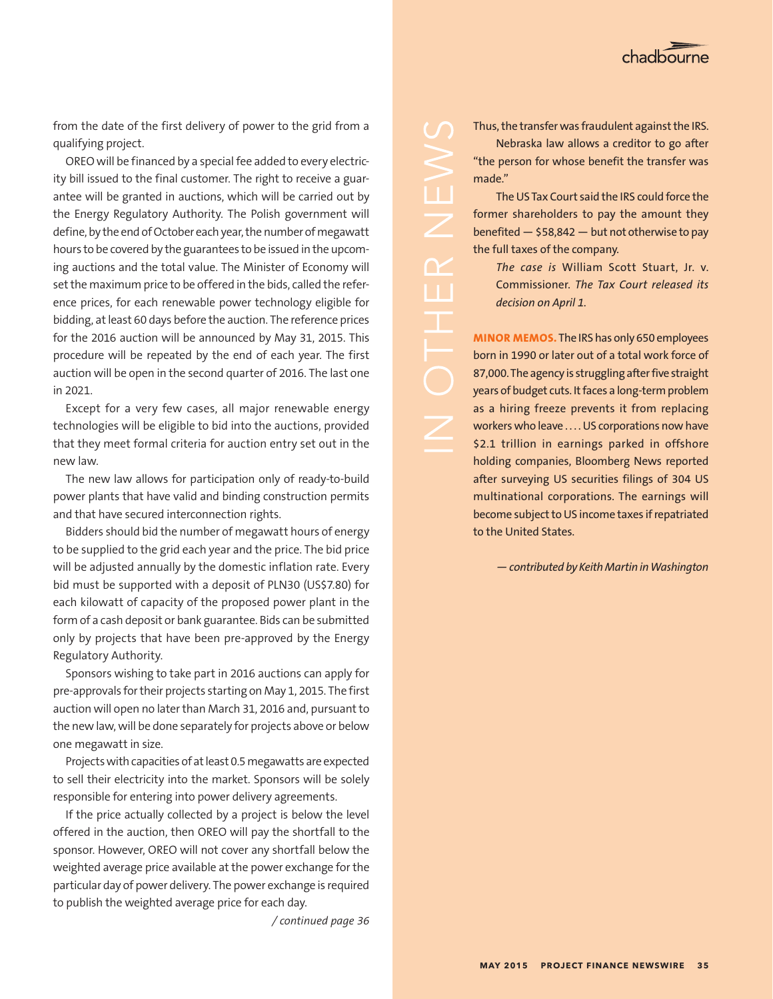

from the date of the first delivery of power to the grid from a qualifying project.

OREO will be financed by a special fee added to every electricity bill issued to the final customer. The right to receive a guarantee will be granted in auctions, which will be carried out by the Energy Regulatory Authority. The Polish government will define, by the end of October each year, the number of megawatt hours to be covered by the guarantees to be issued in the upcoming auctions and the total value. The Minister of Economy will set the maximum price to be offered in the bids, called the reference prices, for each renewable power technology eligible for bidding, at least 60 days before the auction. The reference prices for the 2016 auction will be announced by May 31, 2015. This procedure will be repeated by the end of each year. The first auction will be open in the second quarter of 2016. The last one in 2021.

Except for a very few cases, all major renewable energy technologies will be eligible to bid into the auctions, provided that they meet formal criteria for auction entry set out in the new law.

The new law allows for participation only of ready-to-build power plants that have valid and binding construction permits and that have secured interconnection rights.

Bidders should bid the number of megawatt hours of energy to be supplied to the grid each year and the price. The bid price will be adjusted annually by the domestic inflation rate. Every bid must be supported with a deposit of PLN30 (US\$7.80) for each kilowatt of capacity of the proposed power plant in the form of a cash deposit or bank guarantee. Bids can be submitted only by projects that have been pre-approved by the Energy Regulatory Authority.

Sponsors wishing to take part in 2016 auctions can apply for pre-approvals for their projects starting on May 1, 2015. The first auction will open no later than March 31, 2016 and, pursuant to the new law, will be done separately for projects above or below one megawatt in size.

Projects with capacities of at least 0.5 megawatts are expected to sell their electricity into the market. Sponsors will be solely responsible for entering into power delivery agreements.

If the price actually collected by a project is below the level offered in the auction, then OREO will pay the shortfall to the sponsor. However, OREO will not cover any shortfall below the weighted average price available at the power exchange for the particular day of power delivery. The power exchange is required to publish the weighted average price for each day.

*/ continued page 36*

The US Tax Court said the IRS could force the former shareholders to pay the amount they benefited  $-$  \$58,842  $-$  but not otherwise to pay the full taxes of the company.

*The case is* William Scott Stuart, Jr. v. Commissioner. *The Tax Court released its decision on April 1.*

**MINOR MEMOS.** The IRS has only 650 employees born in 1990 or later out of a total work force of 87,000. The agency is struggling after five straight years of budget cuts. It faces a long-term problem as a hiring freeze prevents it from replacing workers who leave . . . . US corporations now have \$2.1 trillion in earnings parked in offshore holding companies, Bloomberg News reported after surveying US securities filings of 304 US multinational corporations. The earnings will become subject to US income taxes if repatriated to the United States.

*— contributed by Keith Martin in Washington*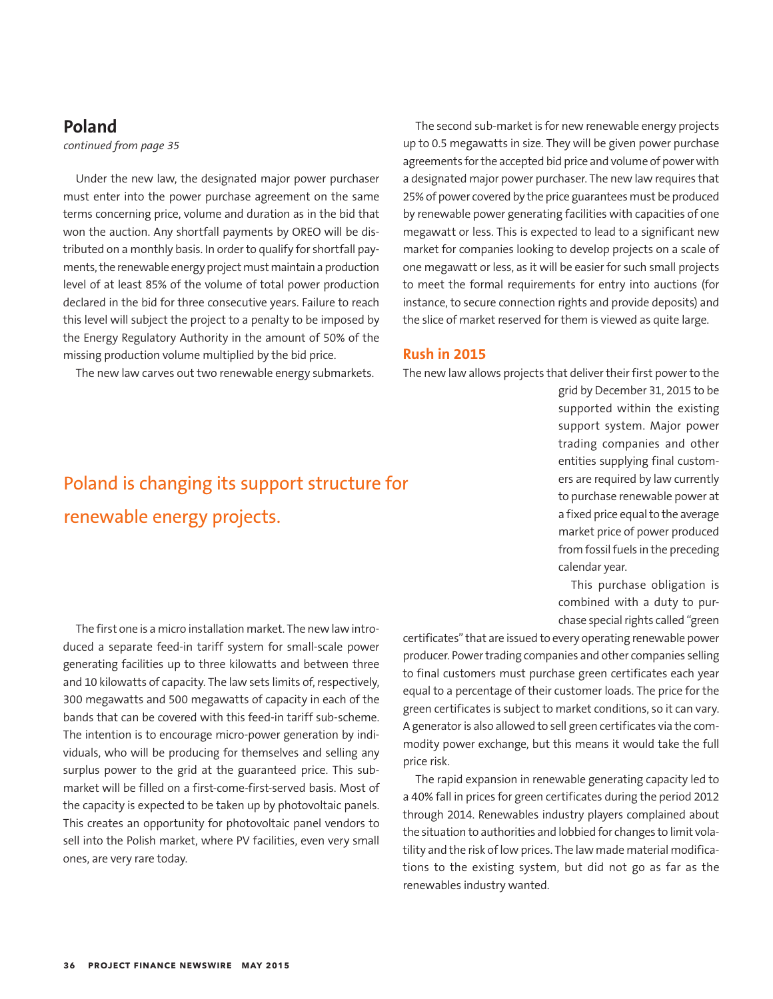## **Poland**

*continued from page 35*

Under the new law, the designated major power purchaser must enter into the power purchase agreement on the same terms concerning price, volume and duration as in the bid that won the auction. Any shortfall payments by OREO will be distributed on a monthly basis. In order to qualify for shortfall payments, the renewable energy project must maintain a production level of at least 85% of the volume of total power production declared in the bid for three consecutive years. Failure to reach this level will subject the project to a penalty to be imposed by the Energy Regulatory Authority in the amount of 50% of the missing production volume multiplied by the bid price.

The new law carves out two renewable energy submarkets.

## Poland is changing its support structure for renewable energy projects.

The second sub-market is for new renewable energy projects up to 0.5 megawatts in size. They will be given power purchase agreements for the accepted bid price and volume of power with a designated major power purchaser. The new law requires that 25% of power covered by the price guarantees must be produced by renewable power generating facilities with capacities of one megawatt or less. This is expected to lead to a significant new market for companies looking to develop projects on a scale of one megawatt or less, as it will be easier for such small projects to meet the formal requirements for entry into auctions (for instance, to secure connection rights and provide deposits) and the slice of market reserved for them is viewed as quite large.

### **Rush in 2015**

The new law allows projects that deliver their first power to the

grid by December 31, 2015 to be supported within the existing support system. Major power trading companies and other entities supplying final customers are required by law currently to purchase renewable power at a fixed price equal to the average market price of power produced from fossil fuels in the preceding calendar year.

This purchase obligation is combined with a duty to purchase special rights called "green

The first one is a micro installation market. The new law introduced a separate feed-in tariff system for small-scale power generating facilities up to three kilowatts and between three and 10 kilowatts of capacity. The law sets limits of, respectively, 300 megawatts and 500 megawatts of capacity in each of the bands that can be covered with this feed-in tariff sub-scheme. The intention is to encourage micro-power generation by individuals, who will be producing for themselves and selling any surplus power to the grid at the guaranteed price. This submarket will be filled on a first-come-first-served basis. Most of the capacity is expected to be taken up by photovoltaic panels. This creates an opportunity for photovoltaic panel vendors to sell into the Polish market, where PV facilities, even very small ones, are very rare today.

certificates" that are issued to every operating renewable power producer. Power trading companies and other companies selling to final customers must purchase green certificates each year equal to a percentage of their customer loads. The price for the green certificates is subject to market conditions, so it can vary. A generator is also allowed to sell green certificates via the commodity power exchange, but this means it would take the full price risk.

The rapid expansion in renewable generating capacity led to a 40% fall in prices for green certificates during the period 2012 through 2014. Renewables industry players complained about the situation to authorities and lobbied for changes to limit volatility and the risk of low prices. The law made material modifications to the existing system, but did not go as far as the renewables industry wanted.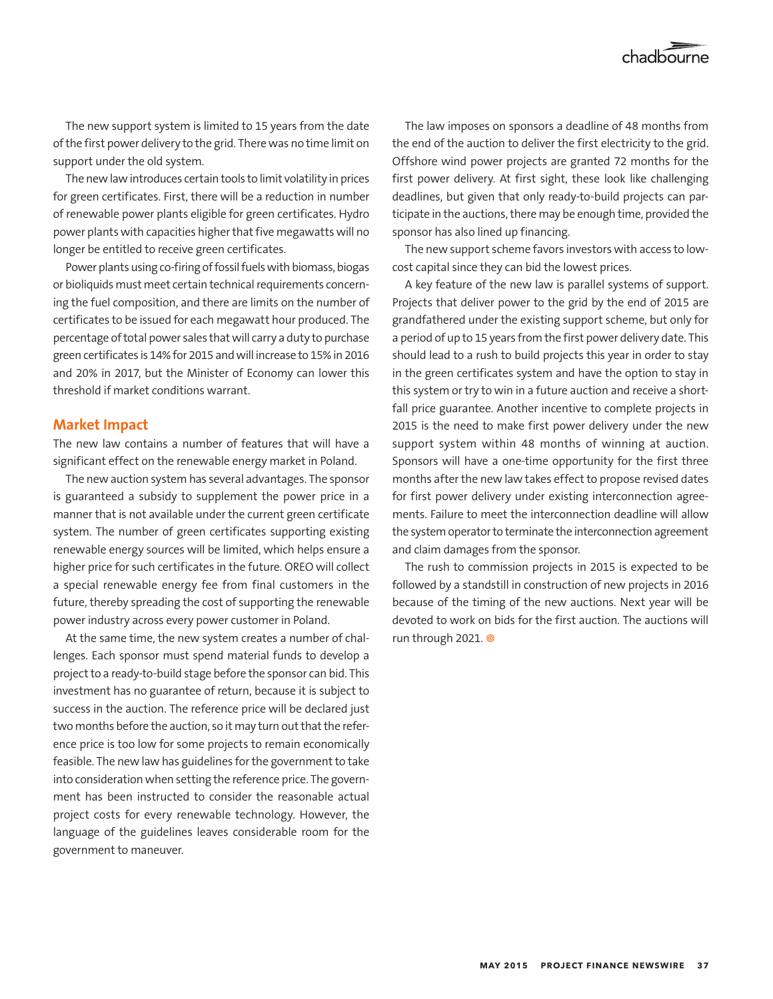The new support system is limited to 15 years from the date of the first power delivery to the grid. There was no time limit on support under the old system.

The new law introduces certain tools to limit volatility in prices for green certificates. First, there will be a reduction in number of renewable power plants eligible for green certificates. Hydro power plants with capacities higher that five megawatts will no longer be entitled to receive green certificates.

Power plants using co-firing of fossil fuels with biomass, biogas or bioliquids must meet certain technical requirements concerning the fuel composition, and there are limits on the number of certificates to be issued for each megawatt hour produced. The percentage of total power sales that will carry a duty to purchase green certificates is 14% for 2015 and will increase to 15% in 2016 and 20% in 2017, but the Minister of Economy can lower this threshold if market conditions warrant.

## **Market Impact**

The new law contains a number of features that will have a significant effect on the renewable energy market in Poland.

The new auction system has several advantages. The sponsor is guaranteed a subsidy to supplement the power price in a manner that is not available under the current green certificate system. The number of green certificates supporting existing renewable energy sources will be limited, which helps ensure a higher price for such certificates in the future. OREO will collect a special renewable energy fee from final customers in the future, thereby spreading the cost of supporting the renewable power industry across every power customer in Poland.

At the same time, the new system creates a number of challenges. Each sponsor must spend material funds to develop a project to a ready-to-build stage before the sponsor can bid. This investment has no guarantee of return, because it is subject to success in the auction. The reference price will be declared just two months before the auction, so it may turn out that the reference price is too low for some projects to remain economically feasible. The new law has guidelines for the government to take into consideration when setting the reference price. The government has been instructed to consider the reasonable actual project costs for every renewable technology. However, the language of the guidelines leaves considerable room for the government to maneuver.

The law imposes on sponsors a deadline of 48 months from the end of the auction to deliver the first electricity to the grid. Offshore wind power projects are granted 72 months for the first power delivery. At first sight, these look like challenging deadlines, but given that only ready-to-build projects can participate in the auctions, there may be enough time, provided the sponsor has also lined up financing.

The new support scheme favors investors with access to lowcost capital since they can bid the lowest prices.

A key feature of the new law is parallel systems of support. Projects that deliver power to the grid by the end of 2015 are grandfathered under the existing support scheme, but only for a period of up to 15 years from the first power delivery date. This should lead to a rush to build projects this year in order to stay in the green certificates system and have the option to stay in this system or try to win in a future auction and receive a shortfall price guarantee. Another incentive to complete projects in 2015 is the need to make first power delivery under the new support system within 48 months of winning at auction. Sponsors will have a one-time opportunity for the first three months after the new law takes effect to propose revised dates for first power delivery under existing interconnection agreements. Failure to meet the interconnection deadline will allow the system operator to terminate the interconnection agreement and claim damages from the sponsor.

The rush to commission projects in 2015 is expected to be followed by a standstill in construction of new projects in 2016 because of the timing of the new auctions. Next year will be devoted to work on bids for the first auction. The auctions will run through 2021.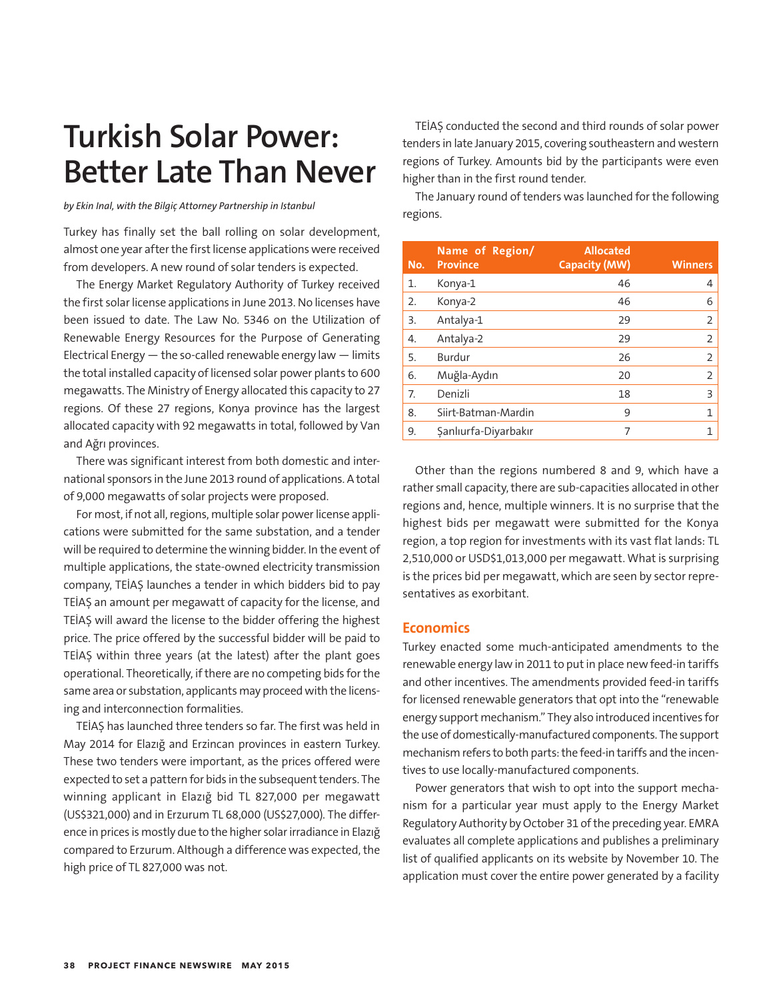## **Turkish Solar Power: Better Late Than Never**

*by Ekin Inal, with the Bilgiç Attorney Partnership in Istanbul*

Turkey has finally set the ball rolling on solar development, almost one year after the first license applications were received from developers. A new round of solar tenders is expected.

The Energy Market Regulatory Authority of Turkey received the first solar license applications in June 2013. No licenses have been issued to date. The Law No. 5346 on the Utilization of Renewable Energy Resources for the Purpose of Generating Electrical Energy  $-$  the so-called renewable energy law  $-$  limits the total installed capacity of licensed solar power plants to 600 megawatts. The Ministry of Energy allocated this capacity to 27 regions. Of these 27 regions, Konya province has the largest allocated capacity with 92 megawatts in total, followed by Van and Ağrı provinces.

There was significant interest from both domestic and international sponsors in the June 2013 round of applications. A total of 9,000 megawatts of solar projects were proposed.

For most, if not all, regions, multiple solar power license applications were submitted for the same substation, and a tender will be required to determine the winning bidder. In the event of multiple applications, the state-owned electricity transmission company, TEİAŞ launches a tender in which bidders bid to pay TEİAŞ an amount per megawatt of capacity for the license, and TEİAŞ will award the license to the bidder offering the highest price. The price offered by the successful bidder will be paid to TEİAŞ within three years (at the latest) after the plant goes operational. Theoretically, if there are no competing bids for the same area or substation, applicants may proceed with the licensing and interconnection formalities.

TEİAŞ has launched three tenders so far. The first was held in May 2014 for Elazığ and Erzincan provinces in eastern Turkey. These two tenders were important, as the prices offered were expected to set a pattern for bids in the subsequent tenders. The winning applicant in Elazığ bid TL 827,000 per megawatt (US\$321,000) and in Erzurum TL 68,000 (US\$27,000). The difference in prices is mostly due to the higher solar irradiance in Elazığ compared to Erzurum. Although a difference was expected, the high price of TL 827,000 was not.

TEİAŞ conducted the second and third rounds of solar power tenders in late January 2015, covering southeastern and western regions of Turkey. Amounts bid by the participants were even higher than in the first round tender.

The January round of tenders was launched for the following regions.

| No. | Name of Region/<br><b>Province</b> | <b>Allocated</b><br><b>Capacity (MW)</b> | <b>Winners</b> |
|-----|------------------------------------|------------------------------------------|----------------|
| 1.  | Konya-1                            | 46                                       | $\overline{4}$ |
| 2.  | Konya-2                            | 46                                       | 6              |
| 3.  | Antalya-1                          | 29                                       | 2              |
| 4.  | Antalya-2                          | 29                                       | 2              |
| 5.  | Burdur                             | 26                                       | 2              |
| 6.  | Muğla-Aydın                        | 20                                       | 2              |
| 7.  | Denizli                            | 18                                       | 3              |
| 8.  | Siirt-Batman-Mardin                | 9                                        | 1              |
| 9.  | Şanlıurfa-Diyarbakır               | 7                                        |                |

Other than the regions numbered 8 and 9, which have a rather small capacity, there are sub-capacities allocated in other regions and, hence, multiple winners. It is no surprise that the highest bids per megawatt were submitted for the Konya region, a top region for investments with its vast flat lands: TL 2,510,000 or USD\$1,013,000 per megawatt. What is surprising is the prices bid per megawatt, which are seen by sector representatives as exorbitant.

## **Economics**

Turkey enacted some much-anticipated amendments to the renewable energy law in 2011 to put in place new feed-in tariffs and other incentives. The amendments provided feed-in tariffs for licensed renewable generators that opt into the "renewable energy support mechanism." They also introduced incentives for the use of domestically-manufactured components. The support mechanism refers to both parts: the feed-in tariffs and the incentives to use locally-manufactured components.

Power generators that wish to opt into the support mechanism for a particular year must apply to the Energy Market Regulatory Authority by October 31 of the preceding year. EMRA evaluates all complete applications and publishes a preliminary list of qualified applicants on its website by November 10. The application must cover the entire power generated by a facility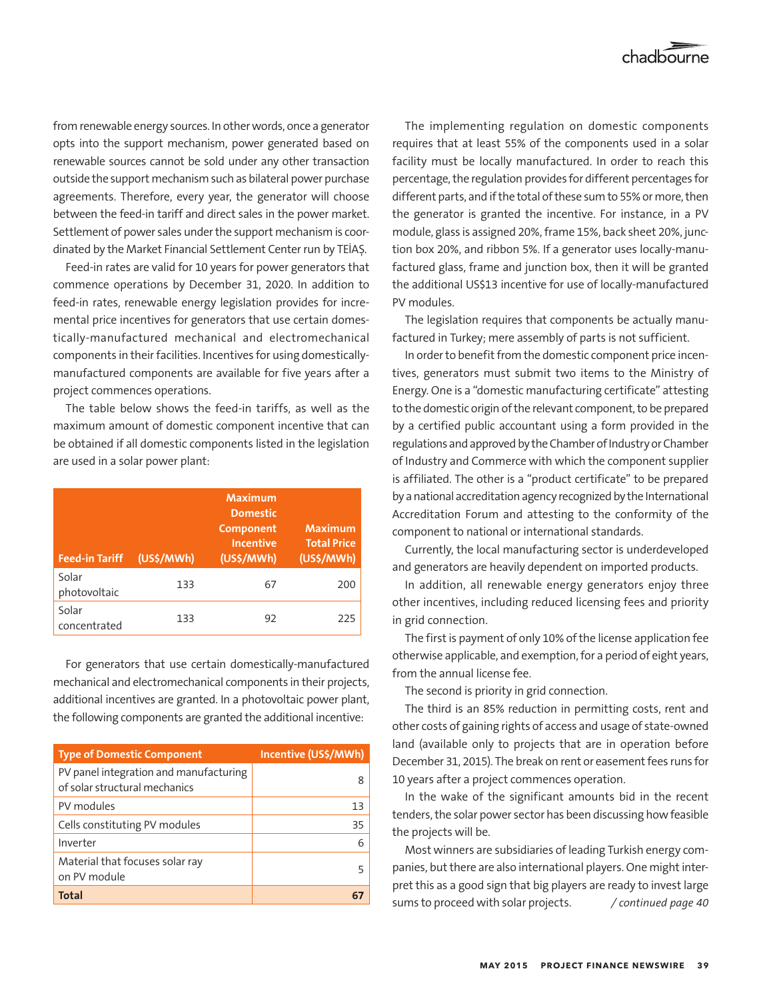from renewable energy sources. In other words, once a generator opts into the support mechanism, power generated based on renewable sources cannot be sold under any other transaction outside the support mechanism such as bilateral power purchase agreements. Therefore, every year, the generator will choose between the feed-in tariff and direct sales in the power market. Settlement of power sales under the support mechanism is coordinated by the Market Financial Settlement Center run by TEİAŞ.

Feed-in rates are valid for 10 years for power generators that commence operations by December 31, 2020. In addition to feed-in rates, renewable energy legislation provides for incremental price incentives for generators that use certain domestically-manufactured mechanical and electromechanical components in their facilities. Incentives for using domesticallymanufactured components are available for five years after a project commences operations.

The table below shows the feed-in tariffs, as well as the maximum amount of domestic component incentive that can be obtained if all domestic components listed in the legislation are used in a solar power plant:

| <b>Feed-in Tariff</b> | (US\$/MWh) | <b>Maximum</b><br><b>Domestic</b><br>Component<br><b>Incentive</b><br>(US\$/MWh) | <b>Maximum</b><br><b>Total Price</b><br>(US\$/MWh) |
|-----------------------|------------|----------------------------------------------------------------------------------|----------------------------------------------------|
| Solar<br>photovoltaic | 133        | 67                                                                               | 200                                                |
| Solar<br>concentrated | 133        | 92                                                                               | 225                                                |

For generators that use certain domestically-manufactured mechanical and electromechanical components in their projects, additional incentives are granted. In a photovoltaic power plant, the following components are granted the additional incentive:

| Type of Domestic Component                                              | Incentive (US\$/MWh) |
|-------------------------------------------------------------------------|----------------------|
| PV panel integration and manufacturing<br>of solar structural mechanics | 8                    |
| PV modules                                                              | 13                   |
| Cells constituting PV modules                                           | 35                   |
| Inverter                                                                | 6                    |
| Material that focuses solar ray<br>on PV module                         |                      |
| <b>Total</b>                                                            |                      |

The implementing regulation on domestic components requires that at least 55% of the components used in a solar facility must be locally manufactured. In order to reach this percentage, the regulation provides for different percentages for different parts, and if the total of these sum to 55% or more, then the generator is granted the incentive. For instance, in a PV module, glass is assigned 20%, frame 15%, back sheet 20%, junction box 20%, and ribbon 5%. If a generator uses locally-manufactured glass, frame and junction box, then it will be granted the additional US\$13 incentive for use of locally-manufactured PV modules.

The legislation requires that components be actually manufactured in Turkey; mere assembly of parts is not sufficient.

In order to benefit from the domestic component price incentives, generators must submit two items to the Ministry of Energy. One is a "domestic manufacturing certificate" attesting to the domestic origin of the relevant component, to be prepared by a certified public accountant using a form provided in the regulations and approved by the Chamber of Industry or Chamber of Industry and Commerce with which the component supplier is affiliated. The other is a "product certificate" to be prepared by a national accreditation agency recognized by the International Accreditation Forum and attesting to the conformity of the component to national or international standards.

Currently, the local manufacturing sector is underdeveloped and generators are heavily dependent on imported products.

In addition, all renewable energy generators enjoy three other incentives, including reduced licensing fees and priority in grid connection.

The first is payment of only 10% of the license application fee otherwise applicable, and exemption, for a period of eight years, from the annual license fee.

The second is priority in grid connection.

The third is an 85% reduction in permitting costs, rent and other costs of gaining rights of access and usage of state-owned land (available only to projects that are in operation before December 31, 2015). The break on rent or easement fees runs for 10 years after a project commences operation.

In the wake of the significant amounts bid in the recent tenders, the solar power sector has been discussing how feasible the projects will be.

Most winners are subsidiaries of leading Turkish energy companies, but there are also international players. One might interpret this as a good sign that big players are ready to invest large sums to proceed with solar projects. */ continued page 40*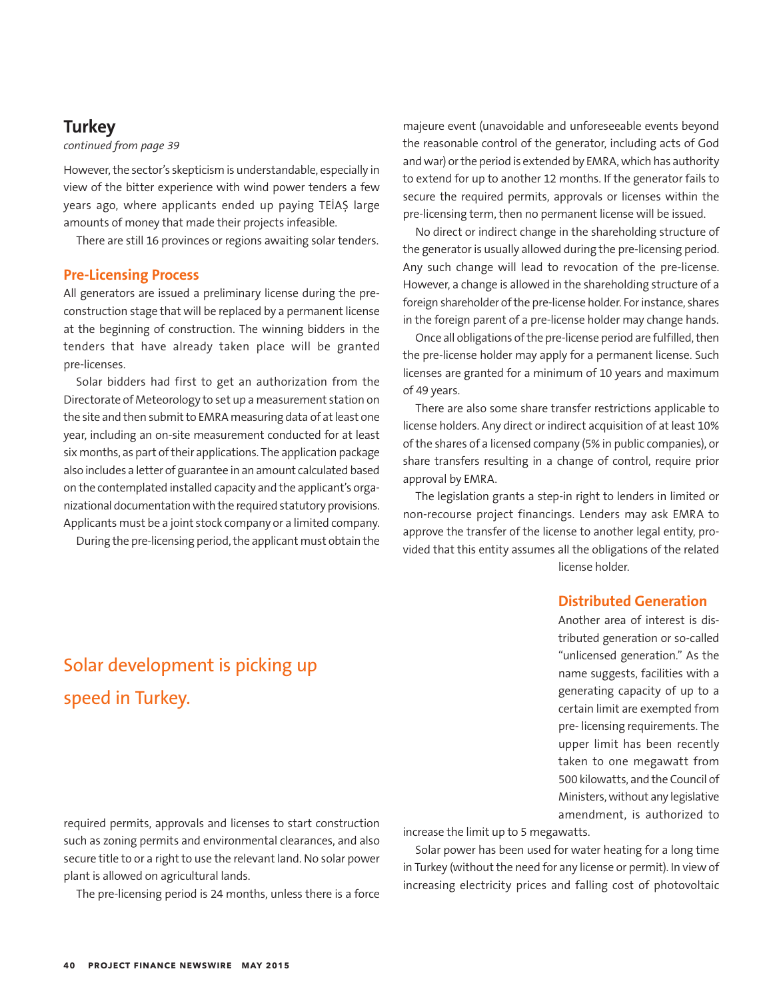## **Turkey**

## *continued from page 39*

However, the sector's skepticism is understandable, especially in view of the bitter experience with wind power tenders a few years ago, where applicants ended up paying TEİAŞ large amounts of money that made their projects infeasible.

There are still 16 provinces or regions awaiting solar tenders.

## **Pre-Licensing Process**

All generators are issued a preliminary license during the preconstruction stage that will be replaced by a permanent license at the beginning of construction. The winning bidders in the tenders that have already taken place will be granted pre-licenses.

Solar bidders had first to get an authorization from the Directorate of Meteorology to set up a measurement station on the site and then submit to EMRA measuring data of at least one year, including an on-site measurement conducted for at least six months, as part of their applications. The application package also includes a letter of guarantee in an amount calculated based on the contemplated installed capacity and the applicant's organizational documentation with the required statutory provisions. Applicants must be a joint stock company or a limited company.

During the pre-licensing period, the applicant must obtain the

majeure event (unavoidable and unforeseeable events beyond the reasonable control of the generator, including acts of God and war) or the period is extended by EMRA, which has authority to extend for up to another 12 months. If the generator fails to secure the required permits, approvals or licenses within the pre-licensing term, then no permanent license will be issued.

No direct or indirect change in the shareholding structure of the generator is usually allowed during the pre-licensing period. Any such change will lead to revocation of the pre-license. However, a change is allowed in the shareholding structure of a foreign shareholder of the pre-license holder. For instance, shares in the foreign parent of a pre-license holder may change hands.

Once all obligations of the pre-license period are fulfilled, then the pre-license holder may apply for a permanent license. Such licenses are granted for a minimum of 10 years and maximum of 49 years.

There are also some share transfer restrictions applicable to license holders. Any direct or indirect acquisition of at least 10% of the shares of a licensed company (5% in public companies), or share transfers resulting in a change of control, require prior approval by EMRA.

The legislation grants a step-in right to lenders in limited or non-recourse project financings. Lenders may ask EMRA to approve the transfer of the license to another legal entity, provided that this entity assumes all the obligations of the related license holder.

## **Distributed Generation**

Another area of interest is distributed generation or so-called "unlicensed generation." As the name suggests, facilities with a generating capacity of up to a certain limit are exempted from pre- licensing requirements. The upper limit has been recently taken to one megawatt from 500 kilowatts, and the Council of Ministers, without any legislative amendment, is authorized to

## Solar development is picking up speed in Turkey.

required permits, approvals and licenses to start construction such as zoning permits and environmental clearances, and also secure title to or a right to use the relevant land. No solar power plant is allowed on agricultural lands.

The pre-licensing period is 24 months, unless there is a force

increase the limit up to 5 megawatts.

Solar power has been used for water heating for a long time in Turkey (without the need for any license or permit). In view of increasing electricity prices and falling cost of photovoltaic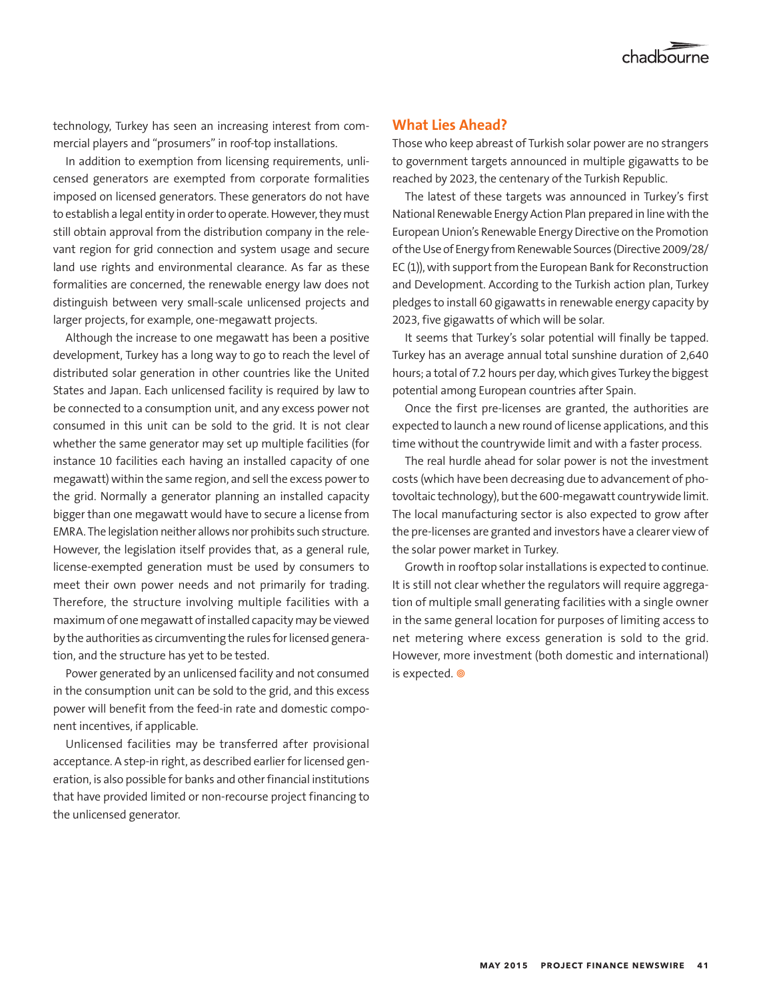

technology, Turkey has seen an increasing interest from commercial players and "prosumers" in roof-top installations.

In addition to exemption from licensing requirements, unlicensed generators are exempted from corporate formalities imposed on licensed generators. These generators do not have to establish a legal entity in order to operate. However, they must still obtain approval from the distribution company in the relevant region for grid connection and system usage and secure land use rights and environmental clearance. As far as these formalities are concerned, the renewable energy law does not distinguish between very small-scale unlicensed projects and larger projects, for example, one-megawatt projects.

Although the increase to one megawatt has been a positive development, Turkey has a long way to go to reach the level of distributed solar generation in other countries like the United States and Japan. Each unlicensed facility is required by law to be connected to a consumption unit, and any excess power not consumed in this unit can be sold to the grid. It is not clear whether the same generator may set up multiple facilities (for instance 10 facilities each having an installed capacity of one megawatt) within the same region, and sell the excess power to the grid. Normally a generator planning an installed capacity bigger than one megawatt would have to secure a license from EMRA. The legislation neither allows nor prohibits such structure. However, the legislation itself provides that, as a general rule, license-exempted generation must be used by consumers to meet their own power needs and not primarily for trading. Therefore, the structure involving multiple facilities with a maximum of one megawatt of installed capacity may be viewed by the authorities as circumventing the rules for licensed generation, and the structure has yet to be tested.

Power generated by an unlicensed facility and not consumed in the consumption unit can be sold to the grid, and this excess power will benefit from the feed-in rate and domestic component incentives, if applicable.

Unlicensed facilities may be transferred after provisional acceptance. A step-in right, as described earlier for licensed generation, is also possible for banks and other financial institutions that have provided limited or non-recourse project financing to the unlicensed generator.

## **What Lies Ahead?**

Those who keep abreast of Turkish solar power are no strangers to government targets announced in multiple gigawatts to be reached by 2023, the centenary of the Turkish Republic.

The latest of these targets was announced in Turkey's first National Renewable Energy Action Plan prepared in line with the European Union's Renewable Energy Directive on the Promotion of the Use of Energy from Renewable Sources (Directive 2009/28/ EC (1)), with support from the European Bank for Reconstruction and Development. According to the Turkish action plan, Turkey pledges to install 60 gigawatts in renewable energy capacity by 2023, five gigawatts of which will be solar.

It seems that Turkey's solar potential will finally be tapped. Turkey has an average annual total sunshine duration of 2,640 hours; a total of 7.2 hours per day, which gives Turkey the biggest potential among European countries after Spain.

Once the first pre-licenses are granted, the authorities are expected to launch a new round of license applications, and this time without the countrywide limit and with a faster process.

The real hurdle ahead for solar power is not the investment costs (which have been decreasing due to advancement of photovoltaic technology), but the 600-megawatt countrywide limit. The local manufacturing sector is also expected to grow after the pre-licenses are granted and investors have a clearer view of the solar power market in Turkey.

Growth in rooftop solar installations is expected to continue. It is still not clear whether the regulators will require aggregation of multiple small generating facilities with a single owner in the same general location for purposes of limiting access to net metering where excess generation is sold to the grid. However, more investment (both domestic and international) is expected.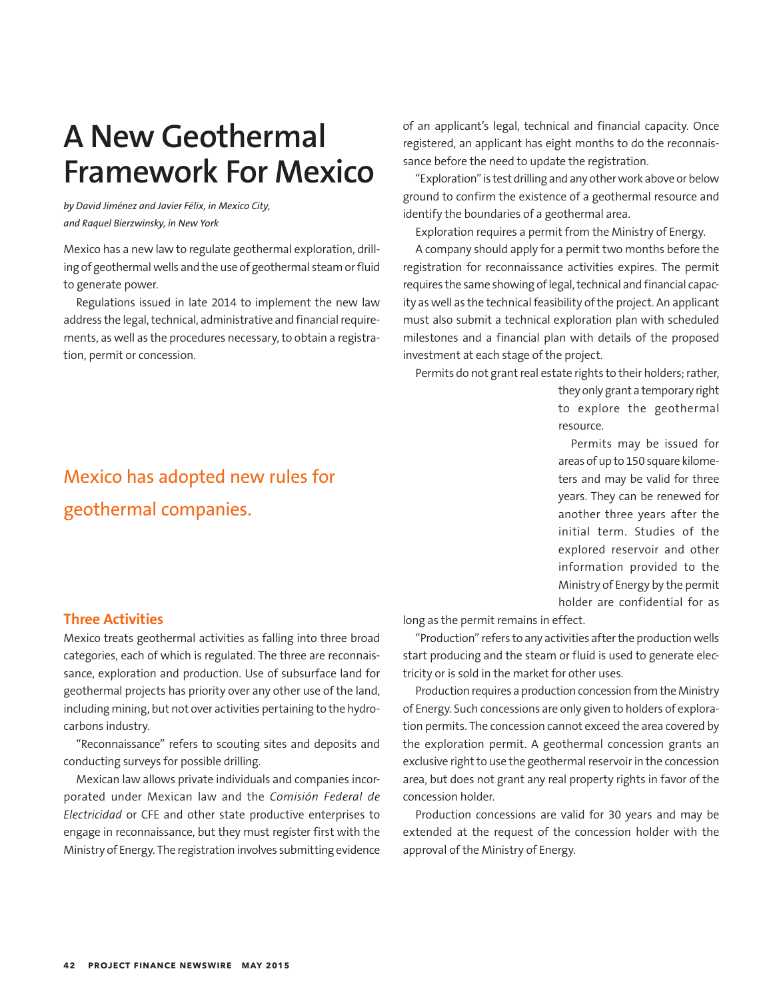## **A New Geothermal Framework For Mexico**

*by David Jiménez and Javier Félix, in Mexico City, and Raquel Bierzwinsky, in New York*

Mexico has a new law to regulate geothermal exploration, drilling of geothermal wells and the use of geothermal steam or fluid to generate power.

Regulations issued in late 2014 to implement the new law address the legal, technical, administrative and financial requirements, as well as the procedures necessary, to obtain a registration, permit or concession.

## of an applicant's legal, technical and financial capacity. Once registered, an applicant has eight months to do the reconnaissance before the need to update the registration.

"Exploration" is test drilling and any other work above or below ground to confirm the existence of a geothermal resource and identify the boundaries of a geothermal area.

Exploration requires a permit from the Ministry of Energy.

A company should apply for a permit two months before the registration for reconnaissance activities expires. The permit requires the same showing of legal, technical and financial capacity as well as the technical feasibility of the project. An applicant must also submit a technical exploration plan with scheduled milestones and a financial plan with details of the proposed investment at each stage of the project.

Permits do not grant real estate rights to their holders; rather,

they only grant a temporary right to explore the geothermal resource.

Permits may be issued for areas of up to 150 square kilometers and may be valid for three years. They can be renewed for another three years after the initial term. Studies of the explored reservoir and other information provided to the Ministry of Energy by the permit holder are confidential for as

## Mexico has adopted new rules for geothermal companies.

## **Three Activities**

Mexico treats geothermal activities as falling into three broad categories, each of which is regulated. The three are reconnaissance, exploration and production. Use of subsurface land for geothermal projects has priority over any other use of the land, including mining, but not over activities pertaining to the hydrocarbons industry.

"Reconnaissance" refers to scouting sites and deposits and conducting surveys for possible drilling.

Mexican law allows private individuals and companies incorporated under Mexican law and the *Comisión Federal de Electricidad* or CFE and other state productive enterprises to engage in reconnaissance, but they must register first with the Ministry of Energy. The registration involves submitting evidence long as the permit remains in effect.

"Production" refers to any activities after the production wells start producing and the steam or fluid is used to generate electricity or is sold in the market for other uses.

Production requires a production concession from the Ministry of Energy. Such concessions are only given to holders of exploration permits. The concession cannot exceed the area covered by the exploration permit. A geothermal concession grants an exclusive right to use the geothermal reservoir in the concession area, but does not grant any real property rights in favor of the concession holder.

Production concessions are valid for 30 years and may be extended at the request of the concession holder with the approval of the Ministry of Energy.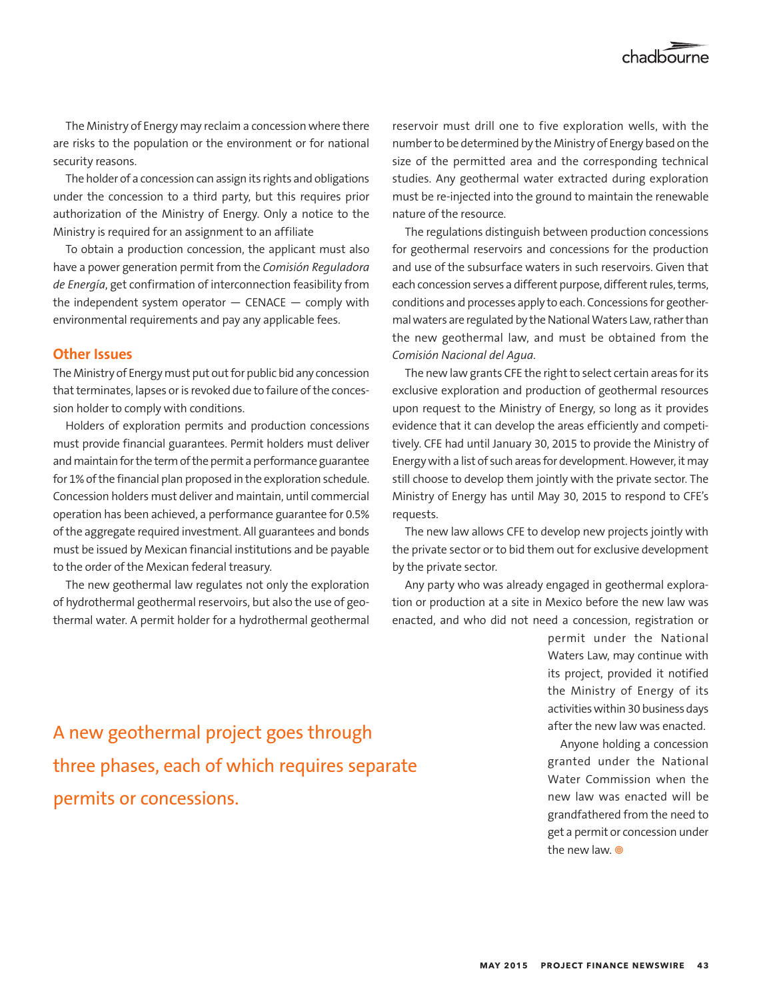

The Ministry of Energy may reclaim a concession where there are risks to the population or the environment or for national security reasons.

The holder of a concession can assign its rights and obligations under the concession to a third party, but this requires prior authorization of the Ministry of Energy. Only a notice to the Ministry is required for an assignment to an affiliate

To obtain a production concession, the applicant must also have a power generation permit from the *Comisión Reguladora de Energía*, get confirmation of interconnection feasibility from the independent system operator  $-$  CENACE  $-$  comply with environmental requirements and pay any applicable fees.

## **Other Issues**

The Ministry of Energy must put out for public bid any concession that terminates, lapses or is revoked due to failure of the concession holder to comply with conditions.

Holders of exploration permits and production concessions must provide financial guarantees. Permit holders must deliver and maintain for the term of the permit a performance guarantee for 1% of the financial plan proposed in the exploration schedule. Concession holders must deliver and maintain, until commercial operation has been achieved, a performance guarantee for 0.5% of the aggregate required investment. All guarantees and bonds must be issued by Mexican financial institutions and be payable to the order of the Mexican federal treasury.

The new geothermal law regulates not only the exploration of hydrothermal geothermal reservoirs, but also the use of geothermal water. A permit holder for a hydrothermal geothermal

reservoir must drill one to five exploration wells, with the number to be determined by the Ministry of Energy based on the size of the permitted area and the corresponding technical studies. Any geothermal water extracted during exploration must be re-injected into the ground to maintain the renewable nature of the resource.

The regulations distinguish between production concessions for geothermal reservoirs and concessions for the production and use of the subsurface waters in such reservoirs. Given that each concession serves a different purpose, different rules, terms, conditions and processes apply to each. Concessions for geothermal waters are regulated by the National Waters Law, rather than the new geothermal law, and must be obtained from the *Comisión Nacional del Agua*.

The new law grants CFE the right to select certain areas for its exclusive exploration and production of geothermal resources upon request to the Ministry of Energy, so long as it provides evidence that it can develop the areas efficiently and competitively. CFE had until January 30, 2015 to provide the Ministry of Energy with a list of such areas for development. However, it may still choose to develop them jointly with the private sector. The Ministry of Energy has until May 30, 2015 to respond to CFE's requests.

The new law allows CFE to develop new projects jointly with the private sector or to bid them out for exclusive development by the private sector.

Any party who was already engaged in geothermal exploration or production at a site in Mexico before the new law was enacted, and who did not need a concession, registration or

> permit under the National Waters Law, may continue with its project, provided it notified the Ministry of Energy of its activities within 30 business days after the new law was enacted.

> Anyone holding a concession granted under the National Water Commission when the new law was enacted will be grandfathered from the need to get a permit or concession under the new law. <sup>o</sup>

A new geothermal project goes through three phases, each of which requires separate permits or concessions.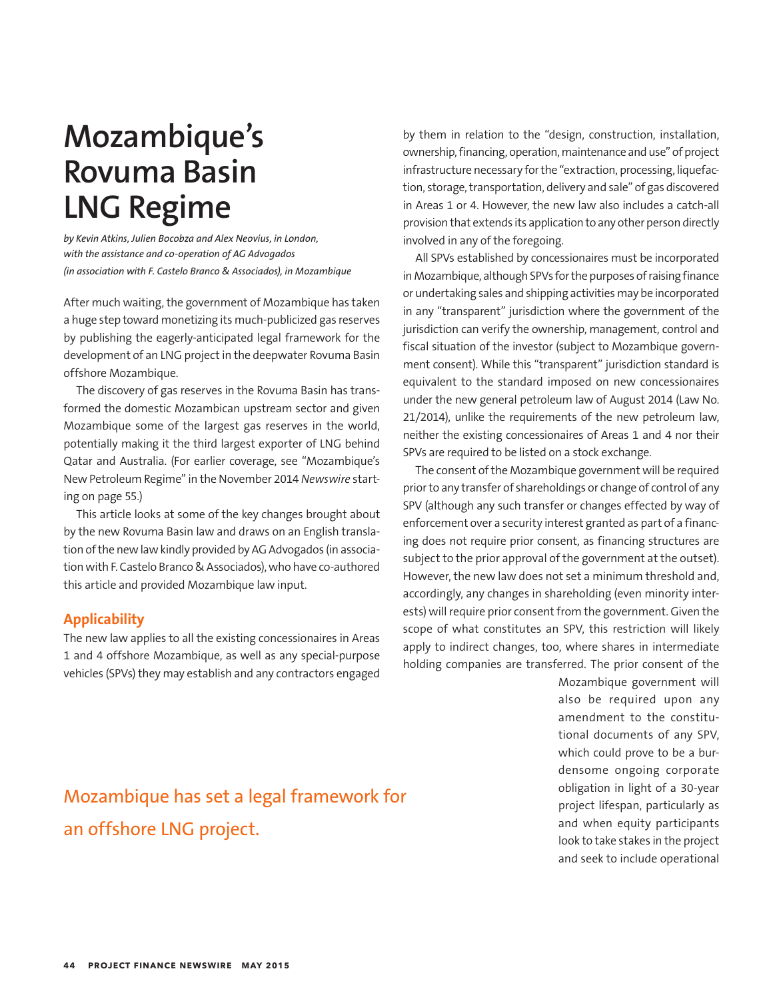## **Mozambique's Rovuma Basin LNG Regime**

*by Kevin Atkins, Julien Bocobza and Alex Neovius, in London, with the assistance and co-operation of AG Advogados (in association with F. Castelo Branco & Associados), in Mozambique* 

After much waiting, the government of Mozambique has taken a huge step toward monetizing its much-publicized gas reserves by publishing the eagerly-anticipated legal framework for the development of an LNG project in the deepwater Rovuma Basin offshore Mozambique.

The discovery of gas reserves in the Rovuma Basin has transformed the domestic Mozambican upstream sector and given Mozambique some of the largest gas reserves in the world, potentially making it the third largest exporter of LNG behind Qatar and Australia. (For earlier coverage, see "Mozambique's New Petroleum Regime" in the November 2014 *Newswire* starting on page 55.)

This article looks at some of the key changes brought about by the new Rovuma Basin law and draws on an English translation of the new law kindly provided by AG Advogados (in association with F. Castelo Branco & Associados), who have co-authored this article and provided Mozambique law input.

## **Applicability**

The new law applies to all the existing concessionaires in Areas 1 and 4 offshore Mozambique, as well as any special-purpose vehicles (SPVs) they may establish and any contractors engaged by them in relation to the "design, construction, installation, ownership, financing, operation, maintenance and use" of project infrastructure necessary for the "extraction, processing, liquefaction, storage, transportation, delivery and sale" of gas discovered in Areas 1 or 4. However, the new law also includes a catch-all provision that extends its application to any other person directly involved in any of the foregoing.

All SPVs established by concessionaires must be incorporated in Mozambique, although SPVs for the purposes of raising finance or undertaking sales and shipping activities may be incorporated in any "transparent" jurisdiction where the government of the jurisdiction can verify the ownership, management, control and fiscal situation of the investor (subject to Mozambique government consent). While this "transparent" jurisdiction standard is equivalent to the standard imposed on new concessionaires under the new general petroleum law of August 2014 (Law No. 21/2014), unlike the requirements of the new petroleum law, neither the existing concessionaires of Areas 1 and 4 nor their SPVs are required to be listed on a stock exchange.

The consent of the Mozambique government will be required prior to any transfer of shareholdings or change of control of any SPV (although any such transfer or changes effected by way of enforcement over a security interest granted as part of a financing does not require prior consent, as financing structures are subject to the prior approval of the government at the outset). However, the new law does not set a minimum threshold and, accordingly, any changes in shareholding (even minority interests) will require prior consent from the government. Given the scope of what constitutes an SPV, this restriction will likely apply to indirect changes, too, where shares in intermediate holding companies are transferred. The prior consent of the

> Mozambique government will also be required upon any amendment to the constitutional documents of any SPV, which could prove to be a burdensome ongoing corporate obligation in light of a 30-year project lifespan, particularly as and when equity participants look to take stakes in the project and seek to include operational

## Mozambique has set a legal framework for an offshore LNG project.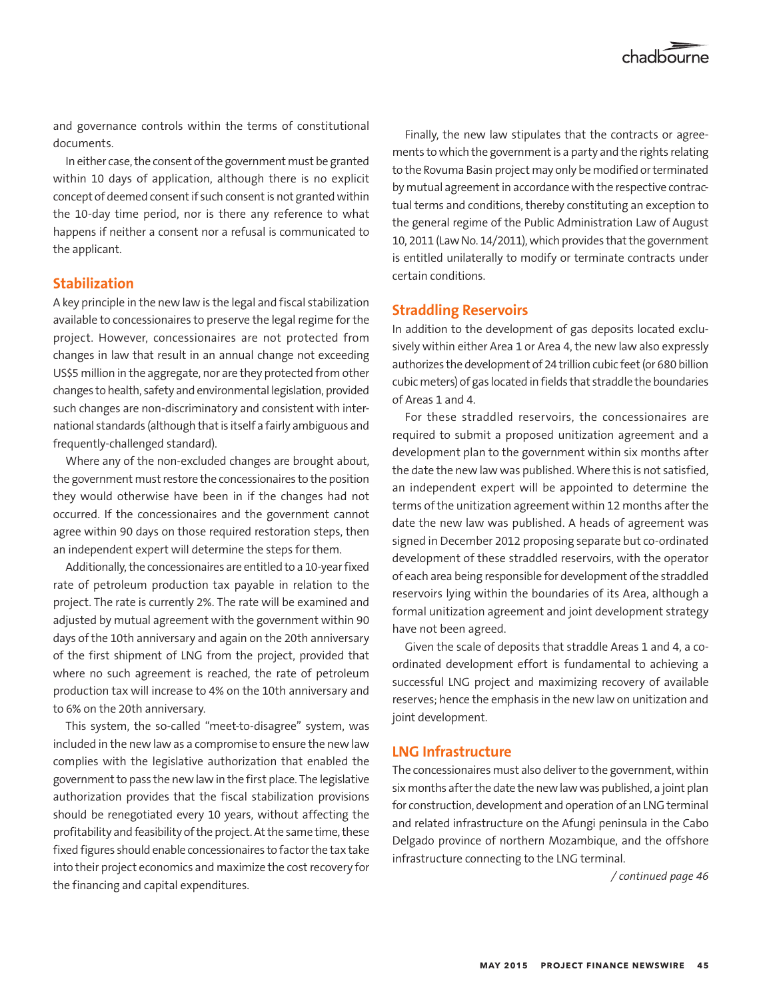and governance controls within the terms of constitutional documents.

In either case, the consent of the government must be granted within 10 days of application, although there is no explicit concept of deemed consent if such consent is not granted within the 10-day time period, nor is there any reference to what happens if neither a consent nor a refusal is communicated to the applicant.

## **Stabilization**

A key principle in the new law is the legal and fiscal stabilization available to concessionaires to preserve the legal regime for the project. However, concessionaires are not protected from changes in law that result in an annual change not exceeding US\$5 million in the aggregate, nor are they protected from other changes to health, safety and environmental legislation, provided such changes are non-discriminatory and consistent with international standards (although that is itself a fairly ambiguous and frequently-challenged standard).

Where any of the non-excluded changes are brought about, the government must restore the concessionaires to the position they would otherwise have been in if the changes had not occurred. If the concessionaires and the government cannot agree within 90 days on those required restoration steps, then an independent expert will determine the steps for them.

Additionally, the concessionaires are entitled to a 10-year fixed rate of petroleum production tax payable in relation to the project. The rate is currently 2%. The rate will be examined and adjusted by mutual agreement with the government within 90 days of the 10th anniversary and again on the 20th anniversary of the first shipment of LNG from the project, provided that where no such agreement is reached, the rate of petroleum production tax will increase to 4% on the 10th anniversary and to 6% on the 20th anniversary.

This system, the so-called "meet-to-disagree" system, was included in the new law as a compromise to ensure the new law complies with the legislative authorization that enabled the government to pass the new law in the first place. The legislative authorization provides that the fiscal stabilization provisions should be renegotiated every 10 years, without affecting the profitability and feasibility of the project. At the same time, these fixed figures should enable concessionaires to factor the tax take into their project economics and maximize the cost recovery for the financing and capital expenditures.

Finally, the new law stipulates that the contracts or agreements to which the government is a party and the rights relating to the Rovuma Basin project may only be modified or terminated by mutual agreement in accordance with the respective contractual terms and conditions, thereby constituting an exception to the general regime of the Public Administration Law of August 10, 2011 (Law No. 14/2011), which provides that the government is entitled unilaterally to modify or terminate contracts under certain conditions.

## **Straddling Reservoirs**

In addition to the development of gas deposits located exclusively within either Area 1 or Area 4, the new law also expressly authorizes the development of 24 trillion cubic feet (or 680 billion cubic meters) of gas located in fields that straddle the boundaries of Areas 1 and 4.

For these straddled reservoirs, the concessionaires are required to submit a proposed unitization agreement and a development plan to the government within six months after the date the new law was published. Where this is not satisfied, an independent expert will be appointed to determine the terms of the unitization agreement within 12 months after the date the new law was published. A heads of agreement was signed in December 2012 proposing separate but co-ordinated development of these straddled reservoirs, with the operator of each area being responsible for development of the straddled reservoirs lying within the boundaries of its Area, although a formal unitization agreement and joint development strategy have not been agreed.

Given the scale of deposits that straddle Areas 1 and 4, a coordinated development effort is fundamental to achieving a successful LNG project and maximizing recovery of available reserves; hence the emphasis in the new law on unitization and joint development.

## **LNG Infrastructure**

The concessionaires must also deliver to the government, within six months after the date the new law was published, a joint plan for construction, development and operation of an LNG terminal and related infrastructure on the Afungi peninsula in the Cabo Delgado province of northern Mozambique, and the offshore infrastructure connecting to the LNG terminal.

*/ continued page 46*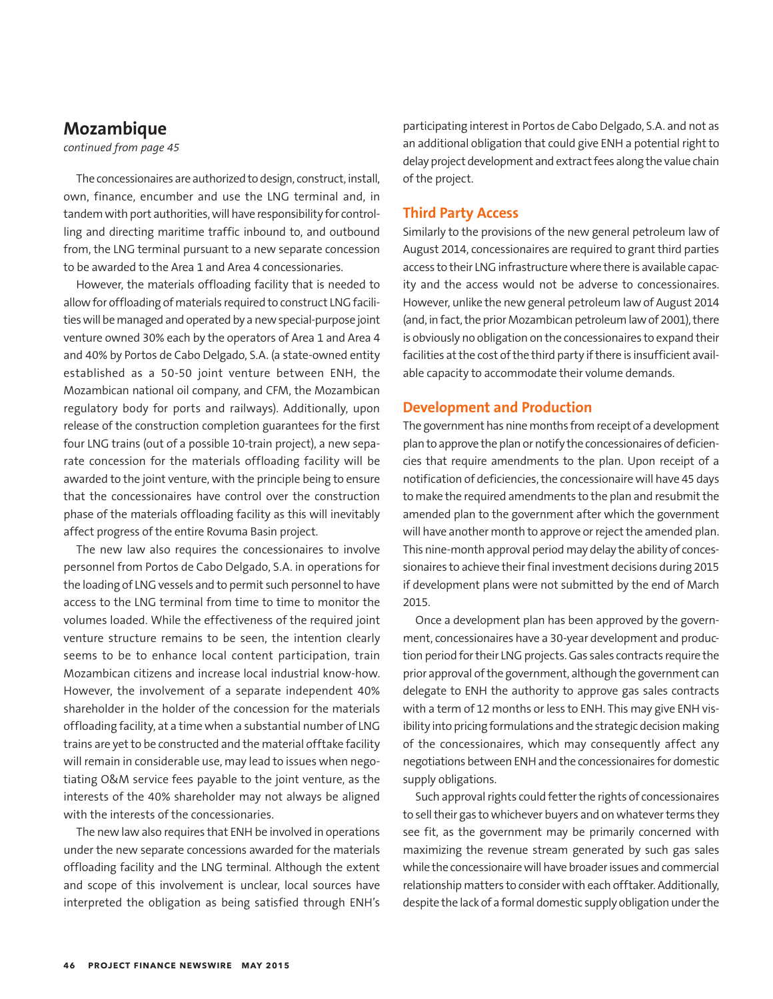## **Mozambique**

*continued from page 45*

The concessionaires are authorized to design, construct, install, own, finance, encumber and use the LNG terminal and, in tandem with port authorities, will have responsibility for controlling and directing maritime traffic inbound to, and outbound from, the LNG terminal pursuant to a new separate concession to be awarded to the Area 1 and Area 4 concessionaries.

However, the materials offloading facility that is needed to allow for offloading of materials required to construct LNG facilities will be managed and operated by a new special-purpose joint venture owned 30% each by the operators of Area 1 and Area 4 and 40% by Portos de Cabo Delgado, S.A. (a state-owned entity established as a 50-50 joint venture between ENH, the Mozambican national oil company, and CFM, the Mozambican regulatory body for ports and railways). Additionally, upon release of the construction completion guarantees for the first four LNG trains (out of a possible 10-train project), a new separate concession for the materials offloading facility will be awarded to the joint venture, with the principle being to ensure that the concessionaires have control over the construction phase of the materials offloading facility as this will inevitably affect progress of the entire Rovuma Basin project.

The new law also requires the concessionaires to involve personnel from Portos de Cabo Delgado, S.A. in operations for the loading of LNG vessels and to permit such personnel to have access to the LNG terminal from time to time to monitor the volumes loaded. While the effectiveness of the required joint venture structure remains to be seen, the intention clearly seems to be to enhance local content participation, train Mozambican citizens and increase local industrial know-how. However, the involvement of a separate independent 40% shareholder in the holder of the concession for the materials offloading facility, at a time when a substantial number of LNG trains are yet to be constructed and the material offtake facility will remain in considerable use, may lead to issues when negotiating O&M service fees payable to the joint venture, as the interests of the 40% shareholder may not always be aligned with the interests of the concessionaries.

The new law also requires that ENH be involved in operations under the new separate concessions awarded for the materials offloading facility and the LNG terminal. Although the extent and scope of this involvement is unclear, local sources have interpreted the obligation as being satisfied through ENH's participating interest in Portos de Cabo Delgado, S.A. and not as an additional obligation that could give ENH a potential right to delay project development and extract fees along the value chain of the project.

## **Third Party Access**

Similarly to the provisions of the new general petroleum law of August 2014, concessionaires are required to grant third parties access to their LNG infrastructure where there is available capacity and the access would not be adverse to concessionaires. However, unlike the new general petroleum law of August 2014 (and, in fact, the prior Mozambican petroleum law of 2001), there is obviously no obligation on the concessionaires to expand their facilities at the cost of the third party if there is insufficient available capacity to accommodate their volume demands.

### **Development and Production**

The government has nine months from receipt of a development plan to approve the plan or notify the concessionaires of deficiencies that require amendments to the plan. Upon receipt of a notification of deficiencies, the concessionaire will have 45 days to make the required amendments to the plan and resubmit the amended plan to the government after which the government will have another month to approve or reject the amended plan. This nine-month approval period may delay the ability of concessionaires to achieve their final investment decisions during 2015 if development plans were not submitted by the end of March 2015.

Once a development plan has been approved by the government, concessionaires have a 30-year development and production period for their LNG projects. Gas sales contracts require the prior approval of the government, although the government can delegate to ENH the authority to approve gas sales contracts with a term of 12 months or less to ENH. This may give ENH visibility into pricing formulations and the strategic decision making of the concessionaires, which may consequently affect any negotiations between ENH and the concessionaires for domestic supply obligations.

Such approval rights could fetter the rights of concessionaires to sell their gas to whichever buyers and on whatever terms they see fit, as the government may be primarily concerned with maximizing the revenue stream generated by such gas sales while the concessionaire will have broader issues and commercial relationship matters to consider with each offtaker. Additionally, despite the lack of a formal domestic supply obligation under the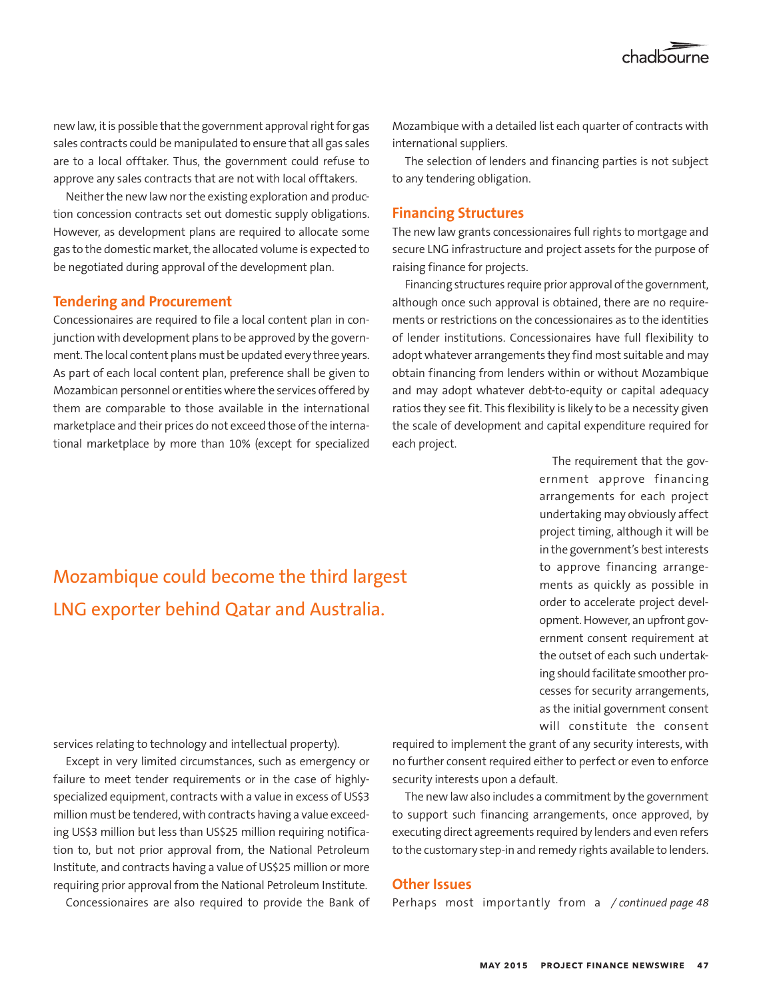new law, it is possible that the government approval right for gas sales contracts could be manipulated to ensure that all gas sales are to a local offtaker. Thus, the government could refuse to approve any sales contracts that are not with local offtakers.

Neither the new law nor the existing exploration and production concession contracts set out domestic supply obligations. However, as development plans are required to allocate some gas to the domestic market, the allocated volume is expected to be negotiated during approval of the development plan.

## **Tendering and Procurement**

Concessionaires are required to file a local content plan in conjunction with development plans to be approved by the government. The local content plans must be updated every three years. As part of each local content plan, preference shall be given to Mozambican personnel or entities where the services offered by them are comparable to those available in the international marketplace and their prices do not exceed those of the international marketplace by more than 10% (except for specialized Mozambique with a detailed list each quarter of contracts with international suppliers.

The selection of lenders and financing parties is not subject to any tendering obligation.

## **Financing Structures**

The new law grants concessionaires full rights to mortgage and secure LNG infrastructure and project assets for the purpose of raising finance for projects.

Financing structures require prior approval of the government, although once such approval is obtained, there are no requirements or restrictions on the concessionaires as to the identities of lender institutions. Concessionaires have full flexibility to adopt whatever arrangements they find most suitable and may obtain financing from lenders within or without Mozambique and may adopt whatever debt-to-equity or capital adequacy ratios they see fit. This flexibility is likely to be a necessity given the scale of development and capital expenditure required for each project.

> The requirement that the government approve financing arrangements for each project undertaking may obviously affect project timing, although it will be in the government's best interests to approve financing arrangements as quickly as possible in order to accelerate project development. However, an upfront government consent requirement at the outset of each such undertaking should facilitate smoother processes for security arrangements, as the initial government consent will constitute the consent

Mozambique could become the third largest LNG exporter behind Qatar and Australia.

services relating to technology and intellectual property).

Except in very limited circumstances, such as emergency or failure to meet tender requirements or in the case of highlyspecialized equipment, contracts with a value in excess of US\$3 million must be tendered, with contracts having a value exceeding US\$3 million but less than US\$25 million requiring notification to, but not prior approval from, the National Petroleum Institute, and contracts having a value of US\$25 million or more requiring prior approval from the National Petroleum Institute.

required to implement the grant of any security interests, with no further consent required either to perfect or even to enforce security interests upon a default.

The new law also includes a commitment by the government to support such financing arrangements, once approved, by executing direct agreements required by lenders and even refers to the customary step-in and remedy rights available to lenders.

## **Other Issues**

Concessionaires are also required to provide the Bank of  *Perhaps most importantly from a /continued page 48*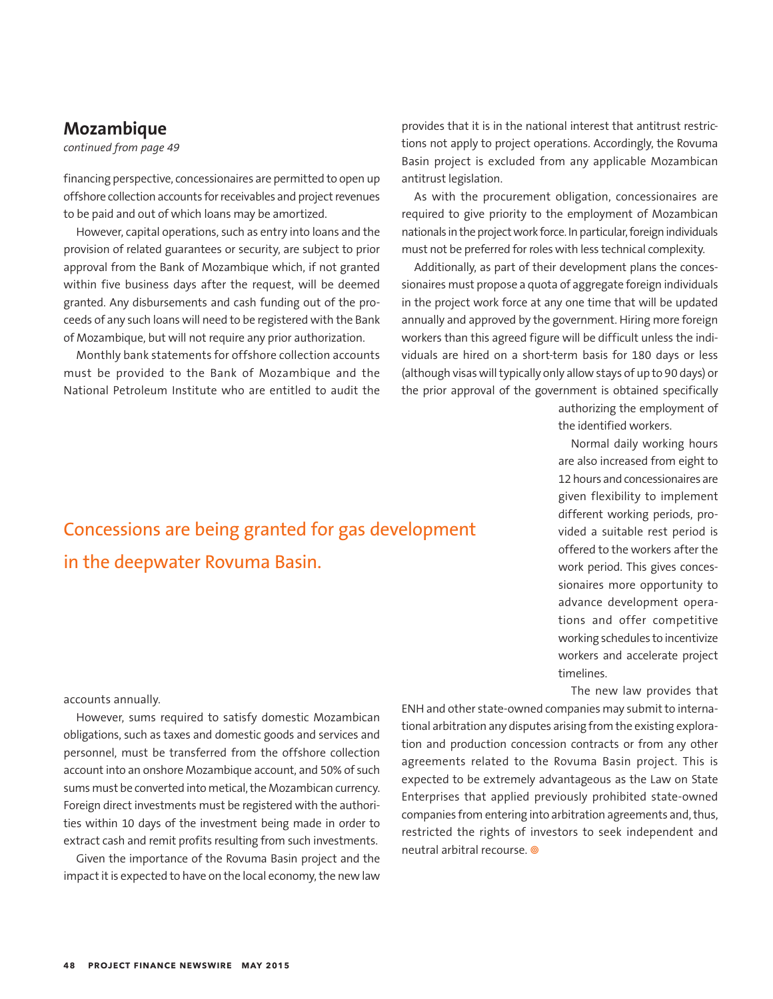## **Mozambique**

accounts annually.

*continued from page 49*

financing perspective, concessionaires are permitted to open up offshore collection accounts for receivables and project revenues to be paid and out of which loans may be amortized.

However, capital operations, such as entry into loans and the provision of related guarantees or security, are subject to prior approval from the Bank of Mozambique which, if not granted within five business days after the request, will be deemed granted. Any disbursements and cash funding out of the proceeds of any such loans will need to be registered with the Bank of Mozambique, but will not require any prior authorization.

Monthly bank statements for offshore collection accounts must be provided to the Bank of Mozambique and the National Petroleum Institute who are entitled to audit the provides that it is in the national interest that antitrust restrictions not apply to project operations. Accordingly, the Rovuma Basin project is excluded from any applicable Mozambican antitrust legislation.

As with the procurement obligation, concessionaires are required to give priority to the employment of Mozambican nationals in the project work force. In particular, foreign individuals must not be preferred for roles with less technical complexity.

Additionally, as part of their development plans the concessionaires must propose a quota of aggregate foreign individuals in the project work force at any one time that will be updated annually and approved by the government. Hiring more foreign workers than this agreed figure will be difficult unless the individuals are hired on a short-term basis for 180 days or less (although visas will typically only allow stays of up to 90 days) or the prior approval of the government is obtained specifically

> authorizing the employment of the identified workers.

> Normal daily working hours are also increased from eight to 12 hours and concessionaires are given flexibility to implement different working periods, provided a suitable rest period is offered to the workers after the work period. This gives concessionaires more opportunity to advance development operations and offer competitive working schedules to incentivize workers and accelerate project timelines.

The new law provides that

However, sums required to satisfy domestic Mozambican obligations, such as taxes and domestic goods and services and personnel, must be transferred from the offshore collection account into an onshore Mozambique account, and 50% of such sums must be converted into metical, the Mozambican currency. Foreign direct investments must be registered with the authorities within 10 days of the investment being made in order to extract cash and remit profits resulting from such investments.

Given the importance of the Rovuma Basin project and the impact it is expected to have on the local economy, the new law

ENH and other state-owned companies may submit to international arbitration any disputes arising from the existing exploration and production concession contracts or from any other agreements related to the Rovuma Basin project. This is expected to be extremely advantageous as the Law on State Enterprises that applied previously prohibited state-owned companies from entering into arbitration agreements and, thus, restricted the rights of investors to seek independent and neutral arbitral recourse.

## Concessions are being granted for gas development in the deepwater Rovuma Basin.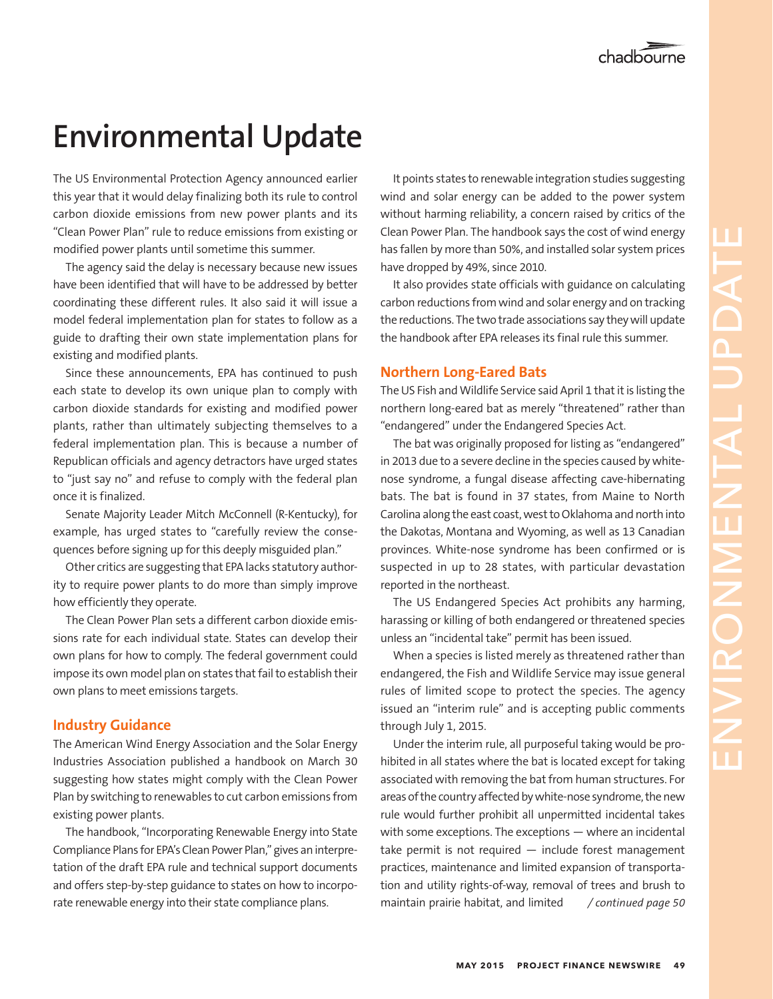## **Environmental Update**

this year that it would delay finalizing both its rule to control carbon dioxide emissions from new power plants and its "Clean Power Plan" rule to reduce emissions from existing or modified power plants until sometime this summer.

The agency said the delay is necessary because new issues have been identified that will have to be addressed by better coordinating these different rules. It also said it will issue a model federal implementation plan for states to follow as a guide to drafting their own state implementation plans for existing and modified plants.

Since these announcements, EPA has continued to push each state to develop its own unique plan to comply with carbon dioxide standards for existing and modified power plants, rather than ultimately subjecting themselves to a federal implementation plan. This is because a number of Republican officials and agency detractors have urged states to "just say no" and refuse to comply with the federal plan once it is finalized.

Senate Majority Leader Mitch McConnell (R-Kentucky), for example, has urged states to "carefully review the consequences before signing up for this deeply misguided plan."

Other critics are suggesting that EPA lacks statutory authority to require power plants to do more than simply improve how efficiently they operate.

The Clean Power Plan sets a different carbon dioxide emissions rate for each individual state. States can develop their own plans for how to comply. The federal government could impose its own model plan on states that fail to establish their own plans to meet emissions targets.

## **Industry Guidance**

The American Wind Energy Association and the Solar Energy Industries Association published a handbook on March 30 suggesting how states might comply with the Clean Power Plan by switching to renewables to cut carbon emissions from existing power plants.

The handbook, "Incorporating Renewable Energy into State Compliance Plans for EPA's Clean Power Plan," gives an interpretation of the draft EPA rule and technical support documents and offers step-by-step guidance to states on how to incorporate renewable energy into their state compliance plans.

It points states to renewable integration studies suggesting wind and solar energy can be added to the power system without harming reliability, a concern raised by critics of the Clean Power Plan. The handbook says the cost of wind energy has fallen by more than 50%, and installed solar system prices have dropped by 49%, since 2010.

It also provides state officials with guidance on calculating carbon reductions from wind and solar energy and on tracking the reductions. The two trade associations say they will update the handbook after EPA releases its final rule this summer.

## **Northern Long-Eared Bats**

The US Fish and Wildlife Service said April 1 that it is listing the northern long-eared bat as merely "threatened" rather than "endangered" under the Endangered Species Act.

The bat was originally proposed for listing as "endangered" in 2013 due to a severe decline in the species caused by whitenose syndrome, a fungal disease affecting cave-hibernating bats. The bat is found in 37 states, from Maine to North Carolina along the east coast, west to Oklahoma and north into the Dakotas, Montana and Wyoming, as well as 13 Canadian provinces. White-nose syndrome has been confirmed or is suspected in up to 28 states, with particular devastation reported in the northeast.

The US Endangered Species Act prohibits any harming, harassing or killing of both endangered or threatened species unless an "incidental take" permit has been issued.

When a species is listed merely as threatened rather than endangered, the Fish and Wildlife Service may issue general rules of limited scope to protect the species. The agency issued an "interim rule" and is accepting public comments through July 1, 2015.

*/ continued page 49* Under the interim rule, all purposeful taking would be prohibited in all states where the bat is located except for taking associated with removing the bat from human structures. For areas of the country affected by white-nose syndrome, the new rule would further prohibit all unpermitted incidental takes with some exceptions. The exceptions — where an incidental take permit is not required — include forest management practices, maintenance and limited expansion of transportation and utility rights-of-way, removal of trees and brush to The Ustrain Proteine internal proteines the main state internet internet internet internet internet internet internet internet internet internet internet internet internet internet internet internet internet internet inter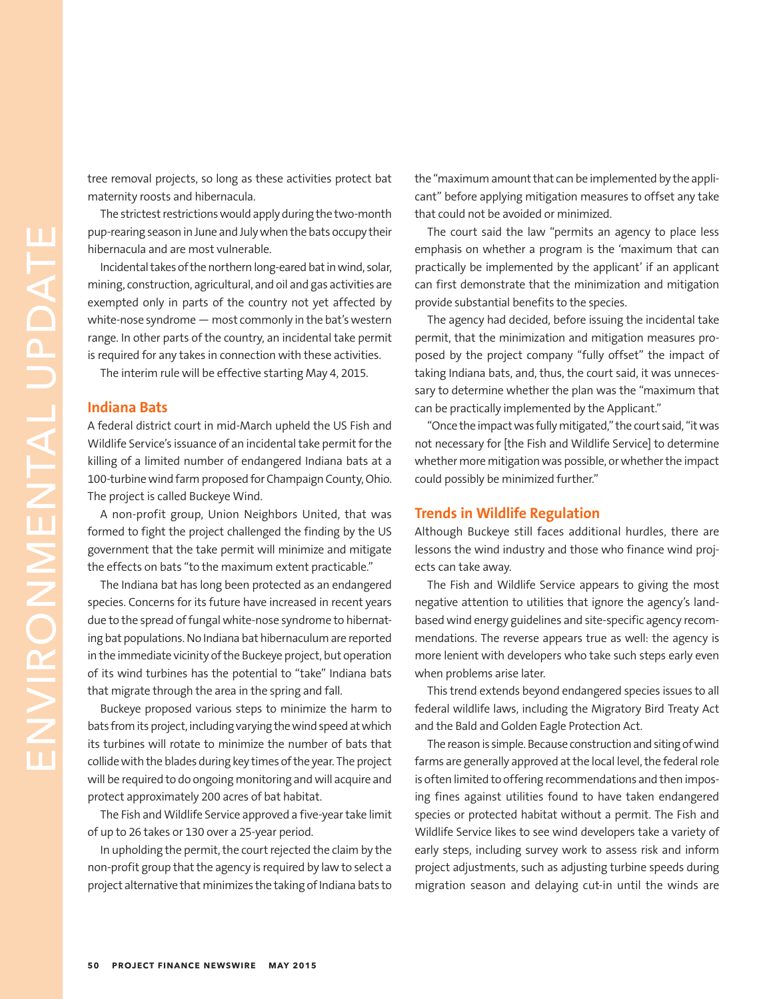tree removal projects, so long as these activities protect bat maternity roosts and hibernacula.

The strictest restrictions would apply during the two-month pup-rearing season in June and July when the bats occupy their hibernacula and are most vulnerable.

Incidental takes of the northern long-eared bat in wind, solar, mining, construction, agricultural, and oil and gas activities are exempted only in parts of the country not yet affected by white-nose syndrome — most commonly in the bat's western range. In other parts of the country, an incidental take permit is required for any takes in connection with these activities.

The interim rule will be effective starting May 4, 2015.

### **Indiana Bats**

A federal district court in mid-March upheld the US Fish and Wildlife Service's issuance of an incidental take permit for the killing of a limited number of endangered Indiana bats at a 100-turbine wind farm proposed for Champaign County, Ohio. The project is called Buckeye Wind.

A non-profit group, Union Neighbors United, that was formed to fight the project challenged the finding by the US government that the take permit will minimize and mitigate the effects on bats "to the maximum extent practicable."

The Indiana bat has long been protected as an endangered species. Concerns for its future have increased in recent years due to the spread of fungal white-nose syndrome to hibernating bat populations. No Indiana bat hibernaculum are reported in the immediate vicinity of the Buckeye project, but operation of its wind turbines has the potential to "take" Indiana bats that migrate through the area in the spring and fall.

Buckeye proposed various steps to minimize the harm to bats from its project, including varying the wind speed at which its turbines will rotate to minimize the number of bats that collide with the blades during key times of the year. The project will be required to do ongoing monitoring and will acquire and protect approximately 200 acres of bat habitat.

The Fish and Wildlife Service approved a five-year take limit of up to 26 takes or 130 over a 25-year period.

In upholding the permit, the court rejected the claim by the non-profit group that the agency is required by law to select a project alternative that minimizes the taking of Indiana bats to

the "maximum amount that can be implemented by the applicant" before applying mitigation measures to offset any take that could not be avoided or minimized.

The court said the law "permits an agency to place less emphasis on whether a program is the 'maximum that can practically be implemented by the applicant' if an applicant can first demonstrate that the minimization and mitigation provide substantial benefits to the species.

The agency had decided, before issuing the incidental take permit, that the minimization and mitigation measures proposed by the project company "fully offset" the impact of taking Indiana bats, and, thus, the court said, it was unnecessary to determine whether the plan was the "maximum that can be practically implemented by the Applicant."

"Once the impact was fully mitigated," the court said, "it was not necessary for [the Fish and Wildlife Service] to determine whether more mitigation was possible, or whether the impact could possibly be minimized further."

## **Trends in Wildlife Regulation**

Although Buckeye still faces additional hurdles, there are lessons the wind industry and those who finance wind projects can take away.

The Fish and Wildlife Service appears to giving the most negative attention to utilities that ignore the agency's landbased wind energy guidelines and site-specific agency recommendations. The reverse appears true as well: the agency is more lenient with developers who take such steps early even when problems arise later.

This trend extends beyond endangered species issues to all federal wildlife laws, including the Migratory Bird Treaty Act and the Bald and Golden Eagle Protection Act.

The reason is simple. Because construction and siting of wind farms are generally approved at the local level, the federal role is often limited to offering recommendations and then imposing fines against utilities found to have taken endangered species or protected habitat without a permit. The Fish and Wildlife Service likes to see wind developers take a variety of early steps, including survey work to assess risk and inform project adjustments, such as adjusting turbine speeds during migration season and delaying cut-in until the winds are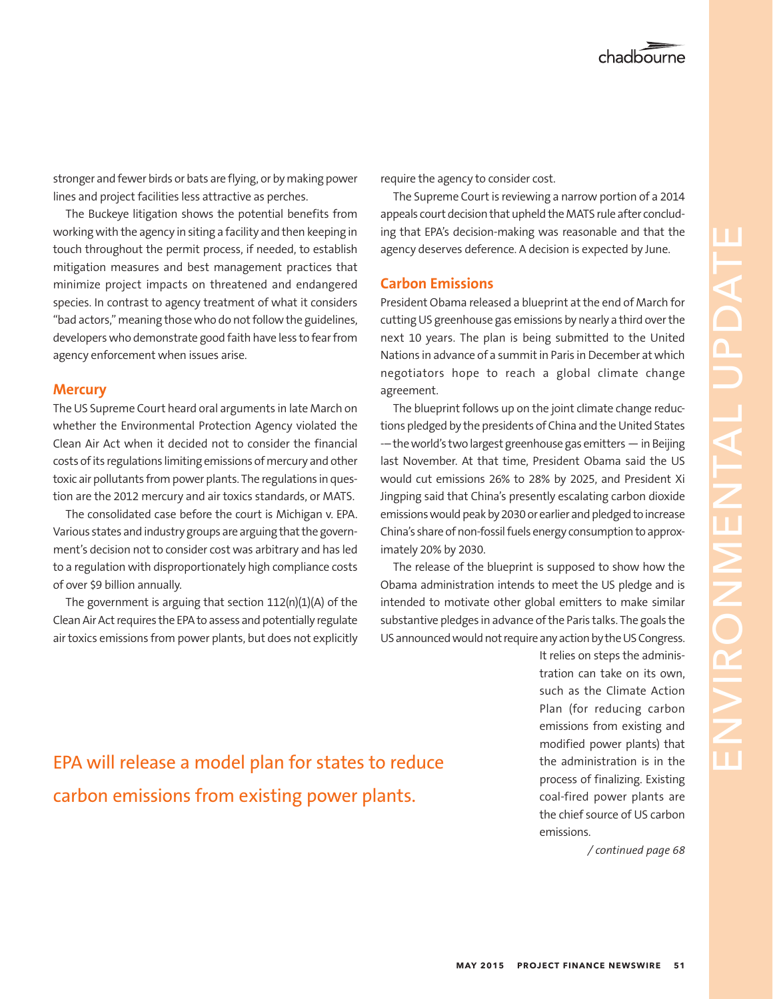chadbourne

stronger and fewer birds or bats are flying, or by making power lines and project facilities less attractive as perches.

The Buckeye litigation shows the potential benefits from working with the agency in siting a facility and then keeping in touch throughout the permit process, if needed, to establish mitigation measures and best management practices that minimize project impacts on threatened and endangered species. In contrast to agency treatment of what it considers "bad actors," meaning those who do not follow the guidelines, developers who demonstrate good faith have less to fear from agency enforcement when issues arise.

### **Mercury**

The US Supreme Court heard oral arguments in late March on whether the Environmental Protection Agency violated the Clean Air Act when it decided not to consider the financial costs of its regulations limiting emissions of mercury and other toxic air pollutants from power plants. The regulations in question are the 2012 mercury and air toxics standards, or MATS.

The consolidated case before the court is Michigan v. EPA. Various states and industry groups are arguing that the government's decision not to consider cost was arbitrary and has led to a regulation with disproportionately high compliance costs of over \$9 billion annually.

The government is arguing that section 112(n)(1)(A) of the Clean Air Act requires the EPA to assess and potentially regulate air toxics emissions from power plants, but does not explicitly require the agency to consider cost.

The Supreme Court is reviewing a narrow portion of a 2014 appeals court decision that upheld the MATS rule after concluding that EPA's decision-making was reasonable and that the agency deserves deference. A decision is expected by June.

### **Carbon Emissions**

President Obama released a blueprint at the end of March for cutting US greenhouse gas emissions by nearly a third over the next 10 years. The plan is being submitted to the United Nations in advance of a summit in Paris in December at which negotiators hope to reach a global climate change agreement.

The blueprint follows up on the joint climate change reductions pledged by the presidents of China and the United States -– the world's two largest greenhouse gas emitters — in Beijing last November. At that time, President Obama said the US would cut emissions 26% to 28% by 2025, and President Xi Jingping said that China's presently escalating carbon dioxide emissions would peak by 2030 or earlier and pledged to increase China's share of non-fossil fuels energy consumption to approximately 20% by 2030.

The release of the blueprint is supposed to show how the Obama administration intends to meet the US pledge and is intended to motivate other global emitters to make similar substantive pledges in advance of the Paris talks. The goals the US announced would not require any action by the US Congress.

> It relies on steps the administration can take on its own, such as the Climate Action Plan (for reducing carbon emissions from existing and modified power plants) that the administration is in the process of finalizing. Existing coal-fired power plants are the chief source of US carbon emissions.

> > */ continued page 68*

## EPA will release a model plan for states to reduce carbon emissions from existing power plants.